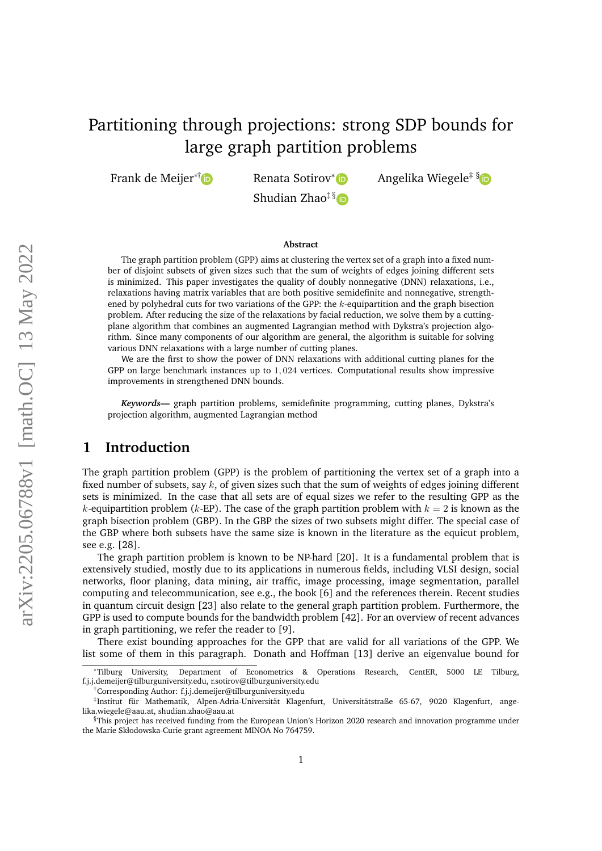# Partitioning through projections: strong SDP bounds for large graph partition problems

Frank de Meijer<sup>\*[†](https://orcid.org/0000-0002-1910-0699)</sup> Renata Sotirov<sup>[∗](https://orcid.org/0000-0002-3298-7255 )</sup> Demata Soties<sup>‡</sup> Renata Soties Angelika Wiegele<sup>‡[§](https://orcid.org/0000-0003-1670-7951)</sup> D

Shudian Zhao $\frac{1}{3}$  in

#### **Abstract**

The graph partition problem (GPP) aims at clustering the vertex set of a graph into a fixed number of disjoint subsets of given sizes such that the sum of weights of edges joining different sets is minimized. This paper investigates the quality of doubly nonnegative (DNN) relaxations, i.e., relaxations having matrix variables that are both positive semidefinite and nonnegative, strengthened by polyhedral cuts for two variations of the GPP: the *k*-equipartition and the graph bisection problem. After reducing the size of the relaxations by facial reduction, we solve them by a cuttingplane algorithm that combines an augmented Lagrangian method with Dykstra's projection algorithm. Since many components of our algorithm are general, the algorithm is suitable for solving various DNN relaxations with a large number of cutting planes.

We are the first to show the power of DNN relaxations with additional cutting planes for the GPP on large benchmark instances up to 1*,* 024 vertices. Computational results show impressive improvements in strengthened DNN bounds.

*Keywords—* graph partition problems, semidefinite programming, cutting planes, Dykstra's projection algorithm, augmented Lagrangian method

# **1 Introduction**

The graph partition problem (GPP) is the problem of partitioning the vertex set of a graph into a fixed number of subsets, say *k*, of given sizes such that the sum of weights of edges joining different sets is minimized. In the case that all sets are of equal sizes we refer to the resulting GPP as the *k*-equipartition problem (*k*-EP). The case of the graph partition problem with  $k = 2$  is known as the graph bisection problem (GBP). In the GBP the sizes of two subsets might differ. The special case of the GBP where both subsets have the same size is known in the literature as the equicut problem, see e.g. [\[28\]](#page-29-0).

The graph partition problem is known to be NP-hard [\[20\]](#page-29-1). It is a fundamental problem that is extensively studied, mostly due to its applications in numerous fields, including VLSI design, social networks, floor planing, data mining, air traffic, image processing, image segmentation, parallel computing and telecommunication, see e.g., the book [\[6\]](#page-28-0) and the references therein. Recent studies in quantum circuit design [\[23\]](#page-29-2) also relate to the general graph partition problem. Furthermore, the GPP is used to compute bounds for the bandwidth problem [\[42\]](#page-30-0). For an overview of recent advances in graph partitioning, we refer the reader to [\[9\]](#page-28-1).

There exist bounding approaches for the GPP that are valid for all variations of the GPP. We list some of them in this paragraph. Donath and Hoffman [\[13\]](#page-28-2) derive an eigenvalue bound for

<sup>\*</sup>Tilburg University, Department of Econometrics & Operations Research, CentER, 5000 LE Tilburg, [f.j.j.demeijer@tilburguniversity.edu,](mailto:F.J.J.deMeijer@tilburguniversity.edu) [r.sotirov@tilburguniversity.edu](mailto:R.Sotirov@tilburguniversity.edu)

<sup>†</sup>Corresponding Author: [f.j.j.demeijer@tilburguniversity.edu](mailto:F.J.J.deMeijer@tilburguniversity.edu)

<sup>‡</sup> Institut für Mathematik, Alpen-Adria-Universität Klagenfurt, Universitätstraße 65-67, 9020 Klagenfurt, [ange](mailto:angelika.wiegele@aau.at)[lika.wiegele@aau.at,](mailto:angelika.wiegele@aau.at) [shudian.zhao@aau.at](mailto:shudian.zhao@aau.at)

 $\S$ This project has received funding from the European Union's Horizon 2020 research and innovation programme under the Marie Skłodowska-Curie grant agreement MINOA No 764759.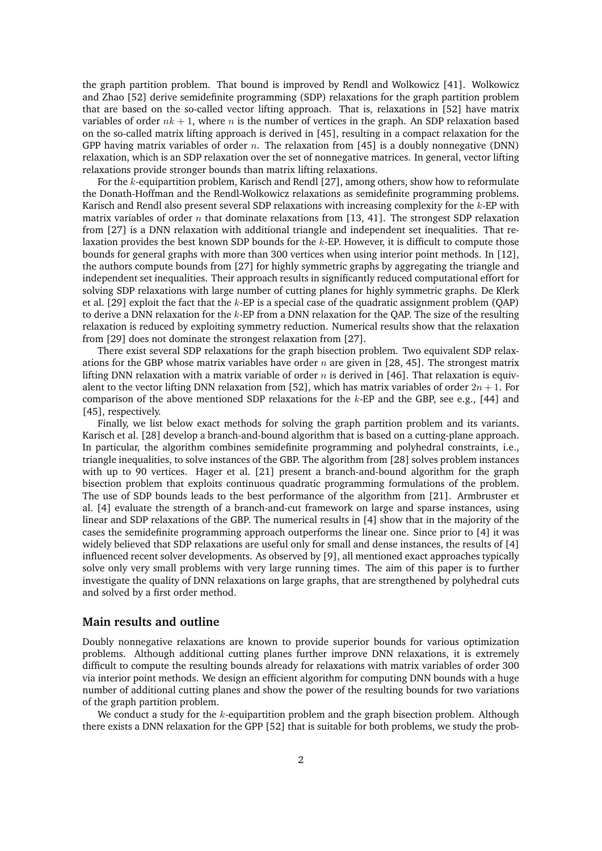the graph partition problem. That bound is improved by Rendl and Wolkowicz [\[41\]](#page-30-1). Wolkowicz and Zhao [\[52\]](#page-30-2) derive semidefinite programming (SDP) relaxations for the graph partition problem that are based on the so-called vector lifting approach. That is, relaxations in [\[52\]](#page-30-2) have matrix variables of order  $nk + 1$ , where *n* is the number of vertices in the graph. An SDP relaxation based on the so-called matrix lifting approach is derived in [\[45\]](#page-30-3), resulting in a compact relaxation for the GPP having matrix variables of order *n*. The relaxation from [\[45\]](#page-30-3) is a doubly nonnegative (DNN) relaxation, which is an SDP relaxation over the set of nonnegative matrices. In general, vector lifting relaxations provide stronger bounds than matrix lifting relaxations.

For the *k*-equipartition problem, Karisch and Rendl [\[27\]](#page-29-3), among others, show how to reformulate the Donath-Hoffman and the Rendl-Wolkowicz relaxations as semidefinite programming problems. Karisch and Rendl also present several SDP relaxations with increasing complexity for the *k*-EP with matrix variables of order *n* that dominate relaxations from [\[13,](#page-28-2) [41\]](#page-30-1). The strongest SDP relaxation from [\[27\]](#page-29-3) is a DNN relaxation with additional triangle and independent set inequalities. That relaxation provides the best known SDP bounds for the *k*-EP. However, it is difficult to compute those bounds for general graphs with more than 300 vertices when using interior point methods. In [\[12\]](#page-28-3), the authors compute bounds from [\[27\]](#page-29-3) for highly symmetric graphs by aggregating the triangle and independent set inequalities. Their approach results in significantly reduced computational effort for solving SDP relaxations with large number of cutting planes for highly symmetric graphs. De Klerk et al. [\[29\]](#page-29-4) exploit the fact that the *k*-EP is a special case of the quadratic assignment problem (QAP) to derive a DNN relaxation for the *k*-EP from a DNN relaxation for the QAP. The size of the resulting relaxation is reduced by exploiting symmetry reduction. Numerical results show that the relaxation from [\[29\]](#page-29-4) does not dominate the strongest relaxation from [\[27\]](#page-29-3).

There exist several SDP relaxations for the graph bisection problem. Two equivalent SDP relaxations for the GBP whose matrix variables have order *n* are given in [\[28,](#page-29-0) [45\]](#page-30-3). The strongest matrix lifting DNN relaxation with a matrix variable of order *n* is derived in [\[46\]](#page-30-4). That relaxation is equiv-alent to the vector lifting DNN relaxation from [\[52\]](#page-30-2), which has matrix variables of order  $2n + 1$ . For comparison of the above mentioned SDP relaxations for the *k*-EP and the GBP, see e.g., [\[44\]](#page-30-5) and [\[45\]](#page-30-3), respectively.

Finally, we list below exact methods for solving the graph partition problem and its variants. Karisch et al. [\[28\]](#page-29-0) develop a branch-and-bound algorithm that is based on a cutting-plane approach. In particular, the algorithm combines semidefinite programming and polyhedral constraints, i.e., triangle inequalities, to solve instances of the GBP. The algorithm from [\[28\]](#page-29-0) solves problem instances with up to 90 vertices. Hager et al. [\[21\]](#page-29-5) present a branch-and-bound algorithm for the graph bisection problem that exploits continuous quadratic programming formulations of the problem. The use of SDP bounds leads to the best performance of the algorithm from [\[21\]](#page-29-5). Armbruster et al. [\[4\]](#page-28-4) evaluate the strength of a branch-and-cut framework on large and sparse instances, using linear and SDP relaxations of the GBP. The numerical results in [\[4\]](#page-28-4) show that in the majority of the cases the semidefinite programming approach outperforms the linear one. Since prior to [\[4\]](#page-28-4) it was widely believed that SDP relaxations are useful only for small and dense instances, the results of [\[4\]](#page-28-4) influenced recent solver developments. As observed by [\[9\]](#page-28-1), all mentioned exact approaches typically solve only very small problems with very large running times. The aim of this paper is to further investigate the quality of DNN relaxations on large graphs, that are strengthened by polyhedral cuts and solved by a first order method.

### **Main results and outline**

Doubly nonnegative relaxations are known to provide superior bounds for various optimization problems. Although additional cutting planes further improve DNN relaxations, it is extremely difficult to compute the resulting bounds already for relaxations with matrix variables of order 300 via interior point methods. We design an efficient algorithm for computing DNN bounds with a huge number of additional cutting planes and show the power of the resulting bounds for two variations of the graph partition problem.

We conduct a study for the *k*-equipartition problem and the graph bisection problem. Although there exists a DNN relaxation for the GPP [\[52\]](#page-30-2) that is suitable for both problems, we study the prob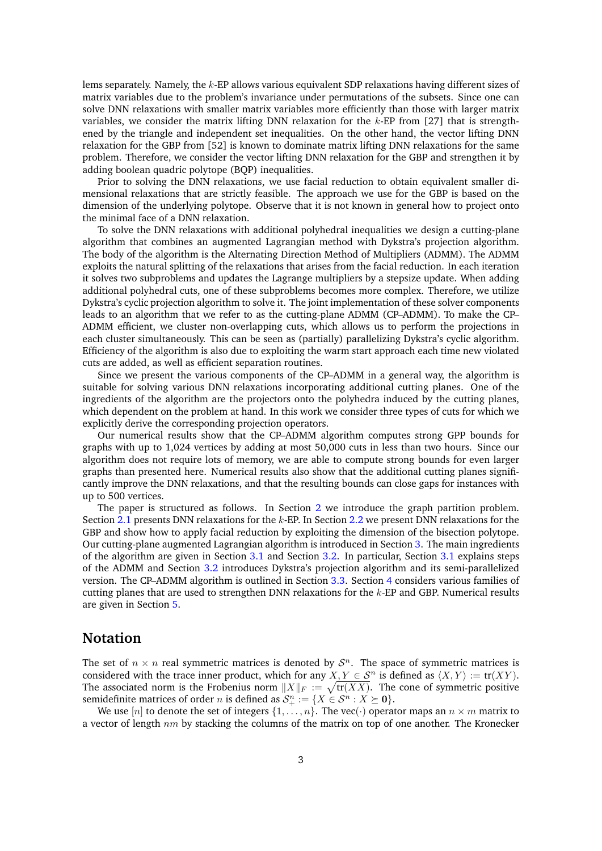lems separately. Namely, the *k*-EP allows various equivalent SDP relaxations having different sizes of matrix variables due to the problem's invariance under permutations of the subsets. Since one can solve DNN relaxations with smaller matrix variables more efficiently than those with larger matrix variables, we consider the matrix lifting DNN relaxation for the *k*-EP from [\[27\]](#page-29-3) that is strengthened by the triangle and independent set inequalities. On the other hand, the vector lifting DNN relaxation for the GBP from [\[52\]](#page-30-2) is known to dominate matrix lifting DNN relaxations for the same problem. Therefore, we consider the vector lifting DNN relaxation for the GBP and strengthen it by adding boolean quadric polytope (BQP) inequalities.

Prior to solving the DNN relaxations, we use facial reduction to obtain equivalent smaller dimensional relaxations that are strictly feasible. The approach we use for the GBP is based on the dimension of the underlying polytope. Observe that it is not known in general how to project onto the minimal face of a DNN relaxation.

To solve the DNN relaxations with additional polyhedral inequalities we design a cutting-plane algorithm that combines an augmented Lagrangian method with Dykstra's projection algorithm. The body of the algorithm is the Alternating Direction Method of Multipliers (ADMM). The ADMM exploits the natural splitting of the relaxations that arises from the facial reduction. In each iteration it solves two subproblems and updates the Lagrange multipliers by a stepsize update. When adding additional polyhedral cuts, one of these subproblems becomes more complex. Therefore, we utilize Dykstra's cyclic projection algorithm to solve it. The joint implementation of these solver components leads to an algorithm that we refer to as the cutting-plane ADMM (CP–ADMM). To make the CP– ADMM efficient, we cluster non-overlapping cuts, which allows us to perform the projections in each cluster simultaneously. This can be seen as (partially) parallelizing Dykstra's cyclic algorithm. Efficiency of the algorithm is also due to exploiting the warm start approach each time new violated cuts are added, as well as efficient separation routines.

Since we present the various components of the CP–ADMM in a general way, the algorithm is suitable for solving various DNN relaxations incorporating additional cutting planes. One of the ingredients of the algorithm are the projectors onto the polyhedra induced by the cutting planes, which dependent on the problem at hand. In this work we consider three types of cuts for which we explicitly derive the corresponding projection operators.

Our numerical results show that the CP–ADMM algorithm computes strong GPP bounds for graphs with up to 1,024 vertices by adding at most 50,000 cuts in less than two hours. Since our algorithm does not require lots of memory, we are able to compute strong bounds for even larger graphs than presented here. Numerical results also show that the additional cutting planes significantly improve the DNN relaxations, and that the resulting bounds can close gaps for instances with up to 500 vertices.

The paper is structured as follows. In Section [2](#page-3-0) we introduce the graph partition problem. Section [2.1](#page-4-0) presents DNN relaxations for the *k*-EP. In Section [2.2](#page-6-0) we present DNN relaxations for the GBP and show how to apply facial reduction by exploiting the dimension of the bisection polytope. Our cutting-plane augmented Lagrangian algorithm is introduced in Section [3.](#page-10-0) The main ingredients of the algorithm are given in Section [3.1](#page-10-1) and Section [3.2.](#page-11-0) In particular, Section [3.1](#page-10-1) explains steps of the ADMM and Section [3.2](#page-11-0) introduces Dykstra's projection algorithm and its semi-parallelized version. The CP–ADMM algorithm is outlined in Section [3.3.](#page-13-0) Section [4](#page-15-0) considers various families of cutting planes that are used to strengthen DNN relaxations for the *k*-EP and GBP. Numerical results are given in Section [5.](#page-18-0)

### **Notation**

The set of  $n \times n$  real symmetric matrices is denoted by  $S<sup>n</sup>$ . The space of symmetric matrices is considered with the trace inner product, which for any  $X, Y \in S^n$  is defined as  $\langle X, Y \rangle := \text{tr}(XY)$ . The associated norm is the Frobenius norm  $\|X\|_F:=\sqrt{\text{tr}(XX)}$ . The cone of symmetric positive semidefinite matrices of order *n* is defined as  $\mathcal{S}^n_+ := \{X \in \mathcal{S}^n : X \succeq \mathbf{0}\}.$ 

We use  $[n]$  to denote the set of integers  $\{1, \ldots, n\}$ . The vec(·) operator maps an  $n \times m$  matrix to a vector of length *nm* by stacking the columns of the matrix on top of one another. The Kronecker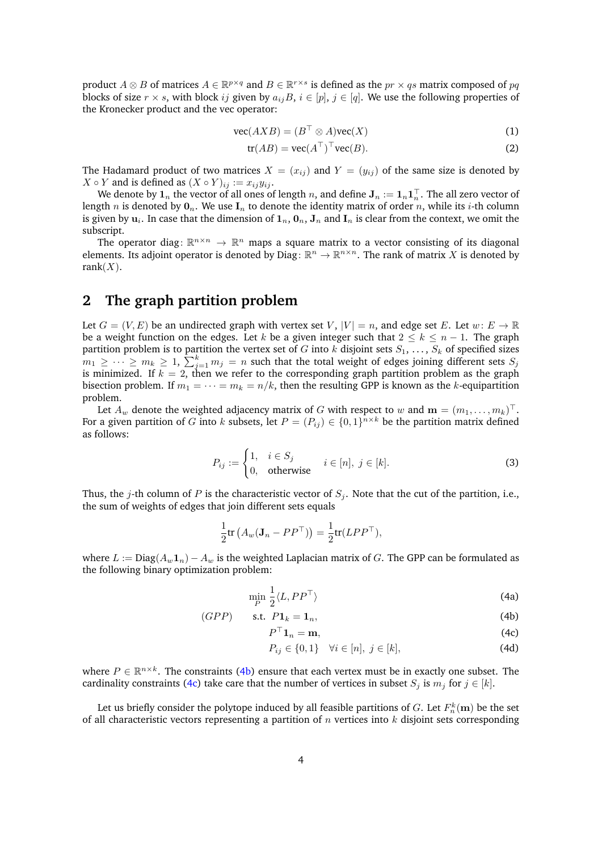product  $A \otimes B$  of matrices  $A \in \mathbb{R}^{p \times q}$  and  $B \in \mathbb{R}^{r \times s}$  is defined as the  $pr \times qs$  matrix composed of  $pq$ blocks of size  $r \times s$ , with block *ij* given by  $a_{ij}B$ ,  $i \in [p]$ ,  $j \in [q]$ . We use the following properties of the Kronecker product and the vec operator:

$$
\text{vec}(AXB) = (B^\top \otimes A)\text{vec}(X) \tag{1}
$$

<span id="page-3-5"></span><span id="page-3-4"></span>
$$
tr(AB) = vec(AT)T vec(B).
$$
 (2)

The Hadamard product of two matrices  $X = (x_{ij})$  and  $Y = (y_{ij})$  of the same size is denoted by *X* ◦ *Y* and is defined as  $(X ∘ Y)_{ij}$  :=  $x_{ij}y_{ij}$ .

We denote by  $\mathbf{1}_n$  the vector of all ones of length  $n,$  and define  $\mathbf{J}_n:=\mathbf{1}_n\mathbf{1}_n^\top.$  The all zero vector of length *n* is denoted by  $\mathbf{0}_n$ . We use  $\mathbf{I}_n$  to denote the identity matrix of order *n*, while its *i*-th column is given by  $\mathbf{u}_i$ . In case that the dimension of  $\mathbf{1}_n,\mathbf{0}_n,\mathbf{J}_n$  and  $\mathbf{I}_n$  is clear from the context, we omit the subscript.

The operator diag:  $\mathbb{R}^{n \times n} \to \mathbb{R}^n$  maps a square matrix to a vector consisting of its diagonal elements. Its adjoint operator is denoted by Diag:  $\mathbb{R}^n \to \mathbb{R}^{n \times n}$ . The rank of matrix *X* is denoted by rank $(X)$ .

# <span id="page-3-0"></span>**2 The graph partition problem**

Let  $G = (V, E)$  be an undirected graph with vertex set *V*,  $|V| = n$ , and edge set *E*. Let  $w: E \to \mathbb{R}$ be a weight function on the edges. Let *k* be a given integer such that 2 ≤ *k* ≤ *n* − 1. The graph partition problem is to partition the vertex set of *G* into *k* disjoint sets  $S_1, \ldots, S_k$  of specified sizes  $m_1 \geq \cdots \geq m_k \geq 1$ ,  $\sum_{j=1}^k m_j = n$  such that the total weight of edges joining different sets  $S_j$ is minimized. If *k* = 2, then we refer to the corresponding graph partition problem as the graph bisection problem. If  $m_1 = \cdots = m_k = n/k$ , then the resulting GPP is known as the *k*-equipartition problem.

Let  $A_w$  denote the weighted adjacency matrix of  $G$  with respect to  $w$  and  $\mathbf{m}=(m_1,\ldots,m_k)^\top.$ For a given partition of *G* into *k* subsets, let  $P = (P_{ij}) \in \{0,1\}^{n \times k}$  be the partition matrix defined as follows:

$$
P_{ij} := \begin{cases} 1, & i \in S_j \\ 0, & \text{otherwise} \end{cases} \quad i \in [n], \ j \in [k]. \tag{3}
$$

Thus, the *j*-th column of *P* is the characteristic vector of *S<sup>j</sup>* . Note that the cut of the partition, i.e., the sum of weights of edges that join different sets equals

$$
\frac{1}{2}\text{tr}\left(A_w(\mathbf{J}_n - PP^\top)\right) = \frac{1}{2}\text{tr}(LPP^\top),
$$

where  $L := \text{Diag}(A_w \mathbf{1}_n) - A_w$  is the weighted Laplacian matrix of *G*. The GPP can be formulated as the following binary optimization problem:

<span id="page-3-3"></span>
$$
\min_{P} \frac{1}{2} \langle L, PP^{\top} \rangle \tag{4a}
$$

$$
(GPP) \qquad \text{s.t. } P1_k = 1_n,\tag{4b}
$$

<span id="page-3-1"></span>
$$
P^{\top} \mathbf{1}_n = \mathbf{m},\tag{4c}
$$

<span id="page-3-2"></span>
$$
P_{ij} \in \{0, 1\} \quad \forall i \in [n], j \in [k], \tag{4d}
$$

where  $P \in \mathbb{R}^{n \times k}$ . The constraints [\(4b\)](#page-3-1) ensure that each vertex must be in exactly one subset. The cardinality constraints [\(4c\)](#page-3-2) take care that the number of vertices in subset  $S_j$  is  $m_j$  for  $j \in [k]$ .

Let us briefly consider the polytope induced by all feasible partitions of  $G.$  Let  $F_n^k(\mathbf{m})$  be the set of all characteristic vectors representing a partition of *n* vertices into *k* disjoint sets corresponding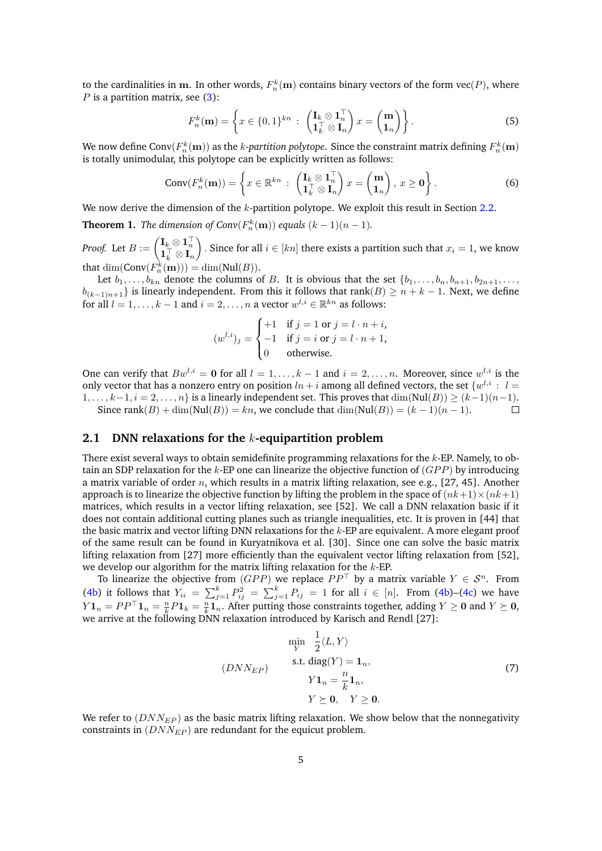to the cardinalities in  $m$ . In other words,  $F_n^k(m)$  contains binary vectors of the form  $\text{vec}(P)$ , where *P* is a partition matrix, see [\(3\)](#page-3-3):

<span id="page-4-2"></span>
$$
F_n^k(\mathbf{m}) = \left\{ x \in \{0,1\}^{kn} : \begin{pmatrix} \mathbf{I}_k \otimes \mathbf{1}_n^{\top} \\ \mathbf{1}_k^{\top} \otimes \mathbf{I}_n \end{pmatrix} x = \begin{pmatrix} \mathbf{m} \\ \mathbf{1}_n \end{pmatrix} \right\}.
$$
 (5)

We now define Conv $(F_n^k(\mathbf{m}))$  as the  $k$ -*partition polytope. Since the constraint matrix defining*  $F_n^k(\mathbf{m})$ is totally unimodular, this polytope can be explicitly written as follows:

$$
Conv(F_n^k(\mathbf{m})) = \left\{ x \in \mathbb{R}^{kn} : \begin{pmatrix} \mathbf{I}_k \otimes \mathbf{1}_n^\top \\ \mathbf{1}_k^\top \otimes \mathbf{I}_n \end{pmatrix} x = \begin{pmatrix} \mathbf{m} \\ \mathbf{1}_n \end{pmatrix}, x \ge \mathbf{0} \right\}.
$$
 (6)

We now derive the dimension of the *k*-partition polytope. We exploit this result in Section [2.2.](#page-6-0)

<span id="page-4-3"></span>**Theorem 1.** *The dimension of Conv* $(F_n^k(\mathbf{m}))$  *equals*  $(k-1)(n-1)$ *.* 

 $\text{Proof.} \ \ \text{Let} \ B := \begin{pmatrix} \mathbf{I}_k \otimes \mathbf{1}_n^\top \ \mathbf{1}_k^\top \otimes \mathbf{I}_n \end{pmatrix}$  $\big)$  . Since for all *i* ∈ [*kn*] there exists a partition such that  $x_i = 1$ , we know that  $\dim(\text{Conv}(F_n^k(\textbf{m}))) = \dim(\text{Nul}(B)).$ 

Let  $b_1, \ldots, b_{kn}$  denote the columns of *B*. It is obvious that the set  $\{b_1, \ldots, b_n, b_{n+1}, b_{2n+1}, \ldots,$ *b*<sub>(*k*−1)*n*+1</sub>} is linearly independent. From this it follows that rank(*B*) ≥ *n* + *k* − 1. Next, we define for all  $l = 1, ..., k - 1$  and  $i = 2, ..., n$  a vector  $w^{l,i} \in \mathbb{R}^{kn}$  as follows:

$$
(w^{l,i})_j = \begin{cases} +1 & \text{if } j = 1 \text{ or } j = l \cdot n + i, \\ -1 & \text{if } j = i \text{ or } j = l \cdot n + 1, \\ 0 & \text{otherwise.} \end{cases}
$$

One can verify that  $Bw^{l,i} = 0$  for all  $l = 1, \ldots, k-1$  and  $i = 2, \ldots, n$ . Moreover, since  $w^{l,i}$  is the only vector that has a nonzero entry on position  $ln + i$  among all defined vectors, the set  $\{w^{l,i}: l =$  $1, \ldots, k-1, i = 2, \ldots, n$  is a linearly independent set. This proves that  $\dim(Nul(B)) \ge (k-1)(n-1)$ . Since rank $(B) + \dim(\text{Nul}(B)) = kn$ , we conclude that  $\dim(\text{Nul}(B)) = (k-1)(n-1)$ .  $\Box$ 

### <span id="page-4-0"></span>**2.1 DNN relaxations for the** *k***-equipartition problem**

There exist several ways to obtain semidefinite programming relaxations for the *k*-EP. Namely, to obtain an SDP relaxation for the *k*-EP one can linearize the objective function of (*GP P*) by introducing a matrix variable of order *n*, which results in a matrix lifting relaxation, see e.g., [\[27,](#page-29-3) [45\]](#page-30-3). Another approach is to linearize the objective function by lifting the problem in the space of  $(nk+1)\times(nk+1)$ matrices, which results in a vector lifting relaxation, see [\[52\]](#page-30-2). We call a DNN relaxation basic if it does not contain additional cutting planes such as triangle inequalities, etc. It is proven in [\[44\]](#page-30-5) that the basic matrix and vector lifting DNN relaxations for the *k*-EP are equivalent. A more elegant proof of the same result can be found in Kuryatnikova et al. [\[30\]](#page-29-6). Since one can solve the basic matrix lifting relaxation from [\[27\]](#page-29-3) more efficiently than the equivalent vector lifting relaxation from [\[52\]](#page-30-2), we develop our algorithm for the matrix lifting relaxation for the *k*-EP.

To linearize the objective from  $(GPP)$  we replace  $PP^{\top}$  by a matrix variable  $Y \in \mathcal{S}^n$ . From [\(4b\)](#page-3-1) it follows that  $Y_{ii} = \sum_{j=1}^{k} P_{ij}^2 = \sum_{j=1}^{k} P_{ij} = 1$  for all  $i \in [n]$ . From (4b)–[\(4c\)](#page-3-2) we have  $Y\mathbf{1}_n = PP^\top\mathbf{1}_n = \frac{n}{k}P\mathbf{1}_k = \frac{n}{k}\mathbf{1}_n$ . After putting those constraints together, adding  $Y \ge 0$  and  $Y \succeq 0$ , we arrive at the following DNN relaxation introduced by Karisch and Rendl [\[27\]](#page-29-3):

<span id="page-4-1"></span>
$$
\min_{Y} \frac{1}{2} \langle L, Y \rangle
$$
\n(DNN<sub>EP</sub>)\n
$$
\text{s.t. } \text{diag}(Y) = \mathbf{1}_n,
$$
\n
$$
Y\mathbf{1}_n = \frac{n}{k} \mathbf{1}_n,
$$
\n
$$
Y \succeq \mathbf{0}, \quad Y \ge \mathbf{0}.
$$
\n(7)

We refer to  $(DNN_{EP})$  as the basic matrix lifting relaxation. We show below that the nonnegativity constraints in (*DNNEP* ) are redundant for the equicut problem.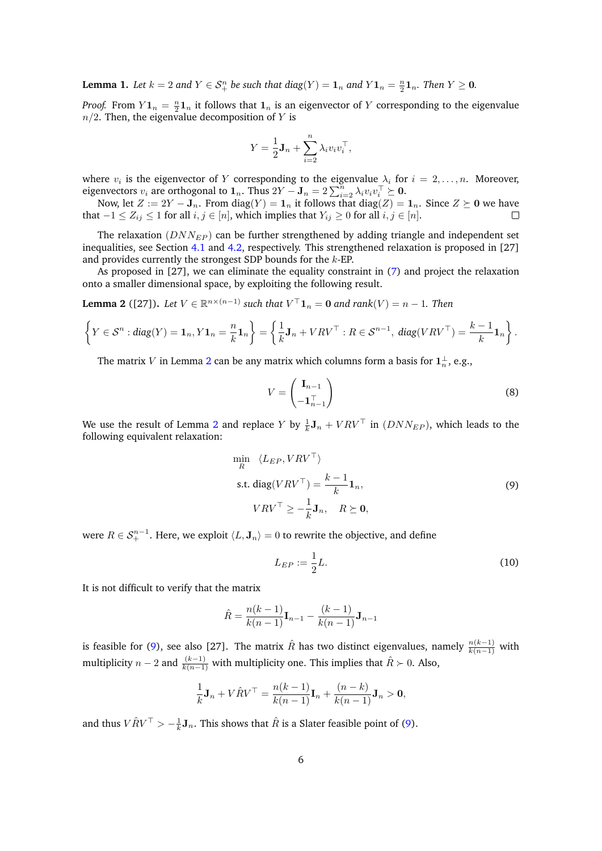**Lemma 1.** Let  $k = 2$  and  $Y \in S_{+}^{n}$  be such that  $diag(Y) = 1_n$  and  $Y1_n = \frac{n}{2}1_n$ . Then  $Y \ge 0$ .

*Proof.* From  $Y\mathbf{1}_n = \frac{n}{2}\mathbf{1}_n$  it follows that  $\mathbf{1}_n$  is an eigenvector of *Y* corresponding to the eigenvalue  $n/2$ . Then, the eigenvalue decomposition of *Y* is

$$
Y = \frac{1}{2} \mathbf{J}_n + \sum_{i=2}^n \lambda_i v_i v_i^{\top},
$$

where  $v_i$  is the eigenvector of  $Y$  corresponding to the eigenvalue  $\lambda_i$  for  $i = 2, \ldots, n$ . Moreover, eigenvectors  $v_i$  are orthogonal to  $\mathbf{1}_n$ . Thus  $2Y - \mathbf{J}_n = 2\sum_{i=2}^n \lambda_i v_i v_i^{\top} \succeq \mathbf{0}$ .

Now, let  $Z := 2Y - \mathbf{J}_n$ . From  $\text{diag}(Y) = \mathbf{1}_n$  it follows that  $\text{diag}(Z) = \mathbf{1}_n$ . Since  $Z \succeq \mathbf{0}$  we have that  $-1 ≤ Z_{ij} ≤ 1$  for all  $i, j ∈ [n]$ , which implies that  $Y_{ij} ≥ 0$  for all  $i, j ∈ [n]$ .

The relaxation (*DNNEP* ) can be further strengthened by adding triangle and independent set inequalities, see Section [4.1](#page-15-1) and [4.2,](#page-16-0) respectively. This strengthened relaxation is proposed in [\[27\]](#page-29-3) and provides currently the strongest SDP bounds for the *k*-EP.

As proposed in [\[27\]](#page-29-3), we can eliminate the equality constraint in [\(7\)](#page-4-1) and project the relaxation onto a smaller dimensional space, by exploiting the following result.

<span id="page-5-0"></span>**Lemma 2** ([\[27\]](#page-29-3)). Let  $V \in \mathbb{R}^{n \times (n-1)}$  such that  $V^\top \mathbf{1}_n = \mathbf{0}$  and rank $(V) = n-1$ . Then

$$
\left\{Y \in \mathcal{S}^n : diag(Y) = \mathbf{1}_n, Y\mathbf{1}_n = \frac{n}{k}\mathbf{1}_n\right\} = \left\{\frac{1}{k}\mathbf{J}_n + VRV^\top : R \in \mathcal{S}^{n-1}, diag(VRV^\top) = \frac{k-1}{k}\mathbf{1}_n\right\}.
$$

The matrix *V* in Lemma [2](#page-5-0) can be any matrix which columns form a basis for  $1^{\perp}_n$ , e.g.,

<span id="page-5-3"></span>
$$
V = \begin{pmatrix} \mathbf{I}_{n-1} \\ -\mathbf{1}_{n-1}^{\top} \end{pmatrix} \tag{8}
$$

We use the result of Lemma [2](#page-5-0) and replace *Y* by  $\frac{1}{k}$ **J**<sub>*n*</sub> + *VRV*<sup>T</sup> in (*DNN<sub>EP</sub>*), which leads to the following equivalent relaxation:

<span id="page-5-1"></span>
$$
\min_{R} \langle L_{EP}, VRV^{\top} \rangle
$$
  
s.t. diag(VRV<sup>T</sup>) =  $\frac{k-1}{k} \mathbf{1}_n$ ,  

$$
VRV^{\top} \ge -\frac{1}{k} \mathbf{J}_n, \quad R \succeq \mathbf{0},
$$
 (9)

were  $R \in \mathcal{S}_+^{n-1}.$  Here, we exploit  $\langle L, \mathbf{J}_n \rangle = 0$  to rewrite the objective, and define

<span id="page-5-2"></span>
$$
L_{EP} := \frac{1}{2}L.\tag{10}
$$

It is not difficult to verify that the matrix

$$
\hat{R} = \frac{n(k-1)}{k(n-1)} \mathbf{I}_{n-1} - \frac{(k-1)}{k(n-1)} \mathbf{J}_{n-1}
$$

is feasible for [\(9\)](#page-5-1), see also [\[27\]](#page-29-3). The matrix  $\hat{R}$  has two distinct eigenvalues, namely  $\frac{n(k-1)}{k(n-1)}$  with multiplicity *n* − 2 and  $\frac{(k-1)}{k(n-1)}$  with multiplicity one. This implies that  $\hat{R}$  ≻ 0. Also,

$$
\frac{1}{k}\mathbf{J}_n + V\hat{R}V^{\top} = \frac{n(k-1)}{k(n-1)}\mathbf{I}_n + \frac{(n-k)}{k(n-1)}\mathbf{J}_n > \mathbf{0},
$$

and thus  $V \hat{R} V^{\top} > -\frac{1}{k} \mathbf{J}_n$ . This shows that  $\hat{R}$  is a Slater feasible point of [\(9\)](#page-5-1).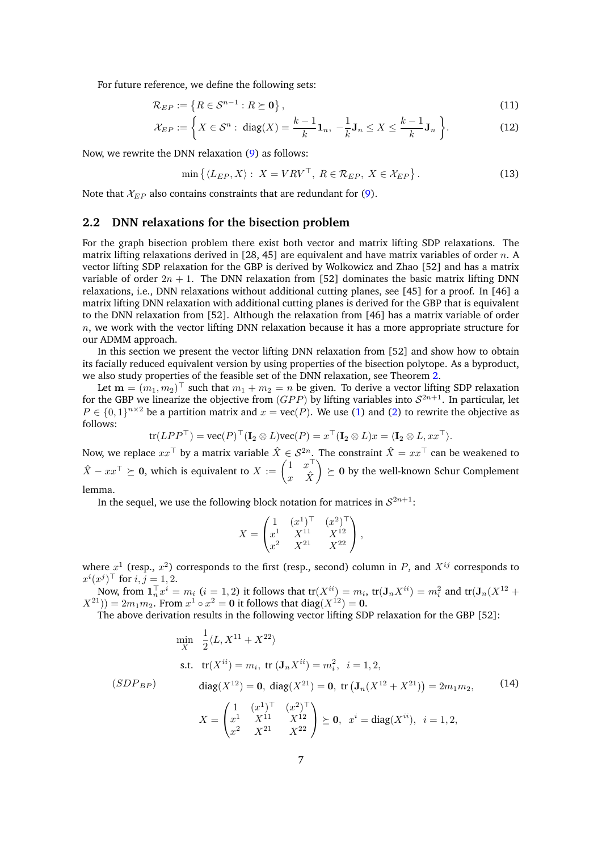For future reference, we define the following sets:

$$
\mathcal{R}_{EP} := \left\{ R \in \mathcal{S}^{n-1} : R \succeq \mathbf{0} \right\},\tag{11}
$$

$$
\mathcal{X}_{EP} := \left\{ X \in \mathcal{S}^n : \text{ diag}(X) = \frac{k-1}{k} \mathbf{1}_n, -\frac{1}{k} \mathbf{J}_n \le X \le \frac{k-1}{k} \mathbf{J}_n \right\}.
$$
 (12)

Now, we rewrite the DNN relaxation [\(9\)](#page-5-1) as follows:

<span id="page-6-4"></span><span id="page-6-3"></span><span id="page-6-2"></span>
$$
\min\left\{\langle L_{EP}, X\rangle: X = VRV^\top, R \in \mathcal{R}_{EP}, X \in \mathcal{X}_{EP}\right\}.
$$
\n(13)

Note that  $\mathcal{X}_{EP}$  also contains constraints that are redundant for [\(9\)](#page-5-1).

#### <span id="page-6-0"></span>**2.2 DNN relaxations for the bisection problem**

For the graph bisection problem there exist both vector and matrix lifting SDP relaxations. The matrix lifting relaxations derived in [\[28,](#page-29-0) [45\]](#page-30-3) are equivalent and have matrix variables of order *n*. A vector lifting SDP relaxation for the GBP is derived by Wolkowicz and Zhao [\[52\]](#page-30-2) and has a matrix variable of order  $2n + 1$ . The DNN relaxation from [\[52\]](#page-30-2) dominates the basic matrix lifting DNN relaxations, i.e., DNN relaxations without additional cutting planes, see [\[45\]](#page-30-3) for a proof. In [\[46\]](#page-30-4) a matrix lifting DNN relaxation with additional cutting planes is derived for the GBP that is equivalent to the DNN relaxation from [\[52\]](#page-30-2). Although the relaxation from [\[46\]](#page-30-4) has a matrix variable of order *n*, we work with the vector lifting DNN relaxation because it has a more appropriate structure for our ADMM approach.

In this section we present the vector lifting DNN relaxation from [\[52\]](#page-30-2) and show how to obtain its facially reduced equivalent version by using properties of the bisection polytope. As a byproduct, we also study properties of the feasible set of the DNN relaxation, see Theorem [2.](#page-7-0)

Let  $\mathbf{m} = (m_1, m_2)^{\top}$  such that  $m_1 + m_2 = n$  be given. To derive a vector lifting SDP relaxation for the GBP we linearize the objective from  $(GPP)$  by lifting variables into  $S^{2n+1}$ . In particular, let  $P \in \{0,1\}^{n \times 2}$  be a partition matrix and  $x = \text{vec}(P)$ . We use [\(1\)](#page-3-4) and [\(2\)](#page-3-5) to rewrite the objective as follows:

$$
\text{tr}(LPP^{\top}) = \text{vec}(P)^{\top} (\mathbf{I}_2 \otimes L) \text{vec}(P) = x^{\top} (\mathbf{I}_2 \otimes L) x = \langle \mathbf{I}_2 \otimes L, xx^{\top} \rangle.
$$

Now, we replace  $xx^{\top}$  by a matrix variable  $\hat{X} \in \mathcal{S}^{2n}$ . The constraint  $\hat{X} = xx^{\top}$  can be weakened to *X* − *xx*<sup>T</sup>  $\succeq$  **0**, which is equivalent to *X* :=  $\begin{pmatrix} 1 & x^{\top} \\ x & \hat{y} \end{pmatrix}$  $x \quad \hat{X}$  $\Theta$   $\succeq$  0 by the well-known Schur Complement lemma.

In the sequel, we use the following block notation for matrices in  $\mathcal{S}^{2n+1}$ :

<span id="page-6-1"></span>
$$
X = \begin{pmatrix} 1 & (x^1)^\top & (x^2)^\top \\ x^1 & X^{11} & X^{12} \\ x^2 & X^{21} & X^{22} \end{pmatrix},
$$

where  $x^1$  (resp.,  $x^2$ ) corresponds to the first (resp., second) column in *P*, and  $X^{ij}$  corresponds to  $x^{i}(x^{j})^{\top}$  for  $i, j = 1, 2$ .

Now, from  $\mathbf{1}_n^{\top}x^i = m_i$   $(i = 1, 2)$  it follows that  $\text{tr}(X^{ii}) = m_i$ ,  $\text{tr}(\mathbf{J}_n X^{ii}) = m_i^2$  and  $\text{tr}(\mathbf{J}_n (X^{12} +$  $(X^{21})$ ) = 2 $m_1m_2$ . From  $x^1 \circ x^2 = 0$  it follows that diag( $X^{12}$ ) = 0.

The above derivation results in the following vector lifting SDP relaxation for the GBP [\[52\]](#page-30-2):

$$
\min_{X} \frac{1}{2} \langle L, X^{11} + X^{22} \rangle
$$
\ns.t.

\n
$$
\text{tr}(X^{ii}) = m_i, \text{ tr}(J_n X^{ii}) = m_i^2, \quad i = 1, 2,
$$
\n
$$
\text{diag}(X^{12}) = \mathbf{0}, \quad \text{diag}(X^{21}) = \mathbf{0}, \text{ tr}(J_n (X^{12} + X^{21})) = 2m_1 m_2,
$$
\n
$$
X = \begin{pmatrix} 1 & (x^1)^\top & (x^2)^\top \\ x^1 & X^{11} & X^{12} \\ x^2 & X^{21} & X^{22} \end{pmatrix} \succeq \mathbf{0}, \quad x^i = \text{diag}(X^{ii}), \quad i = 1, 2,
$$
\n(14)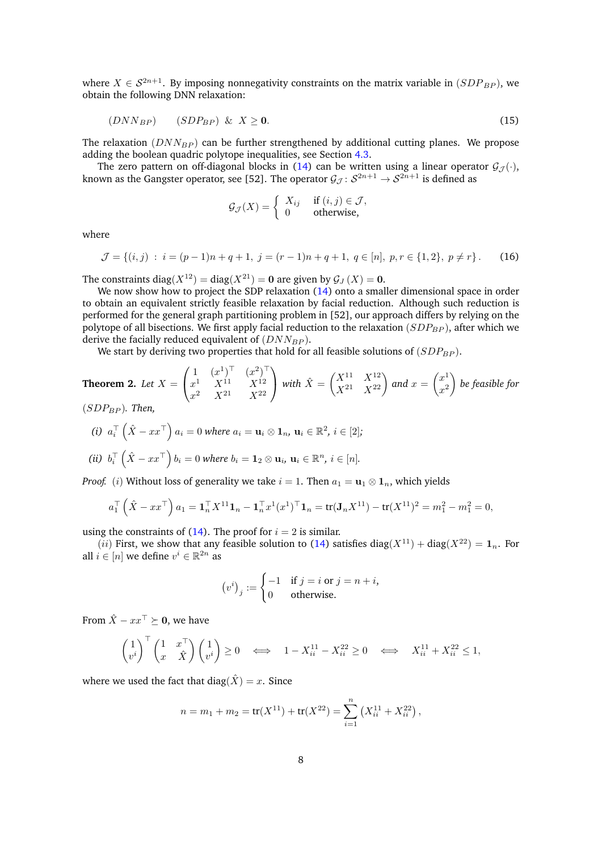where  $X \in \mathcal{S}^{2n+1}$ . By imposing nonnegativity constraints on the matrix variable in  $(SDP_{BP})$ , we obtain the following DNN relaxation:

$$
(DNN_{BP}) \qquad (SDP_{BP}) \& X \ge 0. \tag{15}
$$

The relaxation ( $DNN_{BP}$ ) can be further strengthened by additional cutting planes. We propose adding the boolean quadric polytope inequalities, see Section [4.3.](#page-17-0)

The zero pattern on off-diagonal blocks in [\(14\)](#page-6-1) can be written using a linear operator  $\mathcal{G}_{\mathcal{J}}(\cdot)$ , known as the Gangster operator, see [\[52\]](#page-30-2). The operator  $\mathcal{G}_\mathcal{J} \colon \mathcal{S}^{2n+1} \to \mathcal{S}^{2n+1}$  is defined as

<span id="page-7-2"></span><span id="page-7-1"></span>
$$
\mathcal{G}_{\mathcal{J}}(X) = \begin{cases} X_{ij} & \text{if } (i,j) \in \mathcal{J}, \\ 0 & \text{otherwise}, \end{cases}
$$

where

$$
\mathcal{J} = \{(i,j) : i = (p-1)n + q + 1, j = (r-1)n + q + 1, q \in [n], p, r \in \{1,2\}, p \neq r\}.
$$
 (16)

The constraints diag( $X^{12}$ ) = diag( $X^{21}$ ) = 0 are given by  $\mathcal{G}_J(X) = 0$ .

We now show how to project the SDP relaxation [\(14\)](#page-6-1) onto a smaller dimensional space in order to obtain an equivalent strictly feasible relaxation by facial reduction. Although such reduction is performed for the general graph partitioning problem in [\[52\]](#page-30-2), our approach differs by relying on the polytope of all bisections. We first apply facial reduction to the relaxation (*SDPBP* ), after which we derive the facially reduced equivalent of (*DNNBP* ).

We start by deriving two properties that hold for all feasible solutions of  $(SDP_{BP})$ .

<span id="page-7-0"></span>**Theorem 2.** Let 
$$
X = \begin{pmatrix} 1 & (x^1)^\top & (x^2)^\top \\ x^1 & X^{11} & X^{12} \\ x^2 & X^{21} & X^{22} \end{pmatrix}
$$
 with  $\hat{X} = \begin{pmatrix} X^{11} & X^{12} \\ X^{21} & X^{22} \end{pmatrix}$  and  $x = \begin{pmatrix} x^1 \\ x^2 \end{pmatrix}$  be feasible for  $(SDP_{BP})$ . Then,

(i) 
$$
a_i^\top (\hat{X} - xx^\top) a_i = 0
$$
 where  $a_i = \mathbf{u}_i \otimes \mathbf{1}_n$ ,  $\mathbf{u}_i \in \mathbb{R}^2$ ,  $i \in [2]$ ;  
\n(ii)  $b_i^\top (\hat{X} - xx^\top) b_i = 0$  where  $b_i = \mathbf{1}_2 \otimes \mathbf{u}_i$ ,  $\mathbf{u}_i \in \mathbb{R}^n$ ,  $i \in [n]$ .

*Proof.* (*i*) Without loss of generality we take  $i = 1$ . Then  $a_1 = \mathbf{u}_1 \otimes \mathbf{1}_n$ , which yields

$$
a_1^{\top}(\hat{X} - xx^{\top})a_1 = \mathbf{1}_n^{\top}X^{11}\mathbf{1}_n - \mathbf{1}_n^{\top}x^1(x^1)^{\top}\mathbf{1}_n = \text{tr}(\mathbf{J}_nX^{11}) - \text{tr}(X^{11})^2 = m_1^2 - m_1^2 = 0,
$$

using the constraints of  $(14)$ . The proof for  $i = 2$  is similar.

(*ii*) First, we show that any feasible solution to [\(14\)](#page-6-1) satisfies diag( $X^{11}$ ) + diag( $X^{22}$ ) = 1<sub>*n*</sub>. For all  $i \in [n]$  we define  $v^i \in \mathbb{R}^{2n}$  as

$$
(v^i)_j := \begin{cases} -1 & \text{if } j = i \text{ or } j = n+i, \\ 0 & \text{otherwise.} \end{cases}
$$

From  $\hat{X} - xx^{\top} \succeq 0$ , we have

$$
\begin{pmatrix} 1 \\ v^i \end{pmatrix}^\top \begin{pmatrix} 1 & x^\top \\ x & \hat{X} \end{pmatrix} \begin{pmatrix} 1 \\ v^i \end{pmatrix} \ge 0 \iff 1 - X_{ii}^{11} - X_{ii}^{22} \ge 0 \iff X_{ii}^{11} + X_{ii}^{22} \le 1,
$$

where we used the fact that  $diag(\hat{X}) = x$ . Since

$$
n = m_1 + m_2 = \text{tr}(X^{11}) + \text{tr}(X^{22}) = \sum_{i=1}^{n} (X_{ii}^{11} + X_{ii}^{22}),
$$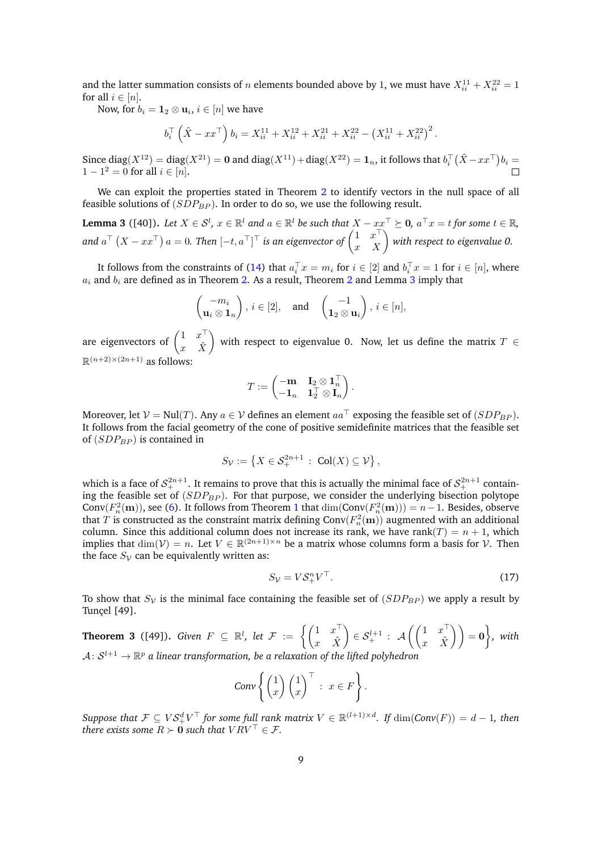and the latter summation consists of *n* elements bounded above by 1, we must have  $X_{ii}^{11} + X_{ii}^{22} = 1$ for all  $i \in [n]$ .

Now, for  $b_i = \mathbf{1}_2 \otimes \mathbf{u}_i, \, i \in [n]$  we have

$$
b_i^{\top} \left( \hat{X} - xx^{\top} \right) b_i = X_{ii}^{11} + X_{ii}^{12} + X_{ii}^{21} + X_{ii}^{22} - \left( X_{ii}^{11} + X_{ii}^{22} \right)^2.
$$

Since  $diag(X^{12}) = diag(X^{21}) = 0$  and  $diag(X^{11}) + diag(X^{22}) = 1_n$ , it follows that  $b_i^{\top}(\hat{X} - xx^{\top})b_i = 0$  $1 - 1^2 = 0$  for all  $i \in [n]$ .

We can exploit the properties stated in Theorem [2](#page-7-0) to identify vectors in the null space of all feasible solutions of (*SDPBP* ). In order to do so, we use the following result.

<span id="page-8-0"></span>**Lemma 3** ([\[40\]](#page-30-6)). Let  $X \in \mathcal{S}^l$ ,  $x \in \mathbb{R}^l$  and  $a \in \mathbb{R}^l$  be such that  $X - xx^\top \succeq \mathbf{0}$ ,  $a^\top x = t$  for some  $t \in \mathbb{R}$ , and  $a^\top\left(X - xx^\top\right)a = 0$ . Then  $[-t, a^\top]^\top$  is an eigenvector of  $\begin{pmatrix} 1 & x^\top\ x & X \end{pmatrix}$  with respect to eigenvalue 0.

It follows from the constraints of [\(14\)](#page-6-1) that  $a_i^\top x = m_i$  for  $i \in [2]$  and  $b_i^\top x = 1$  for  $i \in [n]$ , where *a<sup>i</sup>* and *b<sup>i</sup>* are defined as in Theorem [2.](#page-7-0) As a result, Theorem [2](#page-7-0) and Lemma [3](#page-8-0) imply that

$$
\begin{pmatrix} -m_i \\ \mathbf{u}_i \otimes \mathbf{1}_n \end{pmatrix}, i \in [2], \text{ and } \begin{pmatrix} -1 \\ \mathbf{1}_2 \otimes \mathbf{u}_i \end{pmatrix}, i \in [n],
$$

are eigenvectors of  $\begin{pmatrix} 1 & x^{\top} \\ x & \hat{v} \end{pmatrix}$  $x \quad \hat{X}$ with respect to eigenvalue 0. Now, let us define the matrix  $T \in$  $\mathbb{R}^{(n+2)\times(2n+1)}$  as follows:

$$
T:=\begin{pmatrix}-\mathbf m & \mathbf I_2\otimes \mathbf 1_n^\top\\ -\mathbf 1_n & \mathbf 1_2^\top\otimes \mathbf I_n\end{pmatrix}.
$$

Moreover, let  $V = \text{Nul}(T)$ . Any  $a \in V$  defines an element  $aa^T$  exposing the feasible set of  $(SDP_{BP})$ . It follows from the facial geometry of the cone of positive semidefinite matrices that the feasible set of  $(SDP_{BP})$  is contained in

$$
S_{\mathcal{V}} := \left\{ X \in \mathcal{S}_+^{2n+1} : \operatorname{Col}(X) \subseteq \mathcal{V} \right\},\
$$

which is a face of  $\mathcal{S}_+^{2n+1}$ . It remains to prove that this is actually the minimal face of  $\mathcal{S}_+^{2n+1}$  containing the feasible set of (*SDPBP* ). For that purpose, we consider the underlying bisection polytope Conv $(F_n^2(\mathbf{m}))$ , see [\(6\)](#page-4-2). It follows from Theorem [1](#page-4-3) that  $\dim(\text{Conv}(F_n^2(\mathbf{m}))) = n - 1$ . Besides, observe that  $T$  is constructed as the constraint matrix defining  $\text{Conv}(F_n^2(\textbf{m}))$  augmented with an additional column. Since this additional column does not increase its rank, we have rank $(T) = n + 1$ , which implies that  $\dim(\mathcal{V}) = n$ . Let  $V \in \mathbb{R}^{(2n+1)\times n}$  be a matrix whose columns form a basis for  $\mathcal{V}$ . Then the face  $S_V$  can be equivalently written as:

$$
S_{\mathcal{V}} = V \mathcal{S}_+^n V^\top. \tag{17}
$$

To show that  $S_V$  is the minimal face containing the feasible set of  $(SDP_{BP})$  we apply a result by Tunçel [\[49\]](#page-30-7).

<span id="page-8-1"></span>**Theorem 3** ([\[49\]](#page-30-7)). *Given*  $F \subseteq \mathbb{R}^l$ , let  $\mathcal{F} := \left\{ \begin{pmatrix} 1 & x^{\top} \\ x & \hat{y} \end{pmatrix} \right\}$  $x \quad \hat{X}$  $\left(\begin{matrix} 1 & x^{\top} \\ x & \hat{Y} \end{matrix}\right) \in \mathcal{S}_{+}^{l+1} : \mathcal{A}\left(\begin{pmatrix} 1 & x^{\top} \\ x & \hat{Y} \end{pmatrix}\right)$  $\begin{pmatrix} 1 & x^{\top} \ x & \hat{X} \end{pmatrix}$   $= 0$ , with  $\mathcal{A}\colon \mathcal{S}^{l+1} \to \mathbb{R}^p$  a linear transformation, be a relaxation of the lifted polyhedron

$$
Conv\left\{\begin{pmatrix}1\\x\end{pmatrix}\begin{pmatrix}1\\x\end{pmatrix}^{\top}: x \in F\right\}.
$$

 $Suppose\ that\ \mathcal{F}\subseteq V\mathcal{S}_+^dV^\top$  for some full rank matrix  $V\in\mathbb{R}^{(l+1)\times d}$ . If  $\dim(\mathcal{Conv}(F))=d-1$ , then *there exists some*  $R \succ 0$  *such that*  $V R V^{\top} \in \mathcal{F}$ .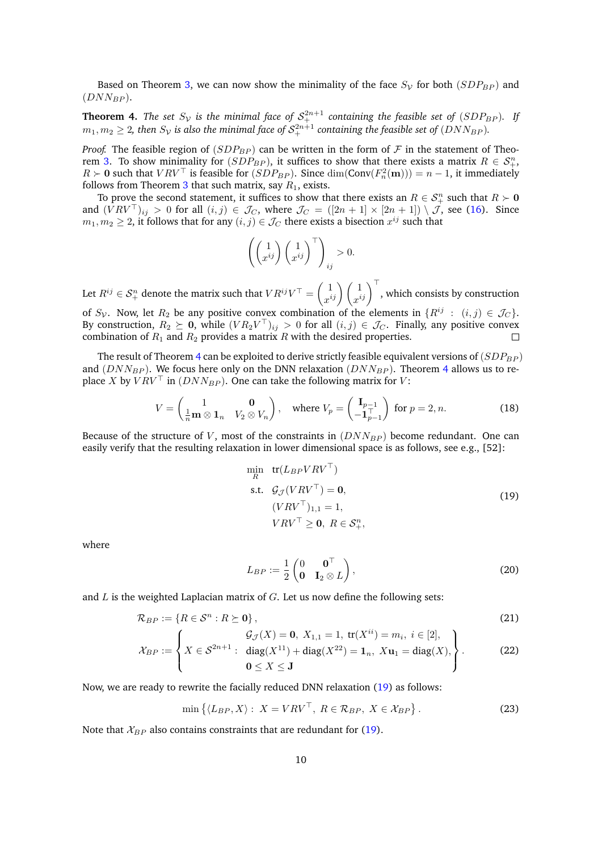Based on Theorem [3,](#page-8-1) we can now show the minimality of the face  $S_V$  for both  $(SDP_{BP})$  and  $(DNN_{BP})$ .

<span id="page-9-0"></span>**Theorem 4.** The set  $S_{\mathcal{V}}$  is the minimal face of  $\mathcal{S}_{+}^{2n+1}$  containing the feasible set of  $(SDP_{BP})$ . If  $m_1, m_2 \geq 2$ , then  $S_{\cal V}$  is also the minimal face of  ${\cal S}_+^{2n+1}$  containing the feasible set of  $(DNN_{BP})$ .

*Proof.* The feasible region of  $(SDP_{BP})$  can be written in the form of  $F$  in the statement of Theo-rem [3.](#page-8-1) To show minimality for  $(SDP_{BP})$ , it suffices to show that there exists a matrix  $R \in S^n_+$ , *R*  $>$  **0** such that *VRV*<sup>⊤</sup> is feasible for (*SDP<sub>BP</sub>*). Since  $\dim(\text{Conv}(F_n^2(\textbf{m}))) = n - 1$ , it immediately follows from Theorem [3](#page-8-1) that such matrix, say  $R_1$ , exists.

To prove the second statement, it suffices to show that there exists an  $R \in S^n_+$  such that  $R \succ 0$ and  $(VRV^{\top})_{ij} > 0$  for all  $(i, j) \in \mathcal{J}_C$ , where  $\mathcal{J}_C = ([2n + 1] \times [2n + 1]) \setminus \mathcal{J}$ , see [\(16\)](#page-7-1). Since  $m_1, m_2 \geq 2$ , it follows that for any  $(i, j) \in \mathcal{J}_C$  there exists a bisection  $x^{ij}$  such that

$$
\left( \begin{pmatrix} 1 \\ x^{ij} \end{pmatrix} \begin{pmatrix} 1 \\ x^{ij} \end{pmatrix}^{\top} \right)_{ij} > 0.
$$

Let  $R^{ij} \in \mathcal{S}_{+}^{n}$  denote the matrix such that  $VR^{ij}V^{\top} = \begin{pmatrix} 1 \ n^{i} \end{pmatrix}$  $\begin{pmatrix} 1 \ x^{ij} \end{pmatrix} \begin{pmatrix} 1 \ x^{ij} \end{pmatrix}^\top$ , which consists by construction of  $S_\mathcal{V}$ . Now, let  $R_2$  be any positive convex combination of the elements in  $\{R^{ij} : (i,j) \in \mathcal{J}_C\}$ .

By construction,  $R_2 \succeq 0$ , while  $(V R_2 V^\top)_{ij} > 0$  for all  $(i, j) \in \mathcal{J}_C$ . Finally, any positive convex combination of  $R_1$  and  $R_2$  provides a matrix  $R$  with the desired properties.  $\Box$ 

The result of Theorem [4](#page-9-0) can be exploited to derive strictly feasible equivalent versions of  $(SDP_{BP})$ and  $(DNN_{BP})$ . We focus here only on the DNN relaxation  $(DNN_{BP})$ . Theorem [4](#page-9-0) allows us to replace *X* by  $V R V^{\top}$  in  $(D N N_{BP})$ . One can take the following matrix for *V*:

$$
V = \begin{pmatrix} 1 & \mathbf{0} \\ \frac{1}{n} \mathbf{m} \otimes \mathbf{1}_n & V_2 \otimes V_n \end{pmatrix}, \quad \text{where } V_p = \begin{pmatrix} \mathbf{I}_{p-1} \\ -\mathbf{1}_{p-1}^\top \end{pmatrix} \text{ for } p = 2, n. \tag{18}
$$

Because of the structure of *V*, most of the constraints in  $(DNN_{BP})$  become redundant. One can easily verify that the resulting relaxation in lower dimensional space is as follows, see e.g., [\[52\]](#page-30-2):

<span id="page-9-6"></span><span id="page-9-1"></span>
$$
\min_{R} \quad \text{tr}(L_{BP}VRV^{\top})
$$
\n
$$
\text{s.t.} \quad \mathcal{G}_{\mathcal{J}}(VRV^{\top}) = \mathbf{0},
$$
\n
$$
(VRV^{\top})_{1,1} = 1,
$$
\n
$$
VRV^{\top} \geq \mathbf{0}, \ R \in \mathcal{S}_{+}^{n},
$$
\n
$$
(19)
$$

where

<span id="page-9-5"></span><span id="page-9-4"></span><span id="page-9-3"></span>
$$
L_{BP} := \frac{1}{2} \begin{pmatrix} 0 & \mathbf{0}^{\top} \\ \mathbf{0} & \mathbf{I}_2 \otimes L \end{pmatrix},
$$
 (20)

and *L* is the weighted Laplacian matrix of *G*. Let us now define the following sets:

$$
\mathcal{R}_{BP} := \{ R \in \mathcal{S}^n : R \succeq \mathbf{0} \},\tag{21}
$$

$$
\mathcal{X}_{BP} := \left\{ X \in \mathcal{S}^{2n+1} : \begin{array}{l} \mathcal{G}_{\mathcal{J}}(X) = \mathbf{0}, \ X_{1,1} = 1, \ \text{tr}(X^{ii}) = m_i, \ i \in [2], \\ X \in \mathcal{S}^{2n+1} : \ \text{diag}(X^{11}) + \text{diag}(X^{22}) = \mathbf{1}_n, \ X\mathbf{u}_1 = \text{diag}(X), \\ \mathbf{0} \le X \le \mathbf{J} \end{array} \right\}.
$$
 (22)

Now, we are ready to rewrite the facially reduced DNN relaxation [\(19\)](#page-9-1) as follows:

<span id="page-9-2"></span>
$$
\min\left\{\langle L_{BP}, X\rangle: X = VRV^{\top}, R \in \mathcal{R}_{BP}, X \in \mathcal{X}_{BP}\right\}.
$$
\n(23)

Note that  $\mathcal{X}_{BP}$  also contains constraints that are redundant for [\(19\)](#page-9-1).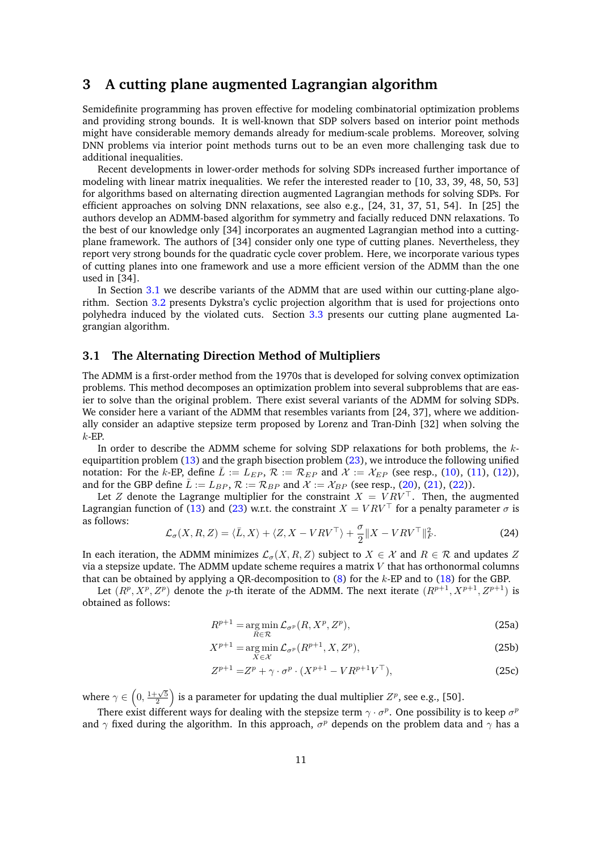# <span id="page-10-0"></span>**3 A cutting plane augmented Lagrangian algorithm**

Semidefinite programming has proven effective for modeling combinatorial optimization problems and providing strong bounds. It is well-known that SDP solvers based on interior point methods might have considerable memory demands already for medium-scale problems. Moreover, solving DNN problems via interior point methods turns out to be an even more challenging task due to additional inequalities.

Recent developments in lower-order methods for solving SDPs increased further importance of modeling with linear matrix inequalities. We refer the interested reader to [\[10,](#page-28-5) [33,](#page-29-7) [39,](#page-30-8) [48,](#page-30-9) [50,](#page-30-10) [53\]](#page-30-11) for algorithms based on alternating direction augmented Lagrangian methods for solving SDPs. For efficient approaches on solving DNN relaxations, see also e.g., [\[24,](#page-29-8) [31,](#page-29-9) [37,](#page-30-12) [51,](#page-30-13) [54\]](#page-30-14). In [\[25\]](#page-29-10) the authors develop an ADMM-based algorithm for symmetry and facially reduced DNN relaxations. To the best of our knowledge only [\[34\]](#page-29-11) incorporates an augmented Lagrangian method into a cuttingplane framework. The authors of [\[34\]](#page-29-11) consider only one type of cutting planes. Nevertheless, they report very strong bounds for the quadratic cycle cover problem. Here, we incorporate various types of cutting planes into one framework and use a more efficient version of the ADMM than the one used in [\[34\]](#page-29-11).

In Section [3.1](#page-10-1) we describe variants of the ADMM that are used within our cutting-plane algorithm. Section [3.2](#page-11-0) presents Dykstra's cyclic projection algorithm that is used for projections onto polyhedra induced by the violated cuts. Section [3.3](#page-13-0) presents our cutting plane augmented Lagrangian algorithm.

### <span id="page-10-1"></span>**3.1 The Alternating Direction Method of Multipliers**

The ADMM is a first-order method from the 1970s that is developed for solving convex optimization problems. This method decomposes an optimization problem into several subproblems that are easier to solve than the original problem. There exist several variants of the ADMM for solving SDPs. We consider here a variant of the ADMM that resembles variants from [\[24,](#page-29-8) [37\]](#page-30-12), where we additionally consider an adaptive stepsize term proposed by Lorenz and Tran-Dinh [\[32\]](#page-29-12) when solving the *k*-EP.

In order to describe the ADMM scheme for solving SDP relaxations for both problems, the *k*equipartition problem [\(13\)](#page-6-2) and the graph bisection problem [\(23\)](#page-9-2), we introduce the following unified notation: For the *k*-EP, define  $\overline{L} := L_{EP}$ ,  $\mathcal{R} := \mathcal{R}_{EP}$  and  $\mathcal{X} := \mathcal{X}_{EP}$  (see resp., [\(10\)](#page-5-2), [\(11\)](#page-6-3), [\(12\)](#page-6-4)), and for the GBP define  $\bar{L} := L_{BP}$ ,  $\mathcal{R} := \mathcal{R}_{BP}$  and  $\mathcal{X} := \mathcal{X}_{BP}$  (see resp., [\(20\)](#page-9-3), [\(21\)](#page-9-4), [\(22\)](#page-9-5)).

Let *Z* denote the Lagrange multiplier for the constraint  $X = VRV^{\top}$ . Then, the augmented Lagrangian function of [\(13\)](#page-6-2) and [\(23\)](#page-9-2) w.r.t. the constraint  $X = VRV^{\top}$  for a penalty parameter  $\sigma$  is as follows:

<span id="page-10-5"></span>
$$
\mathcal{L}_{\sigma}(X, R, Z) = \langle \bar{L}, X \rangle + \langle Z, X - VRV^{\top} \rangle + \frac{\sigma}{2} \| X - VRV^{\top} \|_{F}^{2}.
$$
 (24)

In each iteration, the ADMM minimizes  $\mathcal{L}_{\sigma}(X, R, Z)$  subject to  $X \in \mathcal{X}$  and  $R \in \mathcal{R}$  and updates *Z* via a stepsize update. The ADMM update scheme requires a matrix *V* that has orthonormal columns that can be obtained by applying a QR-decomposition to [\(8\)](#page-5-3) for the *k*-EP and to [\(18\)](#page-9-6) for the GBP.

Let  $(R^p, X^p, Z^p)$  denote the *p*-th iterate of the ADMM. The next iterate  $(R^{p+1}, X^{p+1}, Z^{p+1})$  is obtained as follows:

<span id="page-10-4"></span><span id="page-10-3"></span><span id="page-10-2"></span>
$$
R^{p+1} = \underset{R \in \mathcal{R}}{\arg \min} \mathcal{L}_{\sigma^p}(R, X^p, Z^p),\tag{25a}
$$

$$
X^{p+1} = \underset{X \in \mathcal{X}}{\arg \min} \mathcal{L}_{\sigma^p}(R^{p+1}, X, Z^p),\tag{25b}
$$

$$
Z^{p+1} = Z^p + \gamma \cdot \sigma^p \cdot (X^{p+1} - VR^{p+1}V^{\top}),
$$
\n(25c)

where  $\gamma \in \left(0, \frac{1+\sqrt{5}}{2}\right)$  is a parameter for updating the dual multiplier  $Z^p$ , see e.g., [\[50\]](#page-30-10).

There exist different ways for dealing with the stepsize term  $\gamma \cdot \sigma^p$ . One possibility is to keep  $\sigma^p$ and *γ* fixed during the algorithm. In this approach, *σ <sup>p</sup>* depends on the problem data and *γ* has a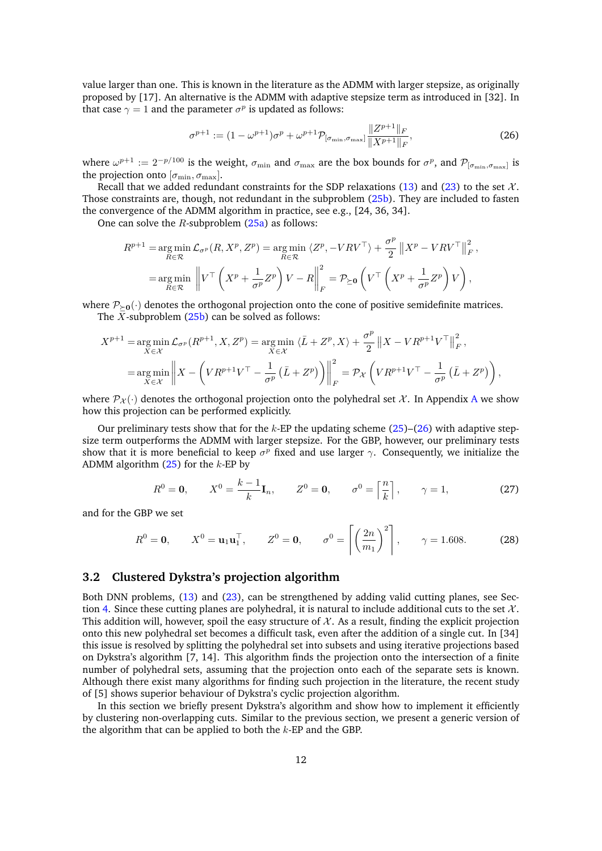value larger than one. This is known in the literature as the ADMM with larger stepsize, as originally proposed by [\[17\]](#page-28-6). An alternative is the ADMM with adaptive stepsize term as introduced in [\[32\]](#page-29-12). In that case  $\gamma = 1$  and the parameter  $\sigma^p$  is updated as follows:

<span id="page-11-1"></span>
$$
\sigma^{p+1} := (1 - \omega^{p+1})\sigma^p + \omega^{p+1} \mathcal{P}_{[\sigma_{\min}, \sigma_{\max}]} \frac{\|Z^{p+1}\|_F}{\|X^{p+1}\|_F},\tag{26}
$$

where  $\omega^{p+1} := 2^{-p/100}$  is the weight,  $\sigma_{\min}$  and  $\sigma_{\max}$  are the box bounds for  $\sigma^p$ , and  $\mathcal{P}_{[\sigma_{\min},\sigma_{\max}]}$  is the projection onto  $[\sigma_{\min}, \sigma_{\max}]$ .

Recall that we added redundant constraints for the SDP relaxations [\(13\)](#page-6-2) and [\(23\)](#page-9-2) to the set  $\mathcal{X}$ . Those constraints are, though, not redundant in the subproblem [\(25b\)](#page-10-2). They are included to fasten the convergence of the ADMM algorithm in practice, see e.g., [\[24,](#page-29-8) [36,](#page-29-13) [34\]](#page-29-11).

One can solve the *R*-subproblem [\(25a\)](#page-10-3) as follows:

$$
R^{p+1} = \underset{R \in \mathcal{R}}{\arg \min} \mathcal{L}_{\sigma^p}(R, X^p, Z^p) = \underset{R \in \mathcal{R}}{\arg \min} \langle Z^p, -VRV^\top \rangle + \frac{\sigma^p}{2} ||X^p - VRV^\top||_F^2,
$$
  
= 
$$
\underset{R \in \mathcal{R}}{\arg \min} \left\| V^\top \left( X^p + \frac{1}{\sigma^p} Z^p \right) V - R \right\|_F^2 = \mathcal{P}_{\succeq 0} \left( V^\top \left( X^p + \frac{1}{\sigma^p} Z^p \right) V \right),
$$

where  $P_{\geq 0}(\cdot)$  denotes the orthogonal projection onto the cone of positive semidefinite matrices. The *X*-subproblem [\(25b\)](#page-10-2) can be solved as follows:

$$
X^{p+1} = \underset{X \in \mathcal{X}}{\arg \min} \mathcal{L}_{\sigma^p}(R^{p+1}, X, Z^p) = \underset{X \in \mathcal{X}}{\arg \min} \langle \bar{L} + Z^p, X \rangle + \frac{\sigma^p}{2} ||X - VR^{p+1}V^\top||_F^2,
$$
  
= 
$$
\underset{X \in \mathcal{X}}{\arg \min} \left\| X - \left( VR^{p+1}V^\top - \frac{1}{\sigma^p} (\bar{L} + Z^p) \right) \right\|_F^2 = \mathcal{P}_{\mathcal{X}} \left( VR^{p+1}V^\top - \frac{1}{\sigma^p} (\bar{L} + Z^p) \right),
$$

where  $\mathcal{P}_{\chi}(\cdot)$  denotes the orthogonal projection onto the polyhedral set X. In [A](#page-31-0)ppendix A we show how this projection can be performed explicitly.

Our preliminary tests show that for the *k*-EP the updating scheme [\(25\)](#page-10-4)–[\(26\)](#page-11-1) with adaptive stepsize term outperforms the ADMM with larger stepsize. For the GBP, however, our preliminary tests show that it is more beneficial to keep  $\sigma^p$  fixed and use larger  $\gamma$ . Consequently, we initialize the ADMM algorithm [\(25\)](#page-10-4) for the *k*-EP by

<span id="page-11-3"></span><span id="page-11-2"></span>
$$
R^{0} = \mathbf{0}, \qquad X^{0} = \frac{k-1}{k} \mathbf{I}_{n}, \qquad Z^{0} = \mathbf{0}, \qquad \sigma^{0} = \left\lceil \frac{n}{k} \right\rceil, \qquad \gamma = 1, \tag{27}
$$

and for the GBP we set

$$
R^0 = \mathbf{0}, \qquad X^0 = \mathbf{u}_1 \mathbf{u}_1^\top, \qquad Z^0 = \mathbf{0}, \qquad \sigma^0 = \left[ \left( \frac{2n}{m_1} \right)^2 \right], \qquad \gamma = 1.608.
$$
 (28)

### <span id="page-11-0"></span>**3.2 Clustered Dykstra's projection algorithm**

Both DNN problems, [\(13\)](#page-6-2) and [\(23\)](#page-9-2), can be strengthened by adding valid cutting planes, see Sec-tion [4.](#page-15-0) Since these cutting planes are polyhedral, it is natural to include additional cuts to the set  $\mathcal{X}$ . This addition will, however, spoil the easy structure of  $X$ . As a result, finding the explicit projection onto this new polyhedral set becomes a difficult task, even after the addition of a single cut. In [\[34\]](#page-29-11) this issue is resolved by splitting the polyhedral set into subsets and using iterative projections based on Dykstra's algorithm [\[7,](#page-28-7) [14\]](#page-28-8). This algorithm finds the projection onto the intersection of a finite number of polyhedral sets, assuming that the projection onto each of the separate sets is known. Although there exist many algorithms for finding such projection in the literature, the recent study of [\[5\]](#page-28-9) shows superior behaviour of Dykstra's cyclic projection algorithm.

In this section we briefly present Dykstra's algorithm and show how to implement it efficiently by clustering non-overlapping cuts. Similar to the previous section, we present a generic version of the algorithm that can be applied to both the *k*-EP and the GBP.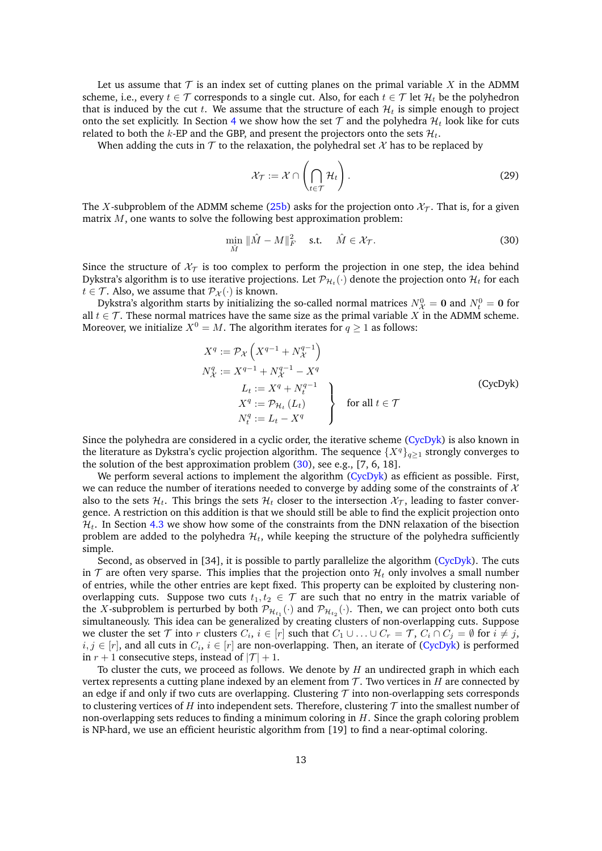Let us assume that  $\mathcal T$  is an index set of cutting planes on the primal variable  $X$  in the ADMM scheme, i.e., every  $t \in \mathcal{T}$  corresponds to a single cut. Also, for each  $t \in \mathcal{T}$  let  $\mathcal{H}_t$  be the polyhedron that is induced by the cut  $t$ . We assume that the structure of each  $\mathcal{H}_t$  is simple enough to project onto the set explicitly. In Section [4](#page-15-0) we show how the set  $\mathcal T$  and the polyhedra  $\mathcal H_t$  look like for cuts related to both the  $k$ -EP and the GBP, and present the projectors onto the sets  $\mathcal{H}_t$ .

When adding the cuts in  $\mathcal T$  to the relaxation, the polyhedral set  $\mathcal X$  has to be replaced by

<span id="page-12-2"></span><span id="page-12-1"></span>
$$
\mathcal{X}_{\mathcal{T}} := \mathcal{X} \cap \left( \bigcap_{t \in \mathcal{T}} \mathcal{H}_t \right). \tag{29}
$$

The *X*-subproblem of the ADMM scheme [\(25b\)](#page-10-2) asks for the projection onto  $\mathcal{X}_{\tau}$ . That is, for a given matrix *M*, one wants to solve the following best approximation problem:

$$
\min_{\hat{M}} \|\hat{M} - M\|_{F}^{2} \quad \text{s.t.} \quad \hat{M} \in \mathcal{X}_{\mathcal{T}}.\tag{30}
$$

Since the structure of  $\mathcal{X}_T$  is too complex to perform the projection in one step, the idea behind Dykstra's algorithm is to use iterative projections. Let  $\mathcal{P}_{\mathcal{H}_t}(\cdot)$  denote the projection onto  $\mathcal{H}_t$  for each *t*  $\in$  *T*. Also, we assume that  $\mathcal{P}_{\mathcal{X}}(\cdot)$  is known.

Dykstra's algorithm starts by initializing the so-called normal matrices  $N^0_{\mathcal{X}} = \mathbf{0}$  and  $N^0_t = \mathbf{0}$  for all  $t \in \mathcal{T}$ . These normal matrices have the same size as the primal variable *X* in the ADMM scheme. Moreover, we initialize  $X^0 = M$ . The algorithm iterates for  $q \ge 1$  as follows:

<span id="page-12-0"></span>
$$
X^{q} := \mathcal{P}_{\mathcal{X}}\left(X^{q-1} + N_{\mathcal{X}}^{q-1}\right)
$$
  
\n
$$
N_{\mathcal{X}}^{q} := X^{q-1} + N_{\mathcal{X}}^{q-1} - X^{q}
$$
  
\n
$$
L_{t} := X^{q} + N_{t}^{q-1}
$$
  
\n
$$
X^{q} := \mathcal{P}_{\mathcal{H}_{t}}\left(L_{t}\right)
$$
  
\n
$$
N_{t}^{q} := L_{t} - X^{q}
$$
  
\nfor all  $t \in \mathcal{T}$  (CycDyk)

Since the polyhedra are considered in a cyclic order, the iterative scheme [\(CycDyk\)](#page-12-0) is also known in the literature as Dykstra's cyclic projection algorithm. The sequence  $\{X^q\}_{q>1}$  strongly converges to the solution of the best approximation problem [\(30\)](#page-12-1), see e.g., [\[7,](#page-28-7) [6,](#page-28-0) [18\]](#page-29-14).

We perform several actions to implement the algorithm [\(CycDyk\)](#page-12-0) as efficient as possible. First, we can reduce the number of iterations needed to converge by adding some of the constraints of  $X$ also to the sets  $\mathcal{H}_t$ . This brings the sets  $\mathcal{H}_t$  closer to the intersection  $\mathcal{X}_{\mathcal{T}}$ , leading to faster convergence. A restriction on this addition is that we should still be able to find the explicit projection onto  $\mathcal{H}_t$ . In Section [4.3](#page-17-0) we show how some of the constraints from the DNN relaxation of the bisection problem are added to the polyhedra  $\mathcal{H}_t$ , while keeping the structure of the polyhedra sufficiently simple.

Second, as observed in [\[34\]](#page-29-11), it is possible to partly parallelize the algorithm [\(CycDyk\)](#page-12-0). The cuts in  $T$  are often very sparse. This implies that the projection onto  $\mathcal{H}_t$  only involves a small number of entries, while the other entries are kept fixed. This property can be exploited by clustering nonoverlapping cuts. Suppose two cuts  $t_1, t_2 \in \mathcal{T}$  are such that no entry in the matrix variable of the *X*-subproblem is perturbed by both  $\mathcal{P}_{\mathcal{H}_{t_1}}(\cdot)$  and  $\mathcal{P}_{\mathcal{H}_{t_2}}(\cdot)$ . Then, we can project onto both cuts simultaneously. This idea can be generalized by creating clusters of non-overlapping cuts. Suppose we cluster the set  $\mathcal T$  into  $r$  clusters  $C_i$ ,  $i \in [r]$  such that  $C_1 \cup \ldots \cup C_r = \mathcal T$ ,  $C_i \cap C_j = \emptyset$  for  $i \neq j$ ,  $i, j \in [r]$ , and all cuts in  $C_i$ ,  $i \in [r]$  are non-overlapping. Then, an iterate of [\(CycDyk\)](#page-12-0) is performed in  $r + 1$  consecutive steps, instead of  $|\mathcal{T}| + 1$ .

To cluster the cuts, we proceed as follows. We denote by *H* an undirected graph in which each vertex represents a cutting plane indexed by an element from  $\mathcal T$ . Two vertices in *H* are connected by an edge if and only if two cuts are overlapping. Clustering  $\tau$  into non-overlapping sets corresponds to clustering vertices of *H* into independent sets. Therefore, clustering  $\tau$  into the smallest number of non-overlapping sets reduces to finding a minimum coloring in *H*. Since the graph coloring problem is NP-hard, we use an efficient heuristic algorithm from [\[19\]](#page-29-15) to find a near-optimal coloring.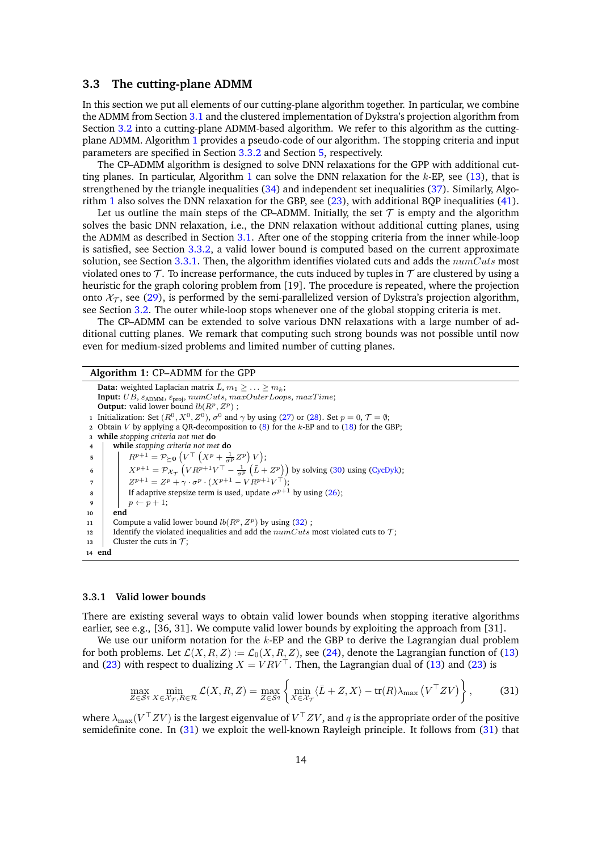### <span id="page-13-0"></span>**3.3 The cutting-plane ADMM**

In this section we put all elements of our cutting-plane algorithm together. In particular, we combine the ADMM from Section [3.1](#page-10-1) and the clustered implementation of Dykstra's projection algorithm from Section [3.2](#page-11-0) into a cutting-plane ADMM-based algorithm. We refer to this algorithm as the cuttingplane ADMM. Algorithm [1](#page-13-1) provides a pseudo-code of our algorithm. The stopping criteria and input parameters are specified in Section [3.3.2](#page-14-0) and Section [5,](#page-18-0) respectively.

The CP–ADMM algorithm is designed to solve DNN relaxations for the GPP with additional cutting planes. In particular, Algorithm [1](#page-13-1) can solve the DNN relaxation for the *k*-EP, see [\(13\)](#page-6-2), that is strengthened by the triangle inequalities [\(34\)](#page-15-2) and independent set inequalities [\(37\)](#page-16-1). Similarly, Algorithm [1](#page-13-1) also solves the DNN relaxation for the GBP, see [\(23\)](#page-9-2), with additional BQP inequalities [\(41\)](#page-17-1).

Let us outline the main steps of the CP–ADMM. Initially, the set  $\mathcal T$  is empty and the algorithm solves the basic DNN relaxation, i.e., the DNN relaxation without additional cutting planes, using the ADMM as described in Section [3.1.](#page-10-1) After one of the stopping criteria from the inner while-loop is satisfied, see Section [3.3.2,](#page-14-0) a valid lower bound is computed based on the current approximate solution, see Section [3.3.1.](#page-13-2) Then, the algorithm identifies violated cuts and adds the *numCuts* most violated ones to  $\mathcal T$ . To increase performance, the cuts induced by tuples in  $\mathcal T$  are clustered by using a heuristic for the graph coloring problem from [\[19\]](#page-29-15). The procedure is repeated, where the projection onto  $\mathcal{X}_{\mathcal{T}}$ , see [\(29\)](#page-12-2), is performed by the semi-parallelized version of Dykstra's projection algorithm, see Section [3.2.](#page-11-0) The outer while-loop stops whenever one of the global stopping criteria is met.

The CP–ADMM can be extended to solve various DNN relaxations with a large number of additional cutting planes. We remark that computing such strong bounds was not possible until now even for medium-sized problems and limited number of cutting planes.

#### <span id="page-13-1"></span>**Algorithm 1:** CP–ADMM for the GPP **Data:** weighted Laplacian matrix  $\bar{L}$ ,  $m_1 \geq \ldots \geq m_k$ ;  $\textbf{Input: } UB, \, \varepsilon_{\mathrm{ADMM}}, \, \varepsilon_{\mathrm{proj}}, \, numCuts, \, maxOuterLoops, \, maxTime; \\$ **Output:** valid lower bound  $lb(R^p, Z^p)$ : **1** Initialization: Set  $(R^0, X^0, Z^0)$ ,  $\sigma^0$  and  $\gamma$  by using [\(27\)](#page-11-2) or [\(28\)](#page-11-3). Set  $p = 0, \mathcal{T} = \emptyset$ ; **<sup>2</sup>** Obtain *V* by applying a QR-decomposition to [\(8\)](#page-5-3) for the *k*-EP and to [\(18\)](#page-9-6) for the GBP; **<sup>3</sup> while** *stopping criteria not met* **do <sup>4</sup> while** *stopping criteria not met* **do 5**  $R^{p+1} = \mathcal{P}_{\succeq 0} \left( V^{\top} \left( X^p + \frac{1}{\sigma^p} Z^p \right) V \right);$ **6**  $\left| \quad X^{p+1} = \mathcal{P}_{\mathcal{X}_{\mathcal{T}}} \left( VR^{p+1}V^{\top} - \frac{1}{\sigma^p} \left( \bar{L} + Z^p \right) \right)$  by solving [\(30\)](#page-12-1) using [\(CycDyk\)](#page-12-0);  $Z^{p+1} = Z^p + \gamma \cdot \sigma^p \cdot (X^{p+1} - VR^{p+1}V^{\top});$ **8 If adaptive stepsize term is used, update**  $\sigma^{p+1}$  **by using [\(26\)](#page-11-1);** 9  $p \leftarrow p+1$ ; **<sup>10</sup> end** 11 Compute a valid lower bound  $lb(R^p, Z^p)$  by using [\(32\)](#page-14-1); 12 Identify the violated inequalities and add the  $numCuts$  most violated cuts to  $\mathcal{T}$ ; **13** Cluster the cuts in  $\tau$ : **<sup>14</sup> end**

#### <span id="page-13-2"></span>**3.3.1 Valid lower bounds**

There are existing several ways to obtain valid lower bounds when stopping iterative algorithms earlier, see e.g., [\[36,](#page-29-13) [31\]](#page-29-9). We compute valid lower bounds by exploiting the approach from [\[31\]](#page-29-9).

We use our uniform notation for the *k*-EP and the GBP to derive the Lagrangian dual problem for both problems. Let  $\mathcal{L}(X, R, Z) := \mathcal{L}_0(X, R, Z)$ , see [\(24\)](#page-10-5), denote the Lagrangian function of [\(13\)](#page-6-2) and [\(23\)](#page-9-2) with respect to dualizing  $X = V R V^{\top}$ . Then, the Lagrangian dual of [\(13\)](#page-6-2) and (23) is

<span id="page-13-3"></span>
$$
\max_{Z \in \mathcal{S}^q} \min_{X \in \mathcal{X}_{\mathcal{T}}, R \in \mathcal{R}} \mathcal{L}(X, R, Z) = \max_{Z \in \mathcal{S}^q} \left\{ \min_{X \in \mathcal{X}_{\mathcal{T}}} \langle \bar{L} + Z, X \rangle - \text{tr}(R) \lambda_{\max} \left( V^\top Z V \right) \right\},\tag{31}
$$

where  $\lambda_{\max}(V^\top Z V)$  is the largest eigenvalue of  $V^\top Z V$ , and  $q$  is the appropriate order of the positive semidefinite cone. In [\(31\)](#page-13-3) we exploit the well-known Rayleigh principle. It follows from [\(31\)](#page-13-3) that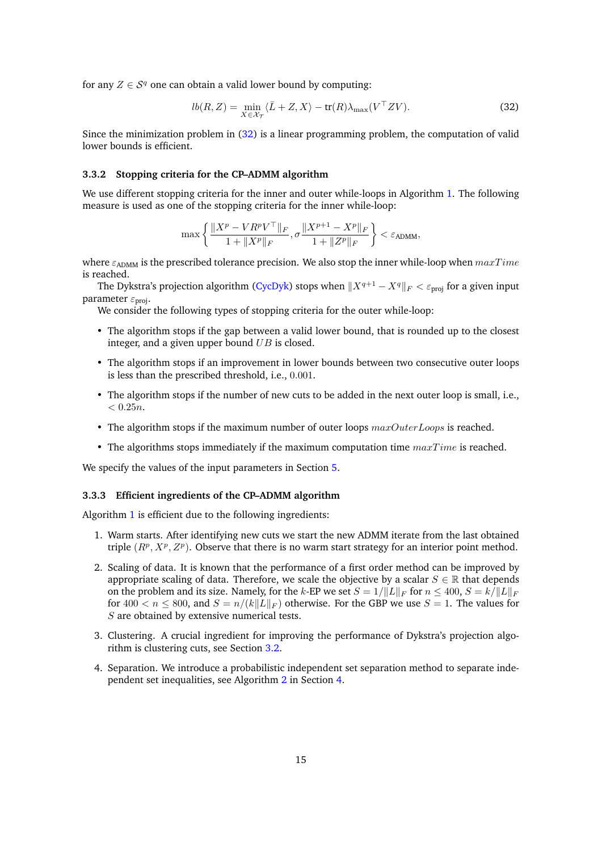for any  $Z \in \mathcal{S}^q$  one can obtain a valid lower bound by computing:

<span id="page-14-1"></span>
$$
lb(R, Z) = \min_{X \in \mathcal{X}_{\mathcal{T}}} \langle \bar{L} + Z, X \rangle - \text{tr}(R) \lambda_{\text{max}}(V^{\top} Z V). \tag{32}
$$

Since the minimization problem in [\(32\)](#page-14-1) is a linear programming problem, the computation of valid lower bounds is efficient.

#### <span id="page-14-0"></span>**3.3.2 Stopping criteria for the CP–ADMM algorithm**

We use different stopping criteria for the inner and outer while-loops in Algorithm [1.](#page-13-1) The following measure is used as one of the stopping criteria for the inner while-loop:

$$
\max\left\{\frac{\|X^p-VR^pV^\top\|_F}{1+\|X^p\|_F},\sigma\frac{\|X^{p+1}-X^p\|_F}{1+\|Z^p\|_F}\right\}<\varepsilon_{\text{ADMM}},
$$

where  $\varepsilon_{\text{ADMM}}$  is the prescribed tolerance precision. We also stop the inner while-loop when  $maxTime$ is reached.

The Dykstra's projection algorithm [\(CycDyk\)](#page-12-0) stops when  $||X^{q+1} - X^q||_F < \varepsilon$ <sub>proj</sub> for a given input parameter *ε*proj.

We consider the following types of stopping criteria for the outer while-loop:

- The algorithm stops if the gap between a valid lower bound, that is rounded up to the closest integer, and a given upper bound *UB* is closed.
- The algorithm stops if an improvement in lower bounds between two consecutive outer loops is less than the prescribed threshold, i.e., 0*.*001.
- The algorithm stops if the number of new cuts to be added in the next outer loop is small, i.e.,  $< 0.25n$ .
- The algorithm stops if the maximum number of outer loops *maxOuterLoops* is reached.
- The algorithms stops immediately if the maximum computation time *maxT ime* is reached.

We specify the values of the input parameters in Section [5.](#page-18-0)

#### **3.3.3 Efficient ingredients of the CP–ADMM algorithm**

Algorithm [1](#page-13-1) is efficient due to the following ingredients:

- 1. Warm starts. After identifying new cuts we start the new ADMM iterate from the last obtained triple  $(R^p, X^p, Z^p)$ . Observe that there is no warm start strategy for an interior point method.
- 2. Scaling of data. It is known that the performance of a first order method can be improved by appropriate scaling of data. Therefore, we scale the objective by a scalar  $S \in \mathbb{R}$  that depends on the problem and its size. Namely, for the *k*-EP we set  $S = 1/||L||_F$  for  $n \leq 400$ ,  $S = k/||L||_F$ for  $400 < n < 800$ , and  $S = n/(k||L||_F)$  otherwise. For the GBP we use  $S = 1$ . The values for *S* are obtained by extensive numerical tests.
- 3. Clustering. A crucial ingredient for improving the performance of Dykstra's projection algorithm is clustering cuts, see Section [3.2.](#page-11-0)
- 4. Separation. We introduce a probabilistic independent set separation method to separate independent set inequalities, see Algorithm [2](#page-17-2) in Section [4.](#page-15-0)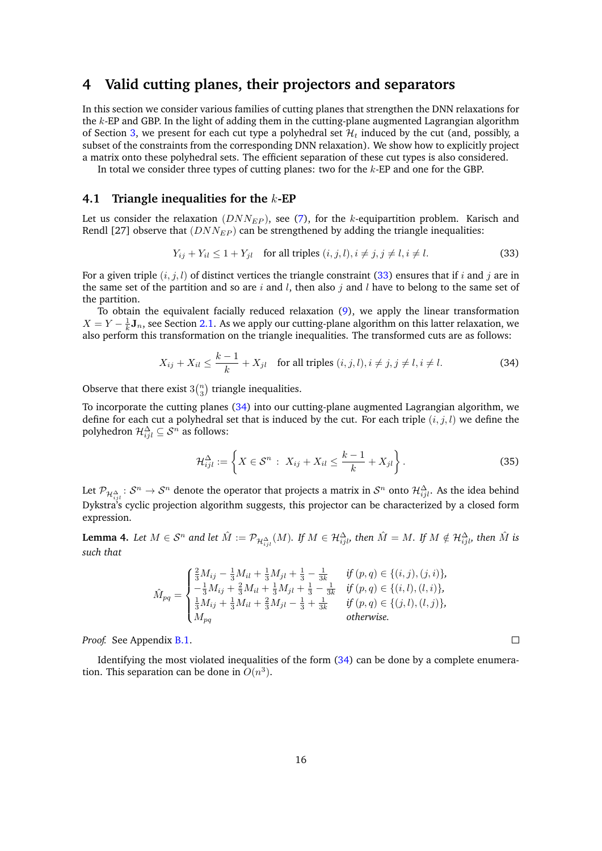# <span id="page-15-0"></span>**4 Valid cutting planes, their projectors and separators**

In this section we consider various families of cutting planes that strengthen the DNN relaxations for the *k*-EP and GBP. In the light of adding them in the cutting-plane augmented Lagrangian algorithm of Section [3,](#page-10-0) we present for each cut type a polyhedral set  $\mathcal{H}_t$  induced by the cut (and, possibly, a subset of the constraints from the corresponding DNN relaxation). We show how to explicitly project a matrix onto these polyhedral sets. The efficient separation of these cut types is also considered.

In total we consider three types of cutting planes: two for the *k*-EP and one for the GBP.

### <span id="page-15-1"></span>**4.1 Triangle inequalities for the** *k***-EP**

Let us consider the relaxation ( $DNN_{EP}$ ), see [\(7\)](#page-4-1), for the *k*-equipartition problem. Karisch and Rendl [\[27\]](#page-29-3) observe that  $(DNN_{EP})$  can be strengthened by adding the triangle inequalities:

<span id="page-15-3"></span>
$$
Y_{ij} + Y_{il} \le 1 + Y_{jl} \quad \text{for all triples } (i, j, l), i \ne j, j \ne l, i \ne l.
$$
 (33)

For a given triple  $(i, j, l)$  of distinct vertices the triangle constraint [\(33\)](#page-15-3) ensures that if *i* and *j* are in the same set of the partition and so are *i* and *l*, then also *j* and *l* have to belong to the same set of the partition.

To obtain the equivalent facially reduced relaxation [\(9\)](#page-5-1), we apply the linear transformation  $X = Y - \frac{1}{k} \mathbf{J}_n$ , see Section [2.1.](#page-4-0) As we apply our cutting-plane algorithm on this latter relaxation, we also perform this transformation on the triangle inequalities. The transformed cuts are as follows:

$$
X_{ij} + X_{il} \le \frac{k-1}{k} + X_{jl} \quad \text{for all triples } (i, j, l), i \ne j, j \ne l, i \ne l.
$$
 (34)

Observe that there exist  $3\binom{n}{3}$  triangle inequalities.

To incorporate the cutting planes [\(34\)](#page-15-2) into our cutting-plane augmented Lagrangian algorithm, we define for each cut a polyhedral set that is induced by the cut. For each triple (*i, j, l*) we define the polyhedron  $\mathcal{H}_{ijl}^{\Delta} \subseteq \mathcal{S}^n$  as follows:

$$
\mathcal{H}_{ijl}^{\Delta} := \left\{ X \in \mathcal{S}^n : X_{ij} + X_{il} \le \frac{k-1}{k} + X_{jl} \right\}.
$$
 (35)

<span id="page-15-2"></span> $\Box$ 

Let  $\mathcal{P}_{\mathcal{H}_{ijl}^{\Delta}}:\mathcal{S}^n\to\mathcal{S}^n$  denote the operator that projects a matrix in  $\mathcal{S}^n$  onto  $\mathcal{H}_{ijl}^{\Delta}.$  As the idea behind Dykstra's cyclic projection algorithm suggests, this projector can be characterized by a closed form expression.

<span id="page-15-4"></span>**Lemma 4.** Let  $M \in \mathcal{S}^n$  and let  $\hat{M} := \mathcal{P}_{\mathcal{H}_{ijl}^{\Delta}}(M).$  If  $M \in \mathcal{H}_{ijl}^{\Delta}$ , then  $\hat{M} = M.$  If  $M \notin \mathcal{H}_{ijl}^{\Delta}$ , then  $\hat{M}$  is *such that*

$$
\hat{M}_{pq} = \begin{cases}\n\frac{2}{3}M_{ij} - \frac{1}{3}M_{il} + \frac{1}{3}M_{jl} + \frac{1}{3} - \frac{1}{3k} & \text{if } (p, q) \in \{(i, j), (j, i)\}, \\
-\frac{1}{3}M_{ij} + \frac{2}{3}M_{il} + \frac{1}{3}M_{jl} + \frac{1}{3} - \frac{1}{3k} & \text{if } (p, q) \in \{(i, l), (l, i)\}, \\
\frac{1}{3}M_{ij} + \frac{1}{3}M_{il} + \frac{2}{3}M_{jl} - \frac{1}{3} + \frac{1}{3k} & \text{if } (p, q) \in \{(j, l), (l, j)\}, \\
M_{pq} & \text{otherwise.} \n\end{cases}
$$

*Proof.* See Appendix [B.1.](#page-32-0)

Identifying the most violated inequalities of the form [\(34\)](#page-15-2) can be done by a complete enumeration. This separation can be done in  $O(n^3)$ .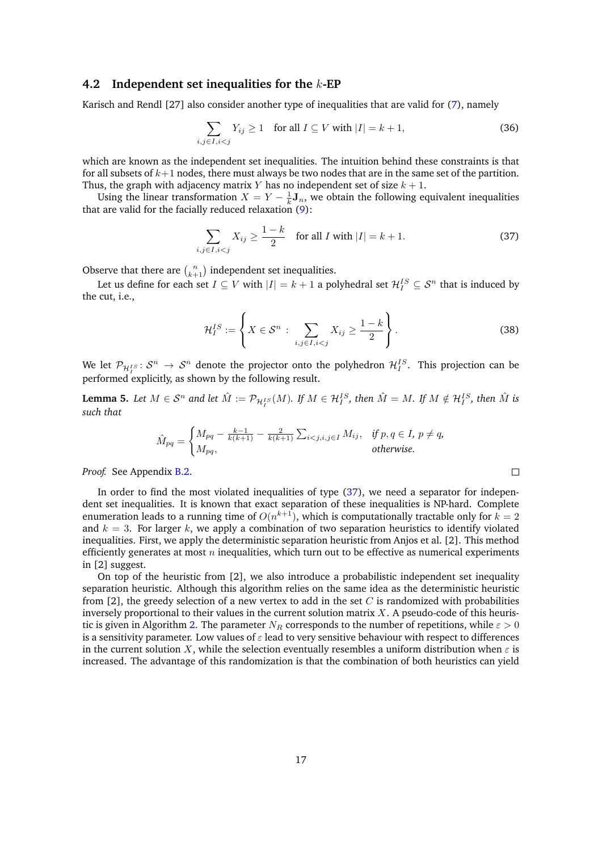### <span id="page-16-0"></span>**4.2 Independent set inequalities for the** *k***-EP**

Karisch and Rendl [\[27\]](#page-29-3) also consider another type of inequalities that are valid for [\(7\)](#page-4-1), namely

$$
\sum_{i,j\in I, i (36)
$$

which are known as the independent set inequalities. The intuition behind these constraints is that for all subsets of *k*+1 nodes, there must always be two nodes that are in the same set of the partition. Thus, the graph with adjacency matrix *Y* has no independent set of size  $k + 1$ .

Using the linear transformation  $X = Y - \frac{1}{k} \mathbf{J}_n$ , we obtain the following equivalent inequalities that are valid for the facially reduced relaxation [\(9\)](#page-5-1):

$$
\sum_{i,j\in I, i
$$

Observe that there are  $\binom{n}{k+1}$  independent set inequalities.

Let us define for each set  $I \subseteq V$  with  $|I| = k + 1$  a polyhedral set  $\mathcal{H}_I^{IS} \subseteq \mathcal{S}^n$  that is induced by the cut, i.e.,

$$
\mathcal{H}_I^{IS} := \left\{ X \in \mathcal{S}^n : \sum_{i,j \in I, i < j} X_{ij} \ge \frac{1-k}{2} \right\}.
$$
\n(38)

<span id="page-16-1"></span> $\Box$ 

We let  $\mathcal{P}_{\mathcal{H}^{IS}_I} \colon \mathcal{S}^n \to \mathcal{S}^n$  denote the projector onto the polyhedron  $\mathcal{H}^{IS}_I$ . This projection can be performed explicitly, as shown by the following result.

<span id="page-16-2"></span>**Lemma 5.** Let  $M \in S^n$  and let  $\hat{M} := \mathcal{P}_{\mathcal{H}_I^{IS}}(M)$ . If  $M \in \mathcal{H}_I^{IS}$ , then  $\hat{M} = M$ . If  $M \notin \mathcal{H}_I^{IS}$ , then  $\hat{M}$  is *such that*

$$
\hat{M}_{pq} = \begin{cases} M_{pq} - \frac{k-1}{k(k+1)} - \frac{2}{k(k+1)} \sum_{i < j, i, j \in I} M_{ij}, & \text{if } p, q \in I, \ p \neq q, \\ M_{pq}, & \text{otherwise.} \end{cases}
$$

*Proof.* See Appendix [B.2.](#page-33-0)

In order to find the most violated inequalities of type [\(37\)](#page-16-1), we need a separator for independent set inequalities. It is known that exact separation of these inequalities is NP-hard. Complete enumeration leads to a running time of  $O(n^{k+1})$ , which is computationally tractable only for  $k = 2$ and  $k = 3$ . For larger k, we apply a combination of two separation heuristics to identify violated inequalities. First, we apply the deterministic separation heuristic from Anjos et al. [\[2\]](#page-28-10). This method efficiently generates at most *n* inequalities, which turn out to be effective as numerical experiments in [\[2\]](#page-28-10) suggest.

On top of the heuristic from [\[2\]](#page-28-10), we also introduce a probabilistic independent set inequality separation heuristic. Although this algorithm relies on the same idea as the deterministic heuristic from [\[2\]](#page-28-10), the greedy selection of a new vertex to add in the set *C* is randomized with probabilities inversely proportional to their values in the current solution matrix *X*. A pseudo-code of this heuris-tic is given in Algorithm [2.](#page-17-2) The parameter  $N_R$  corresponds to the number of repetitions, while  $\varepsilon > 0$ is a sensitivity parameter. Low values of *ε* lead to very sensitive behaviour with respect to differences in the current solution *X*, while the selection eventually resembles a uniform distribution when  $\varepsilon$  is increased. The advantage of this randomization is that the combination of both heuristics can yield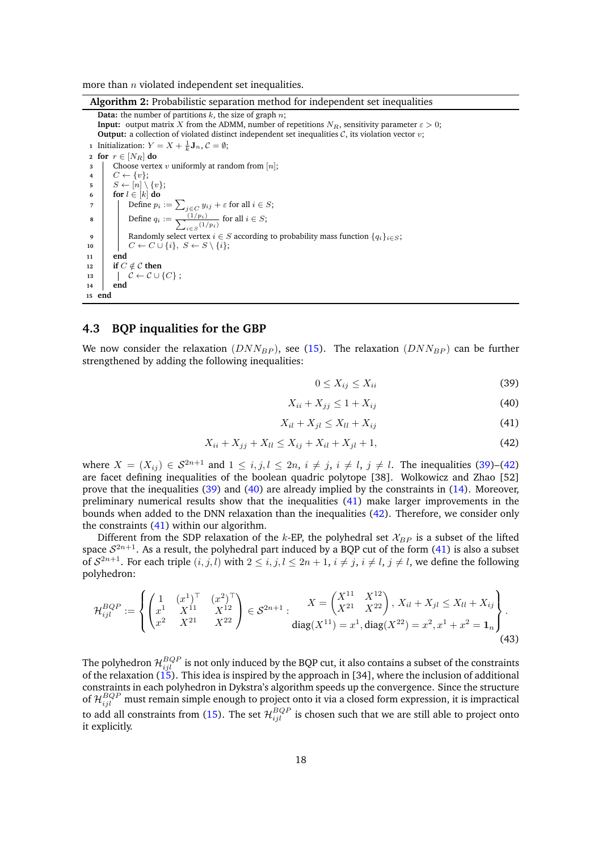more than *n* violated independent set inequalities.

**Algorithm 2:** Probabilistic separation method for independent set inequalities

<span id="page-17-2"></span>**Data:** the number of partitions *k*, the size of graph *n*; **Input:** output matrix *X* from the ADMM, number of repetitions  $N_R$ , sensitivity parameter  $\varepsilon > 0$ ; **Output:** a collection of violated distinct independent set inequalities C, its violation vector *v*; **1** Initialization:  $Y = X + \frac{1}{k} \mathbf{J}_n$ ,  $C = \emptyset$ ; **<sup>2</sup> for** *r* ∈ [*NR*] **do <sup>3</sup>** Choose vertex *v* uniformly at random from [*n*];  $\downarrow$  **c** ← {*v*};  $5 \quad | \quad S \leftarrow [n] \setminus \{v\};$ **6 for**  $l \in [k]$  **do 7**  $\left| \quad \right|$  Define  $p_i := \sum_{j \in C} y_{ij} + \varepsilon$  for all  $i \in S$ ; **8** Define  $q_i := \frac{(1/p_i)}{\sum_{i \in S} (1/p_i)}$  $\frac{(1/p_i)}{i∈S}$ <sup>(1</sup>/*p*<sub>*i*</sub>)</sub> for all *i* ∈ *S*; **9** Randomly select vertex  $i \in S$  according to probability mass function  ${q_i}_{i \in S}$ ; 10  $\vert$   $C \leftarrow C \cup \{i\}, S \leftarrow S \setminus \{i\};$ **<sup>11</sup> end 12 if**  $C \notin \mathcal{C}$  **then** 13  $\left| \begin{array}{c} \phi \in \mathcal{C} \cup \{C\} \end{array} \right|$ **<sup>14</sup> end <sup>15</sup> end**

### <span id="page-17-0"></span>**4.3 BQP inqualities for the GBP**

We now consider the relaxation  $(DNN_{BP})$ , see [\(15\)](#page-7-2). The relaxation  $(DNN_{BP})$  can be further strengthened by adding the following inequalities:

<span id="page-17-1"></span>
$$
0 \le X_{ij} \le X_{ii} \tag{39}
$$

$$
X_{ii} + X_{jj} \le 1 + X_{ij} \tag{40}
$$

$$
X_{il} + X_{jl} \le X_{ll} + X_{ij} \tag{41}
$$

$$
X_{ii} + X_{jj} + X_{ll} \le X_{ij} + X_{il} + X_{jl} + 1,\tag{42}
$$

where  $X = (X_{ij}) \in S^{2n+1}$  and  $1 \le i, j, l \le 2n, i \ne j, i \ne l, j \ne l$ . The inequalities [\(39\)](#page-17-1)–[\(42\)](#page-17-1) are facet defining inequalities of the boolean quadric polytope [\[38\]](#page-30-15). Wolkowicz and Zhao [\[52\]](#page-30-2) prove that the inequalities [\(39\)](#page-17-1) and [\(40\)](#page-17-1) are already implied by the constraints in [\(14\)](#page-6-1). Moreover, preliminary numerical results show that the inequalities [\(41\)](#page-17-1) make larger improvements in the bounds when added to the DNN relaxation than the inequalities [\(42\)](#page-17-1). Therefore, we consider only the constraints [\(41\)](#page-17-1) within our algorithm.

Different from the SDP relaxation of the *k*-EP, the polyhedral set  $\mathcal{X}_{BP}$  is a subset of the lifted space  $S^{2n+1}$ . As a result, the polyhedral part induced by a BQP cut of the form [\(41\)](#page-17-1) is also a subset of  $S^{2n+1}$ . For each triple  $(i, j, l)$  with  $2 \leq i, j, l \leq 2n + 1$ ,  $i \neq j$ ,  $i \neq l$ ,  $j \neq l$ , we define the following polyhedron:

$$
\mathcal{H}_{ijl}^{BQP} := \left\{ \begin{pmatrix} 1 & (x^1)^\top & (x^2)^\top \\ x^1 & X^{11} & X^{12} \\ x^2 & X^{21} & X^{22} \end{pmatrix} \in \mathcal{S}^{2n+1} : \begin{aligned} X &= \begin{pmatrix} X^{11} & X^{12} \\ X^{21} & X^{22} \end{pmatrix}, X_{il} + X_{jl} \le X_{ll} + X_{ij} \\ \text{diag}(X^{11}) & = x^1, \text{diag}(X^{22}) = x^2, x^1 + x^2 = \mathbf{1}_n \end{aligned} \right\} . \tag{43}
$$

The polyhedron  $\mathcal{H}_{ijl}^{BQP}$  is not only induced by the BQP cut, it also contains a subset of the constraints of the relaxation [\(15\)](#page-7-2). This idea is inspired by the approach in [\[34\]](#page-29-11), where the inclusion of additional constraints in each polyhedron in Dykstra's algorithm speeds up the convergence. Since the structure of  $\mathcal{H}_{ijl}^{BQP}$  must remain simple enough to project onto it via a closed form expression, it is impractical to add all constraints from [\(15\)](#page-7-2). The set  $\mathcal{H}_{ijl}^{BQP}$  is chosen such that we are still able to project onto it explicitly.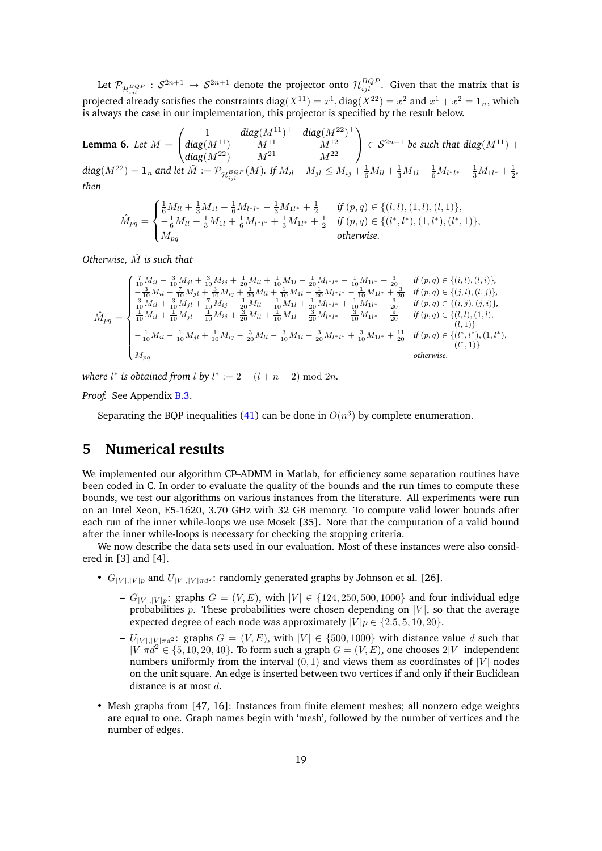Let  $\mathcal{P}_{\mathcal{H}^{BQP}_{ijl}}:\mathcal{S}^{2n+1}\to\mathcal{S}^{2n+1}$  denote the projector onto  $\mathcal{H}^{BQP}_{ijl}.$  Given that the matrix that is projected already satisfies the constraints  $\text{diag}(X^{11})=x^1, \text{diag}(X^{22})=x^2$  and  $x^1+x^2=\mathbf{1}_n,$  which is always the case in our implementation, this projector is specified by the result below.

<span id="page-18-1"></span>**Lemma 6.** Let 
$$
M = \begin{pmatrix} 1 & diag(M^{11})^{\top} & diag(M^{22})^{\top} \\ diag(M^{11}) & M^{11} & M^{12} \\ diag(M^{22}) & M^{21} & M^{22} \end{pmatrix} \in S^{2n+1}
$$
 be such that  $diag(M^{11}) + diag(M^{22}) = \mathbf{1}_n$  and let  $\hat{M} := \mathcal{P}_{\mathcal{H}_{ijl}^{BQP}}(M)$ . If  $M_{il} + M_{jl} \leq M_{ij} + \frac{1}{6}M_{ll} + \frac{1}{3}M_{1l} - \frac{1}{6}M_{l^*l^*} - \frac{1}{3}M_{1l^*} + \frac{1}{2}$ , then

$$
\hat{M}_{pq} = \begin{cases}\n\frac{1}{6}M_{ll} + \frac{1}{3}M_{1l} - \frac{1}{6}M_{l^*l^*} - \frac{1}{3}M_{1l^*} + \frac{1}{2} & \text{if } (p,q) \in \{(l,l), (1,l), (l,1)\}, \\
-\frac{1}{6}M_{ll} - \frac{1}{3}M_{1l} + \frac{1}{6}M_{l^*l^*} + \frac{1}{3}M_{1l^*} + \frac{1}{2} & \text{if } (p,q) \in \{(l^*,l^*), (1,l^*), (l^*,1)\}, \\
M_{pq} & \text{otherwise.} \n\end{cases}
$$

*Otherwise,*  $\hat{M}$  *is such that* 

$$
\hat{M}_{pq} = \begin{cases}\n\frac{7}{10}M_{il} - \frac{3}{10}M_{jl} + \frac{3}{10}M_{ij} + \frac{1}{20}M_{ll} + \frac{1}{10}M_{1l} - \frac{1}{20}M_{l^*l^*} - \frac{1}{10}M_{1l^*} + \frac{3}{20} & \text{if } (p,q) \in \{(i,l), (l,i)\}, \\
-\frac{3}{10}M_{il} + \frac{7}{10}M_{jl} + \frac{3}{10}M_{ij} + \frac{1}{20}M_{ll} + \frac{1}{10}M_{1l} - \frac{1}{20}M_{l^*l^*} - \frac{1}{10}M_{1l^*} + \frac{3}{20} & \text{if } (p,q) \in \{(j,l), (l,j)\}, \\
\frac{3}{10}M_{il} + \frac{3}{10}M_{jl} + \frac{7}{10}M_{ij} - \frac{1}{20}M_{ll} - \frac{1}{10}M_{1l} + \frac{1}{20}M_{l^*l^*} + \frac{1}{10}M_{1l^*} - \frac{3}{20} & \text{if } (p,q) \in \{(i,j), (l,j)\}, \\
\frac{3}{10}M_{il} + \frac{3}{10}M_{jl} - \frac{1}{10}M_{ij} + \frac{3}{20}M_{ll} - \frac{1}{10}M_{1l} - \frac{3}{20}M_{l^*l^*} - \frac{3}{10}M_{1l^*} + \frac{3}{20} & \text{if } (p,q) \in \{(l,i), (1,l), (l,j)\}, \\
-\frac{1}{10}M_{il} - \frac{1}{10}M_{jl} + \frac{1}{10}M_{ij} - \frac{3}{20}M_{ll} - \frac{3}{10}M_{1l} + \frac{3}{20}M_{l^*l^*} + \frac{3}{10}M_{1l^*} + \frac{11}{20} & \text{if } (p,q) \in \{(l^*, l^*), (1, l^*), (l^*j)\}, \\
M_{pq} & \text{otherwise.}\n\end{cases}
$$

 $\Box$ 

*where l*<sup>\*</sup> *is obtained from l by*  $l^* := 2 + (l + n - 2) \text{ mod } 2n$ *.* 

*Proof.* See Appendix [B.3.](#page-33-1)

Separating the BQP inequalities [\(41\)](#page-17-1) can be done in  $O(n^3)$  by complete enumeration.

# <span id="page-18-0"></span>**5 Numerical results**

We implemented our algorithm CP–ADMM in Matlab, for efficiency some separation routines have been coded in C. In order to evaluate the quality of the bounds and the run times to compute these bounds, we test our algorithms on various instances from the literature. All experiments were run on an Intel Xeon, E5-1620, 3.70 GHz with 32 GB memory. To compute valid lower bounds after each run of the inner while-loops we use Mosek [\[35\]](#page-29-16). Note that the computation of a valid bound after the inner while-loops is necessary for checking the stopping criteria.

We now describe the data sets used in our evaluation. Most of these instances were also considered in [\[3\]](#page-28-11) and [\[4\]](#page-28-4).

- $G_{|V|,|V|p}$  and  $U_{|V|,|V|\pi d^2}$ : randomly generated graphs by Johnson et al. [\[26\]](#page-29-17).
	- **−**  $G_{|V|,|V|p}$ : graphs  $G = (V, E)$ , with  $|V| \in \{124, 250, 500, 1000\}$  and four individual edge probabilities  $p$ . These probabilities were chosen depending on  $|V|$ , so that the average expected degree of each node was approximately  $|V|p \in \{2.5, 5, 10, 20\}.$
	- $− U_{|V|,|V|πd^2}$ : graphs  $G = (V, E)$ , with  $|V| ∈ {500, 1000}$  with distance value *d* such that  $|V| \pi d^2 \in \{5, 10, 20, 40\}$ . To form such a graph  $G = (V, E)$ , one chooses  $2|V|$  independent numbers uniformly from the interval  $(0, 1)$  and views them as coordinates of  $|V|$  nodes on the unit square. An edge is inserted between two vertices if and only if their Euclidean distance is at most *d*.
- Mesh graphs from [\[47,](#page-30-16) [16\]](#page-28-12): Instances from finite element meshes; all nonzero edge weights are equal to one. Graph names begin with 'mesh', followed by the number of vertices and the number of edges.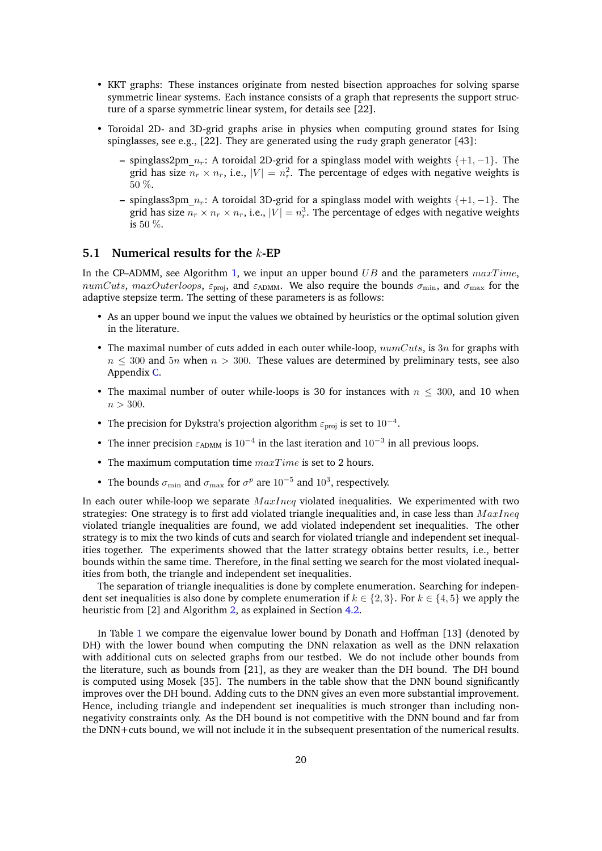- KKT graphs: These instances originate from nested bisection approaches for solving sparse symmetric linear systems. Each instance consists of a graph that represents the support structure of a sparse symmetric linear system, for details see [\[22\]](#page-29-18).
- Toroidal 2D- and 3D-grid graphs arise in physics when computing ground states for Ising spinglasses, see e.g., [\[22\]](#page-29-18). They are generated using the rudy graph generator [\[43\]](#page-30-17):
	- **–** spinglass2pm\_*nr*: A toroidal 2D-grid for a spinglass model with weights {+1*,* −1}. The grid has size  $n_r \times n_r$ , i.e.,  $|V| = n_r^2$ . The percentage of edges with negative weights is 50 %.
	- **–** spinglass3pm\_*nr*: A toroidal 3D-grid for a spinglass model with weights {+1*,* −1}. The grid has size  $n_r \times n_r \times n_r$ , i.e.,  $|V| = n_r^3$ . The percentage of edges with negative weights is 50 %.

### **5.1 Numerical results for the** *k***-EP**

In the CP–ADMM, see Algorithm [1,](#page-13-1) we input an upper bound *UB* and the parameters  $maxTime$ , *numCuts*, *maxOuterloops*,  $\varepsilon_{\text{proj}}$ , and  $\varepsilon_{\text{ADMM}}$ . We also require the bounds  $\sigma_{\text{min}}$ , and  $\sigma_{\text{max}}$  for the adaptive stepsize term. The setting of these parameters is as follows:

- As an upper bound we input the values we obtained by heuristics or the optimal solution given in the literature.
- The maximal number of cuts added in each outer while-loop, *numCuts*, is 3*n* for graphs with  $n \leq 300$  and  $5n$  when  $n > 300$ . These values are determined by preliminary tests, see also Appendix [C.](#page-34-0)
- The maximal number of outer while-loops is 30 for instances with  $n \leq 300$ , and 10 when *n >* 300.
- The precision for Dykstra's projection algorithm *ε*proj is set to 10<sup>−</sup><sup>4</sup> .
- The inner precision  $\varepsilon_{\text{ADMM}}$  is 10<sup>-4</sup> in the last iteration and 10<sup>-3</sup> in all previous loops.
- The maximum computation time *maxT ime* is set to 2 hours.
- The bounds  $\sigma_{\min}$  and  $\sigma_{\max}$  for  $\sigma^p$  are 10<sup>-5</sup> and 10<sup>3</sup>, respectively.

In each outer while-loop we separate *M axIneq* violated inequalities. We experimented with two strategies: One strategy is to first add violated triangle inequalities and, in case less than *M axIneq* violated triangle inequalities are found, we add violated independent set inequalities. The other strategy is to mix the two kinds of cuts and search for violated triangle and independent set inequalities together. The experiments showed that the latter strategy obtains better results, i.e., better bounds within the same time. Therefore, in the final setting we search for the most violated inequalities from both, the triangle and independent set inequalities.

The separation of triangle inequalities is done by complete enumeration. Searching for independent set inequalities is also done by complete enumeration if  $k \in \{2,3\}$ . For  $k \in \{4,5\}$  we apply the heuristic from [\[2\]](#page-28-10) and Algorithm [2,](#page-17-2) as explained in Section [4.2.](#page-16-0)

In Table [1](#page-20-0) we compare the eigenvalue lower bound by Donath and Hoffman [\[13\]](#page-28-2) (denoted by DH) with the lower bound when computing the DNN relaxation as well as the DNN relaxation with additional cuts on selected graphs from our testbed. We do not include other bounds from the literature, such as bounds from [\[21\]](#page-29-5), as they are weaker than the DH bound. The DH bound is computed using Mosek [\[35\]](#page-29-16). The numbers in the table show that the DNN bound significantly improves over the DH bound. Adding cuts to the DNN gives an even more substantial improvement. Hence, including triangle and independent set inequalities is much stronger than including nonnegativity constraints only. As the DH bound is not competitive with the DNN bound and far from the DNN+cuts bound, we will not include it in the subsequent presentation of the numerical results.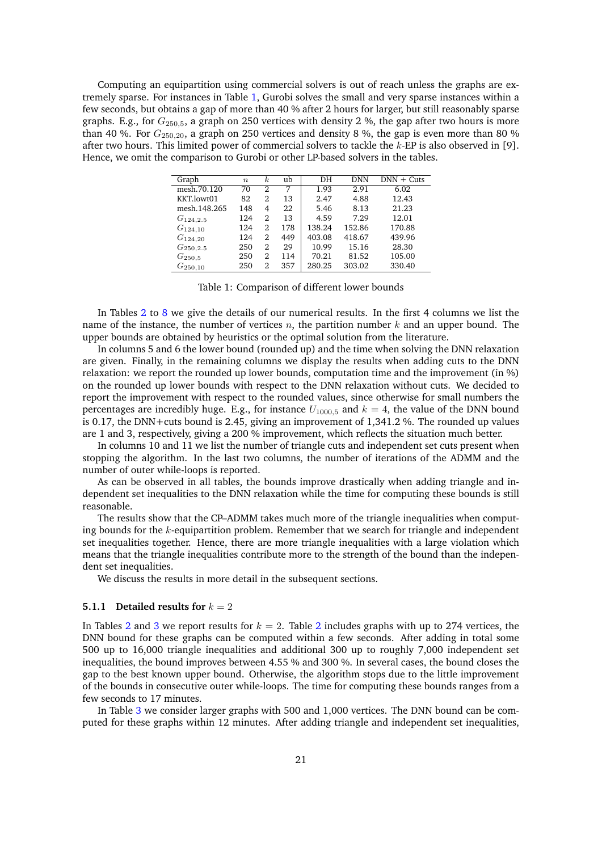<span id="page-20-0"></span>Computing an equipartition using commercial solvers is out of reach unless the graphs are extremely sparse. For instances in Table [1,](#page-20-0) Gurobi solves the small and very sparse instances within a few seconds, but obtains a gap of more than 40 % after 2 hours for larger, but still reasonably sparse graphs. E.g., for *G*250*,*5, a graph on 250 vertices with density 2 %, the gap after two hours is more than 40 %. For *G*250*,*20, a graph on 250 vertices and density 8 %, the gap is even more than 80 % after two hours. This limited power of commercial solvers to tackle the *k*-EP is also observed in [\[9\]](#page-28-1). Hence, we omit the comparison to Gurobi or other LP-based solvers in the tables.

| Graph         | $\boldsymbol{n}$ | $\kappa$ | ub  | DH     | <b>DNN</b> | $DNN + Cuts$ |
|---------------|------------------|----------|-----|--------|------------|--------------|
| mesh.70.120   | 70               | 2        | 7   | 1.93   | 2.91       | 6.02         |
| KKT.lowt01    | 82               | 2        | 13  | 2.47   | 4.88       | 12.43        |
| mesh.148.265  | 148              | 4        | 22  | 5.46   | 8.13       | 21.23        |
| $G_{124,2.5}$ | 124              | 2        | 13  | 4.59   | 7.29       | 12.01        |
| $G_{124,10}$  | 124              | 2        | 178 | 138.24 | 152.86     | 170.88       |
| $G_{124,20}$  | 124              | 2        | 449 | 403.08 | 418.67     | 439.96       |
| $G_{250,2.5}$ | 250              | 2        | 29  | 10.99  | 15.16      | 28.30        |
| $G_{250,5}$   | 250              | 2        | 114 | 70.21  | 81.52      | 105.00       |
| $G_{250,10}$  | 250              | 2        | 357 | 280.25 | 303.02     | 330.40       |

Table 1: Comparison of different lower bounds

In Tables [2](#page-23-0) to [8](#page-26-0) we give the details of our numerical results. In the first 4 columns we list the name of the instance, the number of vertices *n*, the partition number *k* and an upper bound. The upper bounds are obtained by heuristics or the optimal solution from the literature.

In columns 5 and 6 the lower bound (rounded up) and the time when solving the DNN relaxation are given. Finally, in the remaining columns we display the results when adding cuts to the DNN relaxation: we report the rounded up lower bounds, computation time and the improvement (in %) on the rounded up lower bounds with respect to the DNN relaxation without cuts. We decided to report the improvement with respect to the rounded values, since otherwise for small numbers the percentages are incredibly huge. E.g., for instance  $U_{1000,5}$  and  $k = 4$ , the value of the DNN bound is 0.17, the DNN+cuts bound is 2.45, giving an improvement of 1,341.2 %. The rounded up values are 1 and 3, respectively, giving a 200 % improvement, which reflects the situation much better.

In columns 10 and 11 we list the number of triangle cuts and independent set cuts present when stopping the algorithm. In the last two columns, the number of iterations of the ADMM and the number of outer while-loops is reported.

As can be observed in all tables, the bounds improve drastically when adding triangle and independent set inequalities to the DNN relaxation while the time for computing these bounds is still reasonable.

The results show that the CP–ADMM takes much more of the triangle inequalities when computing bounds for the *k*-equipartition problem. Remember that we search for triangle and independent set inequalities together. Hence, there are more triangle inequalities with a large violation which means that the triangle inequalities contribute more to the strength of the bound than the independent set inequalities.

We discuss the results in more detail in the subsequent sections.

#### **5.1.1 Detailed results for**  $k = 2$

In Tables [2](#page-23-0) and [3](#page-23-1) we report results for  $k = 2$ . Table 2 includes graphs with up to 274 vertices, the DNN bound for these graphs can be computed within a few seconds. After adding in total some 500 up to 16,000 triangle inequalities and additional 300 up to roughly 7,000 independent set inequalities, the bound improves between 4.55 % and 300 %. In several cases, the bound closes the gap to the best known upper bound. Otherwise, the algorithm stops due to the little improvement of the bounds in consecutive outer while-loops. The time for computing these bounds ranges from a few seconds to 17 minutes.

In Table [3](#page-23-1) we consider larger graphs with 500 and 1,000 vertices. The DNN bound can be computed for these graphs within 12 minutes. After adding triangle and independent set inequalities,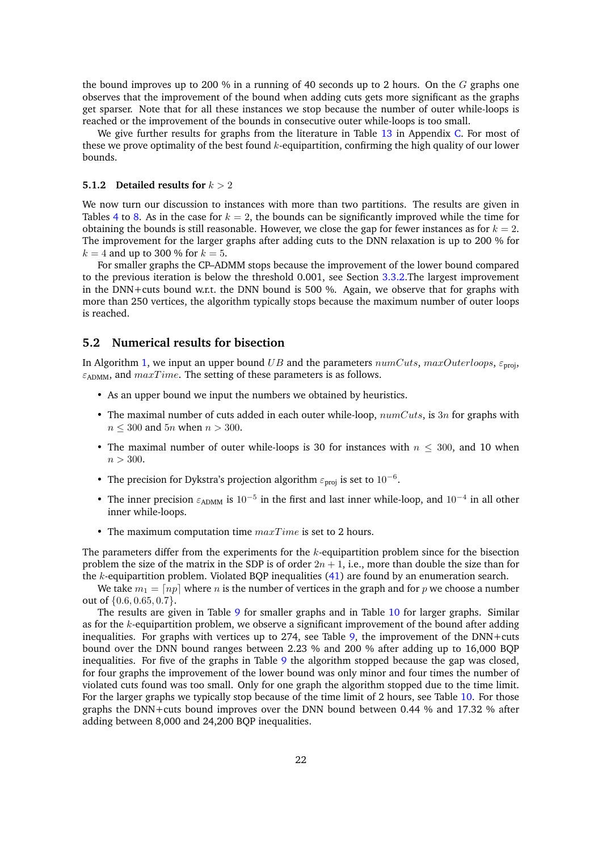the bound improves up to 200 % in a running of 40 seconds up to 2 hours. On the *G* graphs one observes that the improvement of the bound when adding cuts gets more significant as the graphs get sparser. Note that for all these instances we stop because the number of outer while-loops is reached or the improvement of the bounds in consecutive outer while-loops is too small.

We give further results for graphs from the literature in Table [13](#page-36-0) in Appendix [C.](#page-34-0) For most of these we prove optimality of the best found *k*-equipartition, confirming the high quality of our lower bounds.

#### **5.1.2 Detailed results for** *k >* 2

We now turn our discussion to instances with more than two partitions. The results are given in Tables [4](#page-24-0) to [8.](#page-26-0) As in the case for  $k = 2$ , the bounds can be significantly improved while the time for obtaining the bounds is still reasonable. However, we close the gap for fewer instances as for  $k = 2$ . The improvement for the larger graphs after adding cuts to the DNN relaxation is up to 200 % for  $k = 4$  and up to 300 % for  $k = 5$ .

For smaller graphs the CP–ADMM stops because the improvement of the lower bound compared to the previous iteration is below the threshold 0.001, see Section [3.3.2.](#page-14-0)The largest improvement in the DNN+cuts bound w.r.t. the DNN bound is 500 %. Again, we observe that for graphs with more than 250 vertices, the algorithm typically stops because the maximum number of outer loops is reached.

### **5.2 Numerical results for bisection**

In Algorithm [1,](#page-13-1) we input an upper bound *UB* and the parameters *numCuts*, *maxOuterloops*, *ε*proj, *ε*ADMM, and *maxT ime*. The setting of these parameters is as follows.

- As an upper bound we input the numbers we obtained by heuristics.
- The maximal number of cuts added in each outer while-loop, *numCuts*, is 3*n* for graphs with *n* ≤ 300 and 5*n* when *n >* 300.
- The maximal number of outer while-loops is 30 for instances with  $n \leq 300$ , and 10 when *n >* 300.
- The precision for Dykstra's projection algorithm  $\varepsilon_{\text{proj}}$  is set to 10<sup>-6</sup>.
- The inner precision  $\varepsilon_{\text{ADMM}}$  is  $10^{-5}$  in the first and last inner while-loop, and  $10^{-4}$  in all other inner while-loops.
- The maximum computation time *maxT ime* is set to 2 hours.

The parameters differ from the experiments for the *k*-equipartition problem since for the bisection problem the size of the matrix in the SDP is of order  $2n + 1$ , i.e., more than double the size than for the *k*-equipartition problem. Violated BQP inequalities [\(41\)](#page-17-1) are found by an enumeration search.

We take  $m_1 = \lfloor np \rfloor$  where *n* is the number of vertices in the graph and for *p* we choose a number out of {0*.*6*,* 0*.*65*,* 0*.*7}.

The results are given in Table [9](#page-26-1) for smaller graphs and in Table [10](#page-27-0) for larger graphs. Similar as for the *k*-equipartition problem, we observe a significant improvement of the bound after adding inequalities. For graphs with vertices up to 274, see Table  $9$ , the improvement of the DNN+cuts bound over the DNN bound ranges between 2.23 % and 200 % after adding up to 16,000 BQP inequalities. For five of the graphs in Table [9](#page-26-1) the algorithm stopped because the gap was closed, for four graphs the improvement of the lower bound was only minor and four times the number of violated cuts found was too small. Only for one graph the algorithm stopped due to the time limit. For the larger graphs we typically stop because of the time limit of 2 hours, see Table [10.](#page-27-0) For those graphs the DNN+cuts bound improves over the DNN bound between 0.44 % and 17.32 % after adding between 8,000 and 24,200 BQP inequalities.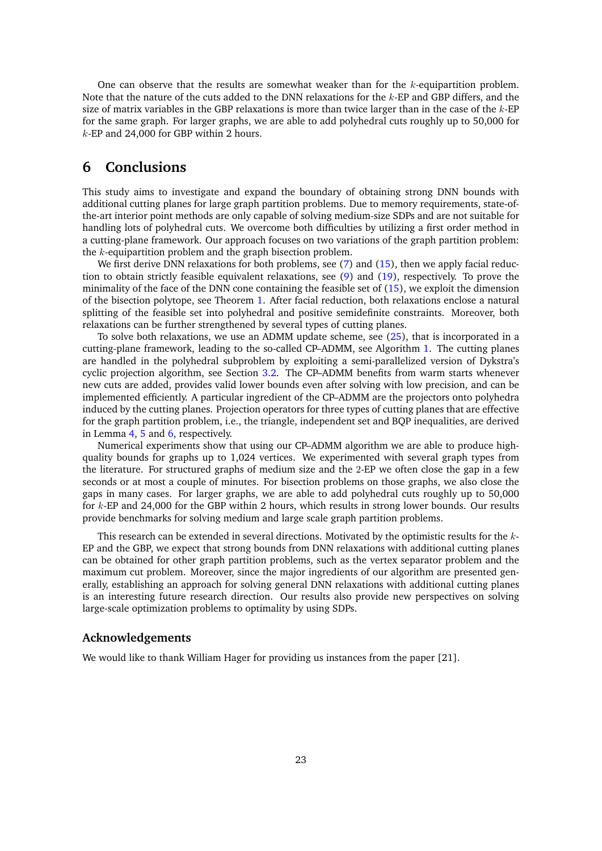One can observe that the results are somewhat weaker than for the *k*-equipartition problem. Note that the nature of the cuts added to the DNN relaxations for the *k*-EP and GBP differs, and the size of matrix variables in the GBP relaxations is more than twice larger than in the case of the *k*-EP for the same graph. For larger graphs, we are able to add polyhedral cuts roughly up to 50,000 for *k*-EP and 24,000 for GBP within 2 hours.

# **6 Conclusions**

This study aims to investigate and expand the boundary of obtaining strong DNN bounds with additional cutting planes for large graph partition problems. Due to memory requirements, state-ofthe-art interior point methods are only capable of solving medium-size SDPs and are not suitable for handling lots of polyhedral cuts. We overcome both difficulties by utilizing a first order method in a cutting-plane framework. Our approach focuses on two variations of the graph partition problem: the *k*-equipartition problem and the graph bisection problem.

We first derive DNN relaxations for both problems, see [\(7\)](#page-4-1) and [\(15\)](#page-7-2), then we apply facial reduction to obtain strictly feasible equivalent relaxations, see [\(9\)](#page-5-1) and [\(19\)](#page-9-1), respectively. To prove the minimality of the face of the DNN cone containing the feasible set of [\(15\)](#page-7-2), we exploit the dimension of the bisection polytope, see Theorem [1.](#page-4-3) After facial reduction, both relaxations enclose a natural splitting of the feasible set into polyhedral and positive semidefinite constraints. Moreover, both relaxations can be further strengthened by several types of cutting planes.

To solve both relaxations, we use an ADMM update scheme, see [\(25\)](#page-10-4), that is incorporated in a cutting-plane framework, leading to the so-called CP–ADMM, see Algorithm [1.](#page-13-1) The cutting planes are handled in the polyhedral subproblem by exploiting a semi-parallelized version of Dykstra's cyclic projection algorithm, see Section [3.2.](#page-11-0) The CP–ADMM benefits from warm starts whenever new cuts are added, provides valid lower bounds even after solving with low precision, and can be implemented efficiently. A particular ingredient of the CP–ADMM are the projectors onto polyhedra induced by the cutting planes. Projection operators for three types of cutting planes that are effective for the graph partition problem, i.e., the triangle, independent set and BQP inequalities, are derived in Lemma [4,](#page-15-4) [5](#page-16-2) and [6,](#page-18-1) respectively.

Numerical experiments show that using our CP–ADMM algorithm we are able to produce highquality bounds for graphs up to 1,024 vertices. We experimented with several graph types from the literature. For structured graphs of medium size and the 2-EP we often close the gap in a few seconds or at most a couple of minutes. For bisection problems on those graphs, we also close the gaps in many cases. For larger graphs, we are able to add polyhedral cuts roughly up to 50,000 for *k*-EP and 24,000 for the GBP within 2 hours, which results in strong lower bounds. Our results provide benchmarks for solving medium and large scale graph partition problems.

This research can be extended in several directions. Motivated by the optimistic results for the *k*-EP and the GBP, we expect that strong bounds from DNN relaxations with additional cutting planes can be obtained for other graph partition problems, such as the vertex separator problem and the maximum cut problem. Moreover, since the major ingredients of our algorithm are presented generally, establishing an approach for solving general DNN relaxations with additional cutting planes is an interesting future research direction. Our results also provide new perspectives on solving large-scale optimization problems to optimality by using SDPs.

### **Acknowledgements**

We would like to thank William Hager for providing us instances from the paper [\[21\]](#page-29-5).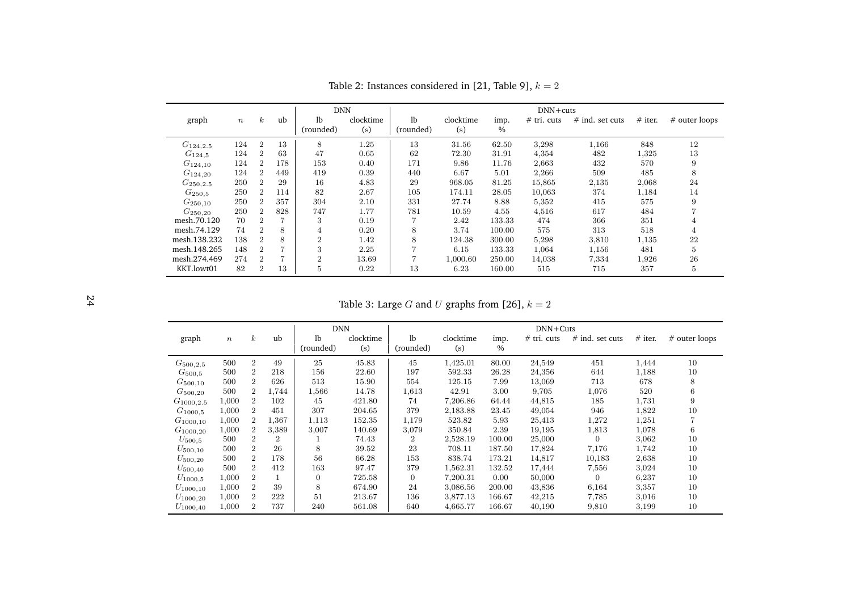|               |                  |                  |     | <b>DNN</b>     |           |                |           |        | $DNN + cuts$  |                   |           |                |
|---------------|------------------|------------------|-----|----------------|-----------|----------------|-----------|--------|---------------|-------------------|-----------|----------------|
| graph         | $\boldsymbol{n}$ | $\boldsymbol{k}$ | ub  | 1 <sub>b</sub> | clocktime | 1 <sub>b</sub> | clocktime | imp.   | $#$ tri. cuts | $#$ ind. set cuts | $#$ iter. | # outer loops  |
|               |                  |                  |     | (rounded)      | (s)       | (rounded)      | (s)       | $\%$   |               |                   |           |                |
| $G_{124,2.5}$ | 124              | $\overline{2}$   | 13  | 8              | 1.25      | 13             | 31.56     | 62.50  | 3,298         | 1,166             | 848       | 12             |
| $G_{124,5}$   | 124              | $\overline{2}$   | 63  | 47             | 0.65      | 62             | 72.30     | 31.91  | 4,354         | 482               | 1,325     | 13             |
| $G_{124,10}$  | 124              | $\overline{2}$   | 178 | 153            | 0.40      | 171            | 9.86      | 11.76  | 2,663         | 432               | 570       | 9              |
| $G_{124,20}$  | 124              | $\overline{2}$   | 449 | 419            | 0.39      | 440            | 6.67      | 5.01   | 2,266         | 509               | 485       | 8              |
| $G_{250,2.5}$ | 250              | $\mathfrak{D}$   | 29  | 16             | 4.83      | 29             | 968.05    | 81.25  | 15,865        | 2,135             | 2,068     | 24             |
| $G_{250.5}$   | 250              | $\overline{2}$   | 114 | 82             | 2.67      | 105            | 174.11    | 28.05  | 10,063        | 374               | 1,184     | 14             |
| $G_{250,10}$  | 250              | $\overline{2}$   | 357 | 304            | 2.10      | 331            | 27.74     | 8.88   | 5,352         | 415               | 575       | 9              |
| $G_{250,20}$  | 250              | $\overline{2}$   | 828 | 747            | 1.77      | 781            | 10.59     | 4.55   | 4,516         | 617               | 484       |                |
| mesh.70.120   | 70               | $\overline{2}$   |     | 3              | 0.19      |                | 2.42      | 133.33 | 474           | 366               | 351       | $\overline{4}$ |
| mesh.74.129   | 74               | $\overline{2}$   | 8   | 4              | 0.20      | 8              | 3.74      | 100.00 | 575           | 313               | 518       | $\overline{4}$ |
| mesh.138.232  | 138              | $\overline{2}$   | 8   | $\overline{2}$ | 1.42      | 8              | 124.38    | 300.00 | 5,298         | 3,810             | 1,135     | 22             |
| mesh.148.265  | 148              | $\overline{2}$   |     | 3              | 2.25      | ⇁              | 6.15      | 133.33 | 1,064         | 1,156             | 481       | 5              |
| mesh.274.469  | 274              | $\overline{2}$   | 7   | $\overline{2}$ | 13.69     | 7              | 1,000.60  | 250.00 | 14,038        | 7,334             | 1,926     | 26             |
| KKT.lowt01    | 82               | $\overline{2}$   | 13  | 5              | 0.22      | 13             | 6.23      | 160.00 | 515           | 715               | 357       | 5              |

Table 2: Instances considered in  $[21,$  Table 9],  $k = 2$ 

<span id="page-23-1"></span>Table 3: Large *G* and *U* graphs from [\[26\]](#page-29-20),  $k = 2$ 

<span id="page-23-0"></span>

|                |                  |                |                | <b>DNN</b>     |           |                |           |               | $DNN+Cuts$    |                   |           |               |
|----------------|------------------|----------------|----------------|----------------|-----------|----------------|-----------|---------------|---------------|-------------------|-----------|---------------|
| graph          | $\boldsymbol{n}$ | $\kappa$       | ub             | 1 <sub>b</sub> | clocktime | 1 <sub>b</sub> | clocktime | imp.          | $#$ tri. cuts | $#$ ind. set cuts | $#$ iter. | # outer loops |
|                |                  |                |                | (rounded)      | (s)       | (rounded)      | (s)       | $\frac{0}{0}$ |               |                   |           |               |
| $G_{500,2.5}$  | 500              | $\overline{2}$ | 49             | 25             | 45.83     | 45             | 1,425.01  | 80.00         | 24,549        | 451               | 1,444     | 10            |
| $G_{500.5}$    | 500              | $\overline{2}$ | 218            | 156            | 22.60     | 197            | 592.33    | 26.28         | 24,356        | 644               | 1,188     | 10            |
| $G_{500,10}$   | 500              | $\overline{2}$ | 626            | 513            | 15.90     | 554            | 125.15    | 7.99          | 13,069        | 713               | 678       | 8             |
| $G_{500,20}$   | 500              | $\overline{2}$ | 1,744          | 1,566          | 14.78     | 1,613          | 42.91     | 3.00          | 9,705         | 1,076             | 520       | 6             |
| $G_{1000,2.5}$ | 1,000            | $\overline{2}$ | 102            | 45             | 421.80    | 74             | 7,206.86  | 64.44         | 44,815        | 185               | 1,731     | 9             |
| $G_{1000.5}$   | 1,000            | $\overline{2}$ | 451            | 307            | 204.65    | 379            | 2,183.88  | 23.45         | 49,054        | 946               | 1,822     | 10            |
| $G_{1000,10}$  | 1,000            | $\overline{2}$ | 1,367          | 1,113          | 152.35    | 1,179          | 523.82    | 5.93          | 25,413        | 1,272             | 1,251     |               |
| $G_{1000,20}$  | 1,000            | $\overline{2}$ | 3,389          | 3,007          | 140.69    | 3,079          | 350.84    | 2.39          | 19,195        | 1,813             | 1,078     | 6             |
| $U_{500.5}$    | 500              | $\overline{2}$ | $\overline{2}$ |                | 74.43     | $\overline{2}$ | 2,528.19  | 100.00        | 25,000        | $\overline{0}$    | 3,062     | 10            |
| $U_{500,10}$   | 500              | $\overline{2}$ | 26             | 8              | 39.52     | 23             | 708.11    | 187.50        | 17,824        | 7,176             | 1,742     | 10            |
| $U_{500,20}$   | 500              | $\overline{2}$ | 178            | 56             | 66.28     | 153            | 838.74    | 173.21        | 14,817        | 10,183            | 2,638     | 10            |
| $U_{500,40}$   | 500              | $\overline{2}$ | 412            | 163            | 97.47     | 379            | 1,562.31  | 132.52        | 17,444        | 7,556             | 3,024     | 10            |
| $U_{1000,5}$   | 1,000            | $\overline{2}$ |                | $\overline{0}$ | 725.58    | $\overline{0}$ | 7,200.31  | 0.00          | 50,000        | $\overline{0}$    | 6,237     | 10            |
| $U_{1000,10}$  | 1,000            | $\overline{2}$ | 39             | 8              | 674.90    | 24             | 3,086.56  | 200.00        | 43,836        | 6,164             | 3,357     | 10            |
| $U_{1000,20}$  | 1,000            | $\overline{2}$ | 222            | 51             | 213.67    | 136            | 3,877.13  | 166.67        | 42,215        | 7,785             | 3,016     | 10            |
| $U_{1000,40}$  | 1,000            | $\overline{2}$ | 737            | 240            | 561.08    | 640            | 4,665.77  | 166.67        | 40,190        | 9,810             | 3,199     | 10            |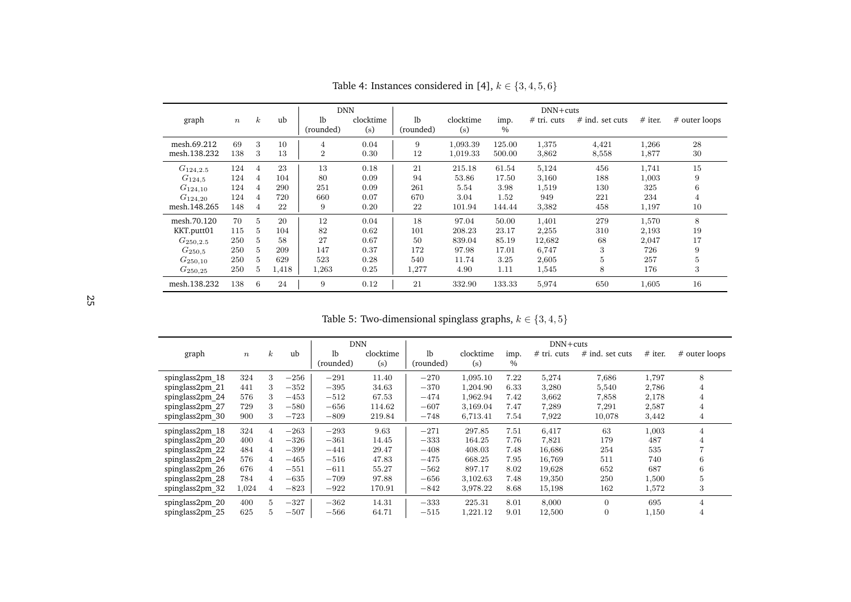| graph                        | $\,n$      | $\boldsymbol{k}$ | ub         | <b>DNN</b><br>1 <sub>b</sub><br>(rounded) | clocktime<br>(s) | 1 <sub>b</sub><br>(rounded) | clocktime<br>(s)     | imp.<br>$\%$     | $DNN + cuts$<br>$#$ tri. cuts | $#$ ind. set cuts | $#$ iter.      | # outer loops |
|------------------------------|------------|------------------|------------|-------------------------------------------|------------------|-----------------------------|----------------------|------------------|-------------------------------|-------------------|----------------|---------------|
| mesh.69.212<br>mesh.138.232  | 69<br>138  | 3<br>3           | 10<br>13   | 4<br>$\overline{2}$                       | 0.04<br>0.30     | 9<br>12                     | 1,093.39<br>1,019.33 | 125.00<br>500.00 | 1,375<br>3,862                | 4,421<br>8,558    | 1,266<br>1,877 | 28<br>30      |
| $G_{124,2.5}$                | 124        | 4                | 23         | 13                                        | 0.18             | 21                          | 215.18               | 61.54            | 5,124                         | 456               | 1,741          | 15            |
| $G_{124,5}$                  | 124        | $\overline{4}$   | 104        | 80                                        | 0.09             | 94                          | 53.86                | 17.50            | 3,160                         | 188               | 1,003          | 9             |
| $G_{124,10}$<br>$G_{124,20}$ | 124<br>124 | 4<br>4           | 290<br>720 | 251<br>660                                | 0.09<br>0.07     | 261<br>670                  | 5.54<br>3.04         | 3.98<br>1.52     | 1,519<br>949                  | 130<br>221        | 325<br>234     | 6<br>4        |
| mesh.148.265                 | 148        | $\overline{4}$   | 22         | 9                                         | 0.20             | 22                          | 101.94               | 144.44           | 3,382                         | 458               | 1,197          | 10            |
| mesh.70.120                  | 70         | 5                | 20         | 12                                        | 0.04             | 18                          | 97.04                | 50.00            | 1,401                         | 279               | 1,570          | 8             |
| KKT.putt01                   | 115        | $\overline{5}$   | 104        | 82                                        | 0.62             | 101                         | 208.23               | 23.17            | 2,255                         | 310               | 2,193          | 19            |
| $G_{250,2.5}$                | 250        | 5                | 58         | 27                                        | 0.67             | 50                          | 839.04               | 85.19            | 12,682                        | 68                | 2,047          | 17            |
| $G_{250.5}$                  | 250        | $\overline{5}$   | 209        | 147                                       | 0.37             | 172                         | 97.98                | 17.01            | 6,747                         | 3                 | 726            | 9             |
| $G_{250,10}$                 | 250        | 5                | 629        | 523                                       | 0.28             | 540                         | 11.74                | 3.25             | 2,605                         | $\overline{5}$    | 257            | 5             |
| $G_{250,25}$                 | 250        | 5                | 1,418      | 1,263                                     | 0.25             | 1,277                       | 4.90                 | 1.11             | 1,545                         | 8                 | 176            | 3             |
| mesh.138.232                 | 138        | 6                | 24         | 9                                         | 0.12             | 21                          | 332.90               | 133.33           | 5,974                         | 650               | 1,605          | 16            |

Table 4: Instances considered in [\[4\]](#page-28-13),  $k \in \{3, 4, 5, 6\}$ 

Table 5: Two-dimensional spinglass graphs, *k* <sup>∈</sup> {<sup>3</sup>*,* <sup>4</sup>*,* <sup>5</sup>}

<span id="page-24-0"></span>

|                 |                  |                  |        | <b>DNN</b> |           |                |           |      | $DNN + cuts$ |                   |           |                |
|-----------------|------------------|------------------|--------|------------|-----------|----------------|-----------|------|--------------|-------------------|-----------|----------------|
| graph           | $\boldsymbol{n}$ | $\boldsymbol{k}$ | ub     | lb         | clocktime | 1 <sub>b</sub> | clocktime | imp. | # tri. cuts  | $#$ ind. set cuts | $#$ iter. | # outer loops  |
|                 |                  |                  |        | (rounded)  | (s)       | (rounded)      | (s)       | $\%$ |              |                   |           |                |
| spinglass2pm 18 | 324              | 3                | $-256$ | $-291$     | 11.40     | $-270$         | 1,095.10  | 7.22 | 5,274        | 7,686             | 1,797     | 8              |
| spinglass2pm 21 | 441              | 3                | $-352$ | $-395$     | 34.63     | $-370$         | 1,204.90  | 6.33 | 3,280        | 5,540             | 2,786     | 4              |
| spinglass2pm 24 | 576              | 3                | $-453$ | $-512$     | 67.53     | $-474$         | 1,962.94  | 7.42 | 3,662        | 7,858             | 2,178     | 4              |
| spinglass2pm 27 | 729              | 3                | $-580$ | $-656$     | 114.62    | $-607$         | 3,169.04  | 7.47 | 7,289        | 7,291             | 2,587     | 4              |
| spinglass2pm 30 | 900              | 3                | $-723$ | $-809$     | 219.84    | $-748$         | 6,713.41  | 7.54 | 7,922        | 10,078            | 3,442     | 4              |
| spinglass2pm 18 | 324              | $\overline{4}$   | $-263$ | $-293$     | 9.63      | $-271$         | 297.85    | 7.51 | 6,417        | 63                | 1,003     | $\overline{4}$ |
| spinglass2pm 20 | 400              | 4                | $-326$ | $-361$     | 14.45     | $-333$         | 164.25    | 7.76 | 7,821        | 179               | 487       | 4              |
| spinglass2pm 22 | 484              | 4                | $-399$ | $-441$     | 29.47     | $-408$         | 408.03    | 7.48 | 16,686       | 254               | 535       |                |
| spinglass2pm 24 | 576              | 4                | $-465$ | $-516$     | 47.83     | $-475$         | 668.25    | 7.95 | 16,769       | 511               | 740       | 6              |
| spinglass2pm 26 | 676              | 4                | $-551$ | $-611$     | 55.27     | $-562$         | 897.17    | 8.02 | 19,628       | 652               | 687       | 6              |
| spinglass2pm 28 | 784              | 4                | $-635$ | $-709$     | 97.88     | $-656$         | 3,102.63  | 7.48 | 19,350       | 250               | 1,500     | 5              |
| spinglass2pm 32 | 1,024            | 4                | $-823$ | $-922$     | 170.91    | $-842$         | 3,978.22  | 8.68 | 15,198       | 162               | 1,572     | 3              |
| spinglass2pm 20 | 400              | $\overline{5}$   | $-327$ | $-362$     | 14.31     | $-333$         | 225.31    | 8.01 | 8,000        | $\theta$          | 695       | 4              |
| spinglass2pm 25 | 625              | 5                | $-507$ | $-566$     | 64.71     | $-515$         | 1,221.12  | 9.01 | 12,500       | $\overline{0}$    | 1,150     | $\overline{4}$ |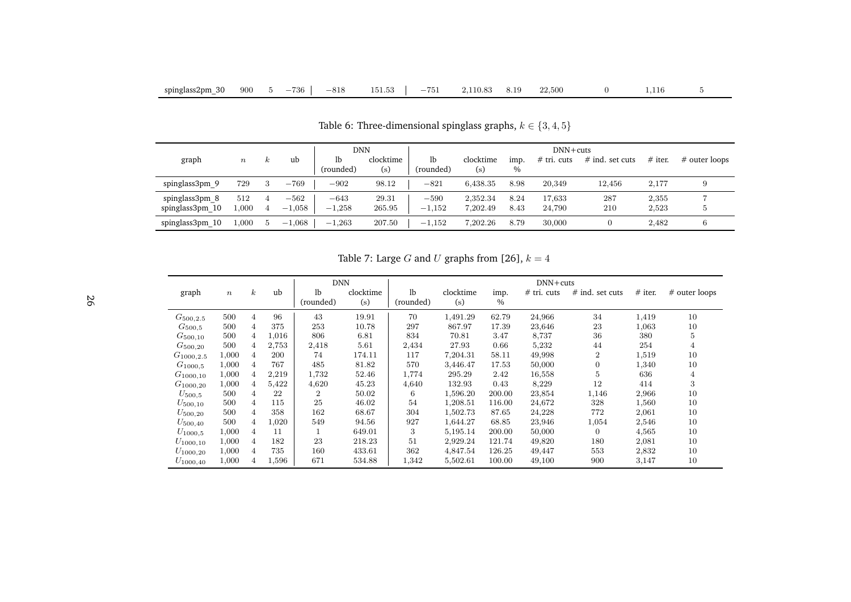| DNN                               |                  |          |                    |                    |                  | $DNN + cuts$       |                      |              |                  |                   |                |               |
|-----------------------------------|------------------|----------|--------------------|--------------------|------------------|--------------------|----------------------|--------------|------------------|-------------------|----------------|---------------|
| graph                             | $\boldsymbol{n}$ | $\kappa$ | ub                 | 1b<br>(rounded)    | clocktime<br>(s) | lb<br>(rounded)    | clocktime<br>(s)     | imp.<br>$\%$ | $#$ tri. cuts    | $#$ ind. set cuts | $#$ iter.      | # outer loops |
| spinglass3pm 9                    | 729              | 3        | $-769$             | $-902$             | 98.12            | $-821$             | 6.438.35             | 8.98         | 20,349           | 12.456            | 2.177          |               |
| spinglass3pm 8<br>spinglass3pm 10 | 512<br>.000      | 4        | $-562$<br>$-1,058$ | $-643$<br>$-1,258$ | 29.31<br>265.95  | $-590$<br>$-1,152$ | 2.352.34<br>7.202.49 | 8.24<br>8.43 | 17.633<br>24.790 | 287<br>210        | 2.355<br>2.523 | Ð             |
| spinglass3pm 10                   | ,000             |          | $-1,068$           | $-1,263$           | 207.50           | $-1.152$           | 7.202.26             | 8.79         | 30,000           |                   | 2.482          |               |

Table 6: Three-dimensional spinglass graphs,  $k \in \{3, 4, 5\}$ 

Table 7: Large *G* and *U* graphs from [\[26\]](#page-29-20),  $k = 4$ 

|                |                  |                |       | <b>DNN</b>     |           |                |           |        | $DNN + cuts$  |                   |           |                |
|----------------|------------------|----------------|-------|----------------|-----------|----------------|-----------|--------|---------------|-------------------|-----------|----------------|
| graph          | $\boldsymbol{n}$ | $\kappa$       | ub    | 1 <sub>b</sub> | clocktime | 1 <sub>b</sub> | clocktime | imp.   | $#$ tri. cuts | $#$ ind. set cuts | $#$ iter. | # outer loops  |
|                |                  |                |       | (rounded)      | (s)       | (rounded)      | (s)       | $\%$   |               |                   |           |                |
| $G_{500,2.5}$  | 500              | 4              | 96    | 43             | 19.91     | 70             | 1,491.29  | 62.79  | 24,966        | 34                | 1,419     | 10             |
| $G_{500,5}$    | 500              | 4              | 375   | 253            | 10.78     | 297            | 867.97    | 17.39  | 23,646        | 23                | 1,063     | 10             |
| $G_{500,10}$   | 500              | 4              | 1,016 | 806            | 6.81      | 834            | 70.81     | 3.47   | 8,737         | 36                | 380       | 5              |
| $G_{500,20}$   | 500              | 4              | 2,753 | 2,418          | 5.61      | 2,434          | 27.93     | 0.66   | 5,232         | 44                | 254       | 4              |
| $G_{1000,2.5}$ | 1,000            | 4              | 200   | 74             | 174.11    | 117            | 7,204.31  | 58.11  | 49,998        | $\boldsymbol{2}$  | 1,519     | 10             |
| $G_{1000,5}$   | 1,000            | 4              | 767   | 485            | 81.82     | 570            | 3,446.47  | 17.53  | 50,000        | $\mathbf{0}$      | 1,340     | 10             |
| $G_{1000,10}$  | 1,000            | 4              | 2,219 | 1,732          | 52.46     | 1,774          | 295.29    | 2.42   | 16,558        | 5                 | 636       | $\overline{4}$ |
| $G_{1000,20}$  | 1,000            | 4              | 5,422 | 4,620          | 45.23     | 4,640          | 132.93    | 0.43   | 8,229         | 12                | 414       | 3              |
| $U_{500,5}$    | 500              | 4              | 22    | $\overline{2}$ | 50.02     | 6              | 1,596.20  | 200.00 | 23,854        | 1,146             | 2,966     | 10             |
| $U_{500,10}$   | 500              | $\overline{4}$ | 115   | 25             | 46.02     | 54             | 1,208.51  | 116.00 | 24,672        | 328               | 1,560     | 10             |
| $U_{500,20}$   | 500              | $\overline{4}$ | 358   | 162            | 68.67     | 304            | 1,502.73  | 87.65  | 24,228        | 772               | 2,061     | 10             |
| $U_{500,40}$   | 500              | 4              | 1,020 | 549            | 94.56     | 927            | 1,644.27  | 68.85  | 23,946        | 1,054             | 2,546     | 10             |
| $U_{1000,5}$   | 1,000            | 4              | 11    | $\perp$        | 649.01    | 3              | 5,195.14  | 200.00 | 50,000        | $\overline{0}$    | 4,565     | 10             |
| $U_{1000,10}$  | 1,000            | 4              | 182   | 23             | 218.23    | 51             | 2,929.24  | 121.74 | 49,820        | 180               | 2,081     | 10             |
| $U_{1000,20}$  | 1,000            | $\overline{4}$ | 735   | 160            | 433.61    | 362            | 4,847.54  | 126.25 | 49,447        | 553               | 2,832     | 10             |
| $U_{1000,40}$  | 1,000            | 4              | 1,596 | 671            | 534.88    | 1,342          | 5,502.61  | 100.00 | 49,100        | 900               | 3,147     | 10             |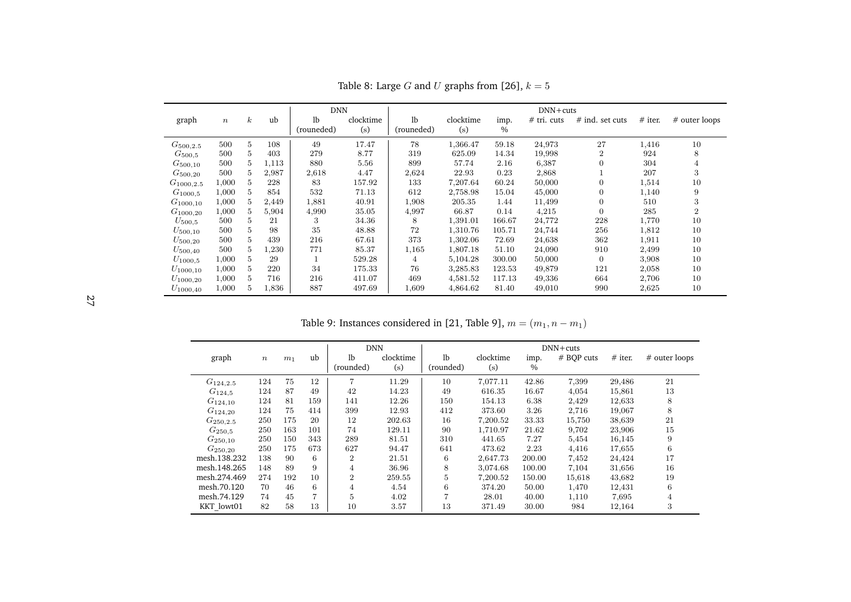|                |                  |                  |       | <b>DNN</b>     |           |                |           |        | $DNN + cuts$  |                   |           |                |
|----------------|------------------|------------------|-------|----------------|-----------|----------------|-----------|--------|---------------|-------------------|-----------|----------------|
| graph          | $\boldsymbol{n}$ | $\boldsymbol{k}$ | ub    | 1 <sub>b</sub> | clocktime | 1 <sub>b</sub> | clocktime | imp.   | $#$ tri. cuts | $#$ ind. set cuts | $#$ iter. | # outer loops  |
|                |                  |                  |       | (rouneded)     | (s)       | (rouneded)     | (s)       | $\%$   |               |                   |           |                |
| $G_{500,2.5}$  | 500              | 5                | 108   | 49             | 17.47     | 78             | 1,366.47  | 59.18  | 24,973        | 27                | 1,416     | 10             |
| $G_{500.5}$    | 500              | 5                | 403   | 279            | 8.77      | 319            | 625.09    | 14.34  | 19,998        | $\overline{2}$    | 924       | 8              |
| $G_{500,10}$   | 500              | 5                | 1,113 | 880            | 5.56      | 899            | 57.74     | 2.16   | 6,387         | $\boldsymbol{0}$  | 304       | 4              |
| $G_{500,20}$   | 500              | 5                | 2,987 | 2,618          | 4.47      | 2,624          | 22.93     | 0.23   | 2,868         |                   | 207       | 3              |
| $G_{1000,2.5}$ | 1,000            | 5                | 228   | 83             | 157.92    | 133            | 7,207.64  | 60.24  | 50,000        | $\overline{0}$    | 1,514     | 10             |
| $G_{1000,5}$   | 1,000            | 5                | 854   | 532            | 71.13     | 612            | 2,758.98  | 15.04  | 45,000        | $\boldsymbol{0}$  | 1,140     | 9              |
| $G_{1000,10}$  | 1,000            | 5                | 2,449 | 1,881          | 40.91     | 1,908          | 205.35    | 1.44   | 11,499        | $\overline{0}$    | 510       | 3              |
| $G_{1000,20}$  | 1,000            | 5                | 5,904 | 4,990          | 35.05     | 4,997          | 66.87     | 0.14   | 4,215         | $\overline{0}$    | 285       | $\overline{2}$ |
| $U_{500.5}$    | 500              | 5                | 21    | 3              | 34.36     | 8              | 1,391.01  | 166.67 | 24,772        | 228               | 1,770     | 10             |
| $U_{500,10}$   | 500              | 5                | 98    | 35             | 48.88     | 72             | 1,310.76  | 105.71 | 24,744        | 256               | 1,812     | 10             |
| $U_{500,20}$   | 500              | 5                | 439   | 216            | 67.61     | 373            | 1,302.06  | 72.69  | 24,638        | 362               | 1,911     | 10             |
| $U_{500,40}$   | 500              | 5                | 1,230 | 771            | 85.37     | 1,165          | 1,807.18  | 51.10  | 24,090        | 910               | 2,499     | 10             |
| $U_{1000,5}$   | 1,000            | 5                | 29    |                | 529.28    | 4              | 5,104.28  | 300.00 | 50,000        | $\boldsymbol{0}$  | 3,908     | 10             |
| $U_{1000,10}$  | 1,000            | 5                | 220   | 34             | 175.33    | 76             | 3,285.83  | 123.53 | 49,879        | 121               | 2,058     | 10             |
| $U_{1000,20}$  | 1,000            | 5                | 716   | 216            | 411.07    | 469            | 4,581.52  | 117.13 | 49,336        | 664               | 2,706     | 10             |
| $U_{1000,40}$  | 1,000            | 5                | 1,836 | 887            | 497.69    | 1,609          | 4,864.62  | 81.40  | 49,010        | 990               | 2,625     | 10             |

Table 8: Large *G* and *U* graphs from [\[26\]](#page-29-20),  $k = 5$ 

<span id="page-26-1"></span>Table 9: Instances considered in [\[21,](#page-29-19) Table 9],  $m = (m_1, n - m_1)$ 

<span id="page-26-0"></span>

|               |                  |                |     | <b>DNN</b>     |           |                |           |        | $DNN + cuts$ |           |                  |
|---------------|------------------|----------------|-----|----------------|-----------|----------------|-----------|--------|--------------|-----------|------------------|
| graph         | $\boldsymbol{n}$ | m <sub>1</sub> | ub  | 1 <sub>b</sub> | clocktime | 1 <sub>b</sub> | clocktime | imp.   | # BQP cuts   | $#$ iter. | # outer loops    |
|               |                  |                |     | (rounded)      | (s)       | (rounded)      | (s)       | $\%$   |              |           |                  |
| $G_{124,2.5}$ | 124              | 75             | 12  | $\overline{7}$ | 11.29     | 10             | 7,077.11  | 42.86  | 7,399        | 29,486    | 21               |
| $G_{124,5}$   | 124              | 87             | 49  | 42             | 14.23     | 49             | 616.35    | 16.67  | 4,054        | 15,861    | 13               |
| $G_{124,10}$  | 124              | 81             | 159 | 141            | 12.26     | 150            | 154.13    | 6.38   | 2,429        | 12,633    | 8                |
| $G_{124,20}$  | 124              | 75             | 414 | 399            | 12.93     | 412            | 373.60    | 3.26   | 2,716        | 19,067    | 8                |
| $G_{250,2.5}$ | 250              | 175            | 20  | 12             | 202.63    | 16             | 7,200.52  | 33.33  | 15,750       | 38,639    | 21               |
| $G_{250.5}$   | 250              | 163            | 101 | 74             | 129.11    | 90             | 1,710.97  | 21.62  | 9,702        | 23,906    | 15               |
| $G_{250,10}$  | 250              | 150            | 343 | 289            | 81.51     | 310            | 441.65    | 7.27   | 5,454        | 16,145    | $\boldsymbol{9}$ |
| $G_{250,20}$  | 250              | 175            | 673 | 627            | 94.47     | 641            | 473.62    | 2.23   | 4,416        | 17,655    | 6                |
| mesh.138.232  | 138              | 90             | 6   | 2              | 21.51     | 6              | 2,647.73  | 200.00 | 7,452        | 24,424    | 17               |
| mesh.148.265  | 148              | 89             | 9   | 4              | 36.96     | 8              | 3,074.68  | 100.00 | 7,104        | 31,656    | 16               |
| mesh.274.469  | 274              | 192            | 10  | $\overline{2}$ | 259.55    | 5              | 7,200.52  | 150.00 | 15,618       | 43,682    | 19               |
| mesh.70.120   | 70               | 46             | 6   | 4              | 4.54      | 6              | 374.20    | 50.00  | 1,470        | 12,431    | 6                |
| mesh.74.129   | 74               | 45             | 7   | 5              | 4.02      |                | 28.01     | 40.00  | 1,110        | 7,695     | $\overline{4}$   |
| KKT lowt01    | 82               | 58             | 13  | 10             | 3.57      | 13             | 371.49    | 30.00  | 984          | 12,164    | 3                |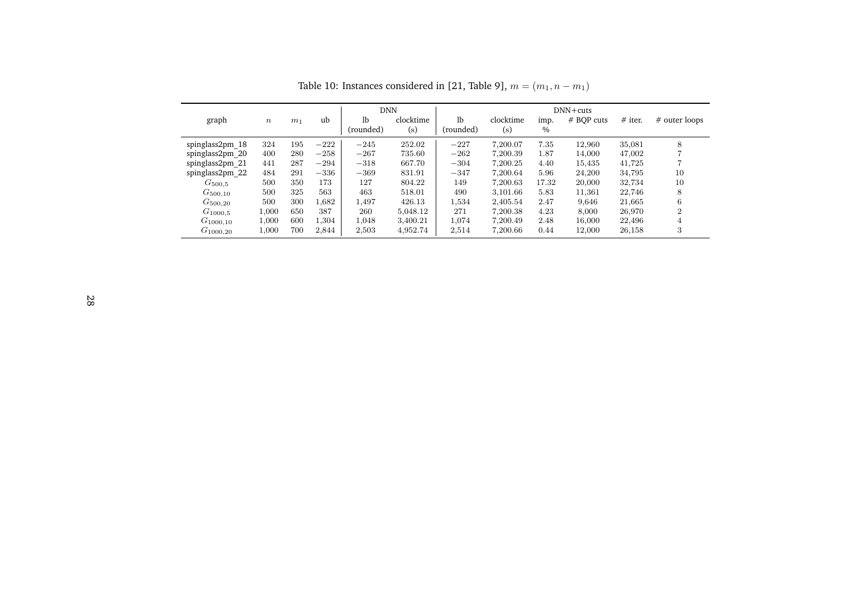<span id="page-27-0"></span>

|                 |       |                |        | <b>DNN</b>      |                  |                             |                  |              | $DNN + cuts$ |           |                |
|-----------------|-------|----------------|--------|-----------------|------------------|-----------------------------|------------------|--------------|--------------|-----------|----------------|
| graph           | $\,n$ | m <sub>1</sub> | ub     | lb<br>(rounded) | clocktime<br>(s) | 1 <sub>b</sub><br>(rounded) | clocktime<br>(s) | imp.<br>$\%$ | # BOP cuts   | $#$ iter. | # outer loops  |
| spinglass2pm 18 | 324   | 195            | $-222$ | $-245$          | 252.02           | $-227$                      | 7.200.07         | 7.35         | 12.960       | 35,081    | 8              |
| spinglass2pm 20 | 400   | 280            | $-258$ | $-267$          | 735.60           | $-262$                      | 7.200.39         | 1.87         | 14,000       | 47,002    |                |
| spinglass2pm 21 | 441   | 287            | $-294$ | $-318$          | 667.70           | $-304$                      | 7.200.25         | 4.40         | 15.435       | 41.725    |                |
| spinglass2pm 22 | 484   | 291            | $-336$ | $-369$          | 831.91           | $-347$                      | 7.200.64         | 5.96         | 24,200       | 34.795    | 10             |
| $G_{500.5}$     | 500   | 350            | 173    | 127             | 804.22           | 149                         | 7.200.63         | 17.32        | 20,000       | 32.734    | 10             |
| $G_{500,10}$    | 500   | 325            | 563    | 463             | 518.01           | 490                         | 3.101.66         | 5.83         | 11,361       | 22,746    | 8              |
| $G_{500,20}$    | 500   | 300            | 1.682  | 1.497           | 426.13           | 1,534                       | 2.405.54         | 2.47         | 9.646        | 21,665    | 6              |
| $G_{1000.5}$    | 1,000 | 650            | 387    | 260             | 5,048.12         | 271                         | 7.200.38         | 4.23         | 8.000        | 26,970    | $\overline{2}$ |
| $G_{1000,10}$   | 1,000 | 600            | 1.304  | 1.048           | 3.400.21         | 1.074                       | 7.200.49         | 2.48         | 16,000       | 22,496    | 4              |
| $G_{1000,20}$   | 1,000 | 700            | 2,844  | 2,503           | 4,952.74         | 2,514                       | 7,200.66         | 0.44         | 12,000       | 26,158    | 3              |

Table 10: Instances considered in [\[21,](#page-29-19) Table 9],  $m = (m_1, n - m_1)$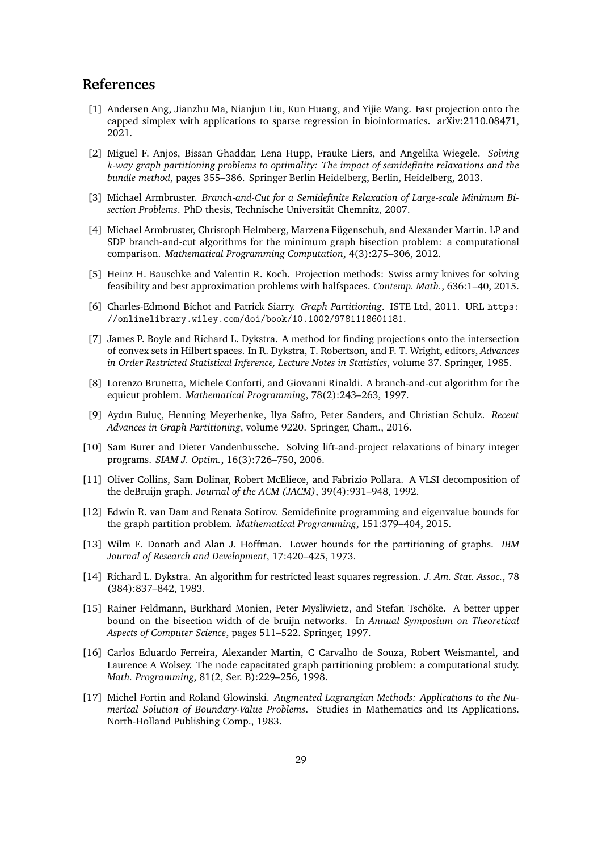# **References**

- <span id="page-28-14"></span><span id="page-28-13"></span>[1] Andersen Ang, Jianzhu Ma, Nianjun Liu, Kun Huang, and Yijie Wang. Fast projection onto the capped simplex with applications to sparse regression in bioinformatics. arXiv:2110.08471, 2021.
- <span id="page-28-10"></span>[2] Miguel F. Anjos, Bissan Ghaddar, Lena Hupp, Frauke Liers, and Angelika Wiegele. *Solving k-way graph partitioning problems to optimality: The impact of semidefinite relaxations and the bundle method*, pages 355–386. Springer Berlin Heidelberg, Berlin, Heidelberg, 2013.
- <span id="page-28-11"></span>[3] Michael Armbruster. *Branch-and-Cut for a Semidefinite Relaxation of Large-scale Minimum Bisection Problems*. PhD thesis, Technische Universität Chemnitz, 2007.
- <span id="page-28-4"></span>[4] Michael Armbruster, Christoph Helmberg, Marzena Fügenschuh, and Alexander Martin. LP and SDP branch-and-cut algorithms for the minimum graph bisection problem: a computational comparison. *Mathematical Programming Computation*, 4(3):275–306, 2012.
- <span id="page-28-9"></span>[5] Heinz H. Bauschke and Valentin R. Koch. Projection methods: Swiss army knives for solving feasibility and best approximation problems with halfspaces. *Contemp. Math.*, 636:1–40, 2015.
- <span id="page-28-0"></span>[6] Charles-Edmond Bichot and Patrick Siarry. *Graph Partitioning*. ISTE Ltd, 2011. URL [https:](https://onlinelibrary.wiley.com/doi/book/10.1002/9781118601181) [//onlinelibrary.wiley.com/doi/book/10.1002/9781118601181](https://onlinelibrary.wiley.com/doi/book/10.1002/9781118601181).
- <span id="page-28-7"></span>[7] James P. Boyle and Richard L. Dykstra. A method for finding projections onto the intersection of convex sets in Hilbert spaces. In R. Dykstra, T. Robertson, and F. T. Wright, editors, *Advances in Order Restricted Statistical Inference, Lecture Notes in Statistics*, volume 37. Springer, 1985.
- <span id="page-28-15"></span>[8] Lorenzo Brunetta, Michele Conforti, and Giovanni Rinaldi. A branch-and-cut algorithm for the equicut problem. *Mathematical Programming*, 78(2):243–263, 1997.
- <span id="page-28-1"></span>[9] Aydın Buluç, Henning Meyerhenke, Ilya Safro, Peter Sanders, and Christian Schulz. *Recent Advances in Graph Partitioning*, volume 9220. Springer, Cham., 2016.
- <span id="page-28-5"></span>[10] Sam Burer and Dieter Vandenbussche. Solving lift-and-project relaxations of binary integer programs. *SIAM J. Optim.*, 16(3):726–750, 2006.
- <span id="page-28-16"></span>[11] Oliver Collins, Sam Dolinar, Robert McEliece, and Fabrizio Pollara. A VLSI decomposition of the deBruijn graph. *Journal of the ACM (JACM)*, 39(4):931–948, 1992.
- <span id="page-28-3"></span>[12] Edwin R. van Dam and Renata Sotirov. Semidefinite programming and eigenvalue bounds for the graph partition problem. *Mathematical Programming*, 151:379–404, 2015.
- <span id="page-28-2"></span>[13] Wilm E. Donath and Alan J. Hoffman. Lower bounds for the partitioning of graphs. *IBM Journal of Research and Development*, 17:420–425, 1973.
- <span id="page-28-8"></span>[14] Richard L. Dykstra. An algorithm for restricted least squares regression. *J. Am. Stat. Assoc.*, 78 (384):837–842, 1983.
- <span id="page-28-17"></span>[15] Rainer Feldmann, Burkhard Monien, Peter Mysliwietz, and Stefan Tschöke. A better upper bound on the bisection width of de bruijn networks. In *Annual Symposium on Theoretical Aspects of Computer Science*, pages 511–522. Springer, 1997.
- <span id="page-28-12"></span>[16] Carlos Eduardo Ferreira, Alexander Martin, C Carvalho de Souza, Robert Weismantel, and Laurence A Wolsey. The node capacitated graph partitioning problem: a computational study. *Math. Programming*, 81(2, Ser. B):229–256, 1998.
- <span id="page-28-6"></span>[17] Michel Fortin and Roland Glowinski. *Augmented Lagrangian Methods: Applications to the Numerical Solution of Boundary-Value Problems*. Studies in Mathematics and Its Applications. North-Holland Publishing Comp., 1983.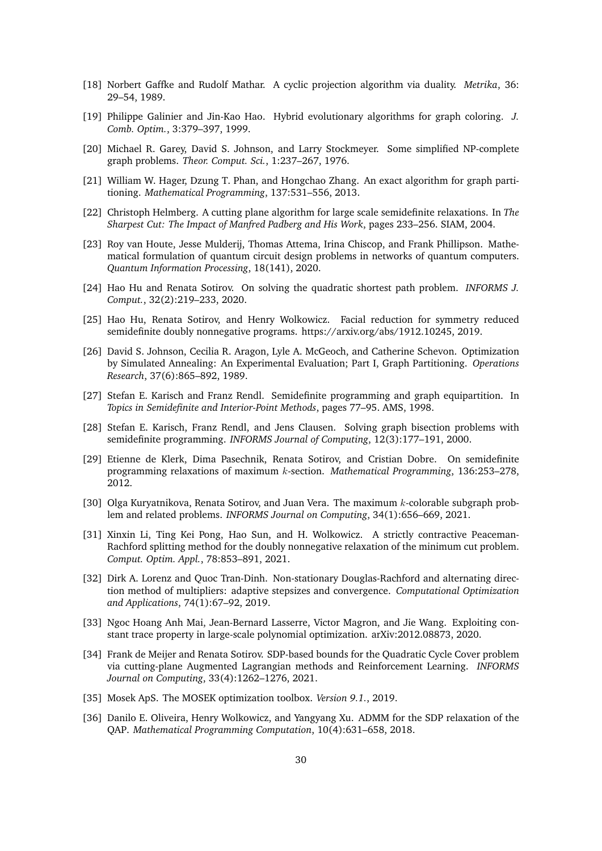- <span id="page-29-20"></span><span id="page-29-19"></span><span id="page-29-14"></span>[18] Norbert Gaffke and Rudolf Mathar. A cyclic projection algorithm via duality. *Metrika*, 36: 29–54, 1989.
- <span id="page-29-15"></span>[19] Philippe Galinier and Jin-Kao Hao. Hybrid evolutionary algorithms for graph coloring. *J. Comb. Optim.*, 3:379–397, 1999.
- <span id="page-29-1"></span>[20] Michael R. Garey, David S. Johnson, and Larry Stockmeyer. Some simplified NP-complete graph problems. *Theor. Comput. Sci.*, 1:237–267, 1976.
- <span id="page-29-5"></span>[21] William W. Hager, Dzung T. Phan, and Hongchao Zhang. An exact algorithm for graph partitioning. *Mathematical Programming*, 137:531–556, 2013.
- <span id="page-29-18"></span>[22] Christoph Helmberg. A cutting plane algorithm for large scale semidefinite relaxations. In *The Sharpest Cut: The Impact of Manfred Padberg and His Work*, pages 233–256. SIAM, 2004.
- <span id="page-29-2"></span>[23] Roy van Houte, Jesse Mulderij, Thomas Attema, Irina Chiscop, and Frank Phillipson. Mathematical formulation of quantum circuit design problems in networks of quantum computers. *Quantum Information Processing*, 18(141), 2020.
- <span id="page-29-8"></span>[24] Hao Hu and Renata Sotirov. On solving the quadratic shortest path problem. *INFORMS J. Comput.*, 32(2):219–233, 2020.
- <span id="page-29-10"></span>[25] Hao Hu, Renata Sotirov, and Henry Wolkowicz. Facial reduction for symmetry reduced semidefinite doubly nonnegative programs. https://arxiv.org/abs/1912.10245, 2019.
- <span id="page-29-17"></span>[26] David S. Johnson, Cecilia R. Aragon, Lyle A. McGeoch, and Catherine Schevon. Optimization by Simulated Annealing: An Experimental Evaluation; Part I, Graph Partitioning. *Operations Research*, 37(6):865–892, 1989.
- <span id="page-29-3"></span>[27] Stefan E. Karisch and Franz Rendl. Semidefinite programming and graph equipartition. In *Topics in Semidefinite and Interior-Point Methods*, pages 77–95. AMS, 1998.
- <span id="page-29-0"></span>[28] Stefan E. Karisch, Franz Rendl, and Jens Clausen. Solving graph bisection problems with semidefinite programming. *INFORMS Journal of Computing*, 12(3):177–191, 2000.
- <span id="page-29-4"></span>[29] Etienne de Klerk, Dima Pasechnik, Renata Sotirov, and Cristian Dobre. On semidefinite programming relaxations of maximum *k*-section. *Mathematical Programming*, 136:253–278, 2012.
- <span id="page-29-6"></span>[30] Olga Kuryatnikova, Renata Sotirov, and Juan Vera. The maximum *k*-colorable subgraph problem and related problems. *INFORMS Journal on Computing*, 34(1):656–669, 2021.
- <span id="page-29-9"></span>[31] Xinxin Li, Ting Kei Pong, Hao Sun, and H. Wolkowicz. A strictly contractive Peaceman-Rachford splitting method for the doubly nonnegative relaxation of the minimum cut problem. *Comput. Optim. Appl.*, 78:853–891, 2021.
- <span id="page-29-12"></span>[32] Dirk A. Lorenz and Quoc Tran-Dinh. Non-stationary Douglas-Rachford and alternating direction method of multipliers: adaptive stepsizes and convergence. *Computational Optimization and Applications*, 74(1):67–92, 2019.
- <span id="page-29-7"></span>[33] Ngoc Hoang Anh Mai, Jean-Bernard Lasserre, Victor Magron, and Jie Wang. Exploiting constant trace property in large-scale polynomial optimization. arXiv:2012.08873, 2020.
- <span id="page-29-11"></span>[34] Frank de Meijer and Renata Sotirov. SDP-based bounds for the Quadratic Cycle Cover problem via cutting-plane Augmented Lagrangian methods and Reinforcement Learning. *INFORMS Journal on Computing*, 33(4):1262–1276, 2021.
- <span id="page-29-16"></span>[35] Mosek ApS. The MOSEK optimization toolbox. *Version 9.1.*, 2019.
- <span id="page-29-13"></span>[36] Danilo E. Oliveira, Henry Wolkowicz, and Yangyang Xu. ADMM for the SDP relaxation of the QAP. *Mathematical Programming Computation*, 10(4):631–658, 2018.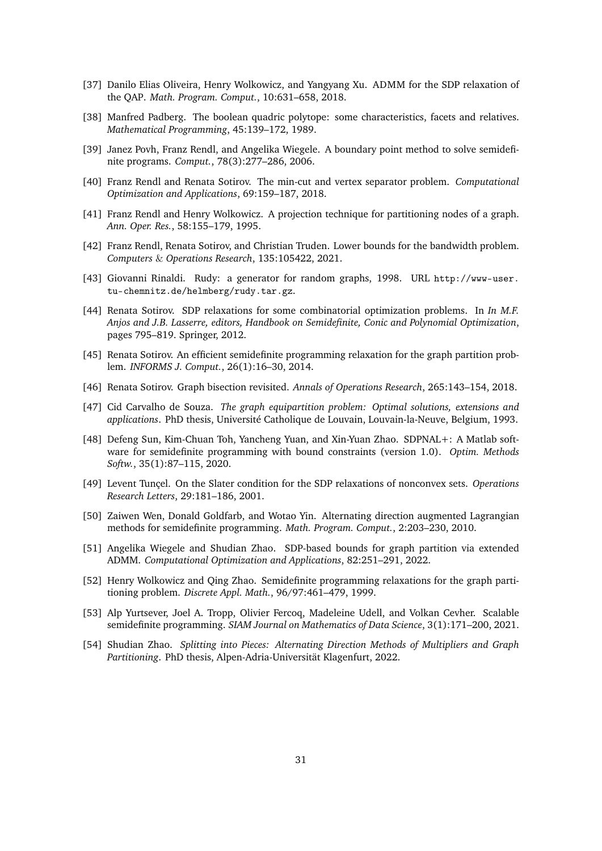- <span id="page-30-12"></span>[37] Danilo Elias Oliveira, Henry Wolkowicz, and Yangyang Xu. ADMM for the SDP relaxation of the QAP. *Math. Program. Comput.*, 10:631–658, 2018.
- <span id="page-30-15"></span>[38] Manfred Padberg. The boolean quadric polytope: some characteristics, facets and relatives. *Mathematical Programming*, 45:139–172, 1989.
- <span id="page-30-8"></span>[39] Janez Povh, Franz Rendl, and Angelika Wiegele. A boundary point method to solve semidefinite programs. *Comput.*, 78(3):277–286, 2006.
- <span id="page-30-6"></span>[40] Franz Rendl and Renata Sotirov. The min-cut and vertex separator problem. *Computational Optimization and Applications*, 69:159–187, 2018.
- <span id="page-30-1"></span>[41] Franz Rendl and Henry Wolkowicz. A projection technique for partitioning nodes of a graph. *Ann. Oper. Res.*, 58:155–179, 1995.
- <span id="page-30-0"></span>[42] Franz Rendl, Renata Sotirov, and Christian Truden. Lower bounds for the bandwidth problem. *Computers* & *Operations Research*, 135:105422, 2021.
- <span id="page-30-17"></span>[43] Giovanni Rinaldi. Rudy: a generator for random graphs, 1998. URL [http://www-user.](http://www-user.tu-chemnitz.de/helmberg/rudy.tar.gz) [tu-chemnitz.de/helmberg/rudy.tar.gz](http://www-user.tu-chemnitz.de/helmberg/rudy.tar.gz).
- <span id="page-30-5"></span>[44] Renata Sotirov. SDP relaxations for some combinatorial optimization problems. In *In M.F. Anjos and J.B. Lasserre, editors, Handbook on Semidefinite, Conic and Polynomial Optimization*, pages 795–819. Springer, 2012.
- <span id="page-30-3"></span>[45] Renata Sotirov. An efficient semidefinite programming relaxation for the graph partition problem. *INFORMS J. Comput.*, 26(1):16–30, 2014.
- <span id="page-30-4"></span>[46] Renata Sotirov. Graph bisection revisited. *Annals of Operations Research*, 265:143–154, 2018.
- <span id="page-30-16"></span>[47] Cid Carvalho de Souza. *The graph equipartition problem: Optimal solutions, extensions and applications*. PhD thesis, Université Catholique de Louvain, Louvain-la-Neuve, Belgium, 1993.
- <span id="page-30-9"></span>[48] Defeng Sun, Kim-Chuan Toh, Yancheng Yuan, and Xin-Yuan Zhao. SDPNAL+: A Matlab software for semidefinite programming with bound constraints (version 1.0). *Optim. Methods Softw.*, 35(1):87–115, 2020.
- <span id="page-30-7"></span>[49] Levent Tunçel. On the Slater condition for the SDP relaxations of nonconvex sets. *Operations Research Letters*, 29:181–186, 2001.
- <span id="page-30-10"></span>[50] Zaiwen Wen, Donald Goldfarb, and Wotao Yin. Alternating direction augmented Lagrangian methods for semidefinite programming. *Math. Program. Comput.*, 2:203–230, 2010.
- <span id="page-30-13"></span>[51] Angelika Wiegele and Shudian Zhao. SDP-based bounds for graph partition via extended ADMM. *Computational Optimization and Applications*, 82:251–291, 2022.
- <span id="page-30-2"></span>[52] Henry Wolkowicz and Qing Zhao. Semidefinite programming relaxations for the graph partitioning problem. *Discrete Appl. Math.*, 96/97:461–479, 1999.
- <span id="page-30-11"></span>[53] Alp Yurtsever, Joel A. Tropp, Olivier Fercoq, Madeleine Udell, and Volkan Cevher. Scalable semidefinite programming. *SIAM Journal on Mathematics of Data Science*, 3(1):171–200, 2021.
- <span id="page-30-14"></span>[54] Shudian Zhao. *Splitting into Pieces: Alternating Direction Methods of Multipliers and Graph Partitioning*. PhD thesis, Alpen-Adria-Universität Klagenfurt, 2022.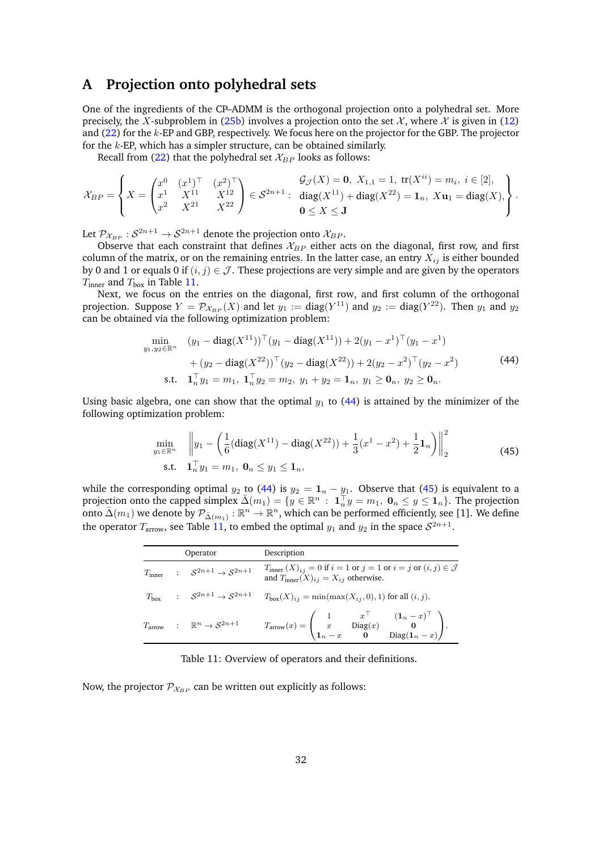# <span id="page-31-0"></span>**A Projection onto polyhedral sets**

One of the ingredients of the CP–ADMM is the orthogonal projection onto a polyhedral set. More precisely, the *X*-subproblem in [\(25b\)](#page-10-2) involves a projection onto the set  $\mathcal{X}$ , where  $\mathcal{X}$  is given in [\(12\)](#page-6-4) and [\(22\)](#page-9-5) for the *k*-EP and GBP, respectively. We focus here on the projector for the GBP. The projector for the *k*-EP, which has a simpler structure, can be obtained similarly.

Recall from  $(22)$  that the polyhedral set  $\mathcal{X}_{BP}$  looks as follows:

$$
\mathcal{X}_{BP} = \left\{ X = \begin{pmatrix} x^0 & (x^1)^\top & (x^2)^\top \\ x^1 & X^{11} & X^{12} \\ x^2 & X^{21} & X^{22} \end{pmatrix} \in \mathcal{S}^{2n+1} : \begin{array}{l} \mathcal{G}_{\mathcal{J}}(X) = \mathbf{0}, \ X_{1,1} = 1, \ \text{tr}(X^{ii}) = m_i, \ i \in [2], \\ \text{diag}(X^{11}) + \text{diag}(X^{22}) = \mathbf{1}_n, \ X\mathbf{u}_1 = \text{diag}(X), \\ \mathbf{0} \le X \le \mathbf{J} \end{array} \right\}.
$$

Let  $\mathcal{P}_{\mathcal{X}_{BP}}: \mathcal{S}^{2n+1} \to \mathcal{S}^{2n+1}$  denote the projection onto  $\mathcal{X}_{BP}.$ 

Observe that each constraint that defines  $\mathcal{X}_{BP}$  either acts on the diagonal, first row, and first column of the matrix, or on the remaining entries. In the latter case, an entry  $X_{ij}$  is either bounded by 0 and 1 or equals 0 if  $(i, j) \in \mathcal{J}$ . These projections are very simple and are given by the operators *T*<sub>inner</sub> and *T*<sub>box</sub> in Table [11.](#page-31-1)

Next, we focus on the entries on the diagonal, first row, and first column of the orthogonal projection. Suppose  $Y = \mathcal{P}_{\mathcal{X}_{BP}}(X)$  and let  $y_1 := diag(Y^{11})$  and  $y_2 := diag(Y^{22})$ . Then  $y_1$  and  $y_2$ can be obtained via the following optimization problem:

$$
\min_{y_1, y_2 \in \mathbb{R}^n} \quad (y_1 - \text{diag}(X^{11}))^{\top} (y_1 - \text{diag}(X^{11})) + 2(y_1 - x^1)^{\top} (y_1 - x^1) \n+ (y_2 - \text{diag}(X^{22}))^{\top} (y_2 - \text{diag}(X^{22})) + 2(y_2 - x^2)^{\top} (y_2 - x^2) \n\text{s.t.} \quad \mathbf{1}_n^{\top} y_1 = m_1, \ \mathbf{1}_n^{\top} y_2 = m_2, \ y_1 + y_2 = \mathbf{1}_n, \ y_1 \ge \mathbf{0}_n, \ y_2 \ge \mathbf{0}_n.
$$
\n(44)

Using basic algebra, one can show that the optimal  $y_1$  to [\(44\)](#page-31-2) is attained by the minimizer of the following optimization problem:

<span id="page-31-3"></span><span id="page-31-2"></span>
$$
\min_{y_1 \in \mathbb{R}^n} \quad \left\| y_1 - \left( \frac{1}{6} (\text{diag}(X^{11}) - \text{diag}(X^{22})) + \frac{1}{3} (x^1 - x^2) + \frac{1}{2} \mathbf{1}_n \right) \right\|_2^2
$$
\n
$$
\text{s.t.} \quad \mathbf{1}_n^{\top} y_1 = m_1, \ \mathbf{0}_n \le y_1 \le \mathbf{1}_n,
$$
\n
$$
(45)
$$

<span id="page-31-1"></span>while the corresponding optimal  $y_2$  to [\(44\)](#page-31-2) is  $y_2 = \mathbf{1}_n - y_1$ . Observe that [\(45\)](#page-31-3) is equivalent to a projection onto the capped simplex  $\overline{\Delta}(m_1) = \{y \in \mathbb{R}^n : \mathbf{1}_n^\top y = m_1, \mathbf{0}_n \leq y \leq \mathbf{1}_n\}$ . The projection onto  $\bar{\Delta}(m_1)$  we denote by  $\mathcal{P}_{\bar{\Delta}(m_1)} : \mathbb{R}^n \to \mathbb{R}^n$ , which can be performed efficiently, see [\[1\]](#page-28-14). We define the operator  $T_{\text{arrow}}$ , see Table [11,](#page-31-1) to embed the optimal  $y_1$  and  $y_2$  in the space  $S^{2n+1}$ .

|  | Operator                                                                               | Description                                                                                                                                                                                |  |  |  |  |  |  |  |
|--|----------------------------------------------------------------------------------------|--------------------------------------------------------------------------------------------------------------------------------------------------------------------------------------------|--|--|--|--|--|--|--|
|  | $T_{\text{inner}} \quad : \quad \mathcal{S}^{2n+1} \rightarrow \mathcal{S}^{2n+1}$     | $T_{\text{inner}}(X)_{ij} = 0$ if $i = 1$ or $j = 1$ or $i = j$ or $(i, j) \in \mathcal{J}$<br>and $T_{inner}(X)_{ij} = X_{ij}$ otherwise.                                                 |  |  |  |  |  |  |  |
|  | $T_{\rm box} \quad \  \, : \quad \, \mathcal{S}^{2n+1} \rightarrow \mathcal{S}^{2n+1}$ | $T_{\text{box}}(X)_{ij} = \min(\max(X_{ij}, 0), 1)$ for all $(i, j)$ .                                                                                                                     |  |  |  |  |  |  |  |
|  | $T_{\mathrm{arrow}} \qquad : \quad \mathbb{R}^n \rightarrow \mathcal{S}^{2n+1}$        | $T_{\rm arrow}(x) = \begin{pmatrix} 1 & x^\top & (\mathbf{1}_n-x)^\top \\ x & \mathrm{Diag}(x) & \mathbf{0} \\ \mathbf{1}_n-x & \mathbf{0} & \mathrm{Diag}(\mathbf{1}_n-x) \end{pmatrix}.$ |  |  |  |  |  |  |  |

Table 11: Overview of operators and their definitions.

Now, the projector  $\mathcal{P}_{X_{BP}}$  can be written out explicitly as follows: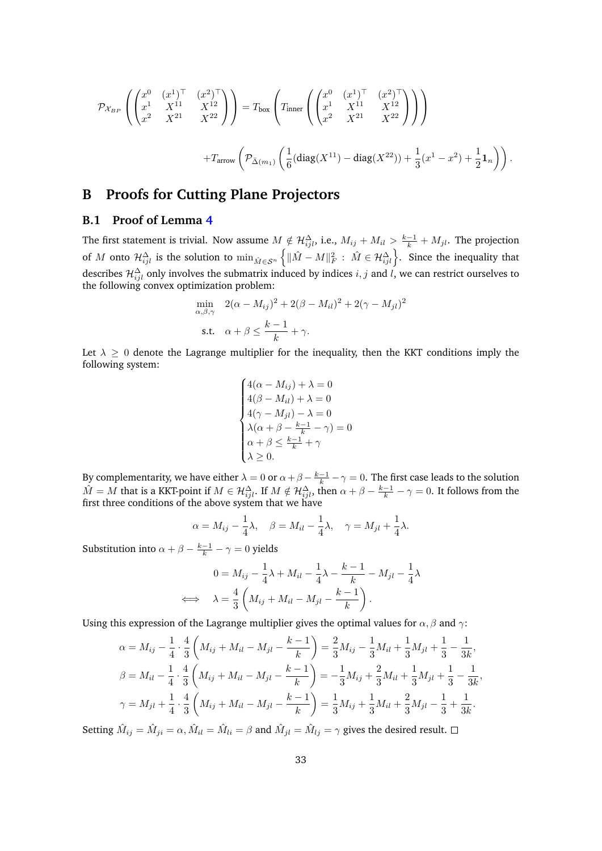$$
\mathcal{P}_{\mathcal{X}_{BP}}\left(\begin{pmatrix} x^0 & (x^1)^\top & (x^2)^\top \\ x^1 & X^{11} & X^{12} \\ x^2 & X^{21} & X^{22} \end{pmatrix}\right) = T_{\text{box}}\left(T_{\text{inner}}\left(\begin{pmatrix} x^0 & (x^1)^\top & (x^2)^\top \\ x^1 & X^{11} & X^{12} \\ x^2 & X^{21} & X^{22} \end{pmatrix}\right)\right)
$$

$$
+T_{\text{arrow}}\left(\mathcal{P}_{\bar{\Delta}(m_1)}\left(\frac{1}{6}(\text{diag}(X^{11}) - \text{diag}(X^{22})) + \frac{1}{3}(x^1 - x^2) + \frac{1}{2}\mathbf{1}_n\right)\right).
$$

# **B Proofs for Cutting Plane Projectors**

### <span id="page-32-0"></span>**B.1 Proof of Lemma [4](#page-15-4)**

The first statement is trivial. Now assume  $M \notin \mathcal{H}_{ijl}^{\Delta}$ , i.e.,  $M_{ij} + M_{il} > \frac{k-1}{k} + M_{jl}$ . The projection of *M* onto  $\mathcal{H}^{\Delta}_{ijl}$  is the solution to  $\min_{\hat{M} \in \mathcal{S}^n} \left\{ \|\hat{M} - M\|_F^2 : \hat{M} \in \mathcal{H}^{\Delta}_{ijl} \right\}$ . Since the inequality that describes  $\mathcal{H}_{ijl}^{\Delta}$  only involves the submatrix induced by indices  $i, j$  and  $l$ , we can restrict ourselves to the following convex optimization problem:

$$
\min_{\alpha,\beta,\gamma} \quad 2(\alpha - M_{ij})^2 + 2(\beta - M_{il})^2 + 2(\gamma - M_{jl})^2
$$
\ns.t.

\n
$$
\alpha + \beta \le \frac{k-1}{k} + \gamma.
$$

Let  $\lambda \geq 0$  denote the Lagrange multiplier for the inequality, then the KKT conditions imply the following system:

$$
\begin{cases}\n4(\alpha - M_{ij}) + \lambda = 0 \\
4(\beta - M_{il}) + \lambda = 0 \\
4(\gamma - M_{jl}) - \lambda = 0 \\
\lambda(\alpha + \beta - \frac{k-1}{k} - \gamma) = 0 \\
\alpha + \beta \le \frac{k-1}{k} + \gamma \\
\lambda \ge 0.\n\end{cases}
$$

By complementarity, we have either  $\lambda = 0$  or  $\alpha + \beta - \frac{k-1}{k} - \gamma = 0$ . The first case leads to the solution  $\hat{M} = M$  that is a KKT-point if  $M \in \mathcal{H}_{ijl}^{\Delta}$ . If  $M \notin \mathcal{H}_{ijl}^{\Delta}$ , then  $\alpha + \beta - \frac{k-1}{k} - \gamma = 0$ . It follows from the first three conditions of the above system that we have

$$
\alpha = M_{ij} - \frac{1}{4}\lambda, \quad \beta = M_{il} - \frac{1}{4}\lambda, \quad \gamma = M_{jl} + \frac{1}{4}\lambda.
$$

Substitution into  $\alpha + \beta - \frac{k-1}{k} - \gamma = 0$  yields

$$
0 = M_{ij} - \frac{1}{4}\lambda + M_{il} - \frac{1}{4}\lambda - \frac{k-1}{k} - M_{jl} - \frac{1}{4}\lambda
$$
  

$$
\iff \lambda = \frac{4}{3}\left(M_{ij} + M_{il} - M_{jl} - \frac{k-1}{k}\right).
$$

Using this expression of the Lagrange multiplier gives the optimal values for *α, β* and *γ*:

$$
\alpha = M_{ij} - \frac{1}{4} \cdot \frac{4}{3} \left( M_{ij} + M_{il} - M_{jl} - \frac{k-1}{k} \right) = \frac{2}{3} M_{ij} - \frac{1}{3} M_{il} + \frac{1}{3} M_{jl} + \frac{1}{3} - \frac{1}{3k},
$$
  
\n
$$
\beta = M_{il} - \frac{1}{4} \cdot \frac{4}{3} \left( M_{ij} + M_{il} - M_{jl} - \frac{k-1}{k} \right) = -\frac{1}{3} M_{ij} + \frac{2}{3} M_{il} + \frac{1}{3} M_{jl} + \frac{1}{3} - \frac{1}{3k},
$$
  
\n
$$
\gamma = M_{jl} + \frac{1}{4} \cdot \frac{4}{3} \left( M_{ij} + M_{il} - M_{jl} - \frac{k-1}{k} \right) = \frac{1}{3} M_{ij} + \frac{1}{3} M_{il} + \frac{2}{3} M_{jl} - \frac{1}{3} + \frac{1}{3k}.
$$

Setting  $\hat{M}_{ij} = \hat{M}_{ji} = \alpha$ ,  $\hat{M}_{il} = \hat{M}_{li} = \beta$  and  $\hat{M}_{jl} = \hat{M}_{lj} = \gamma$  gives the desired result.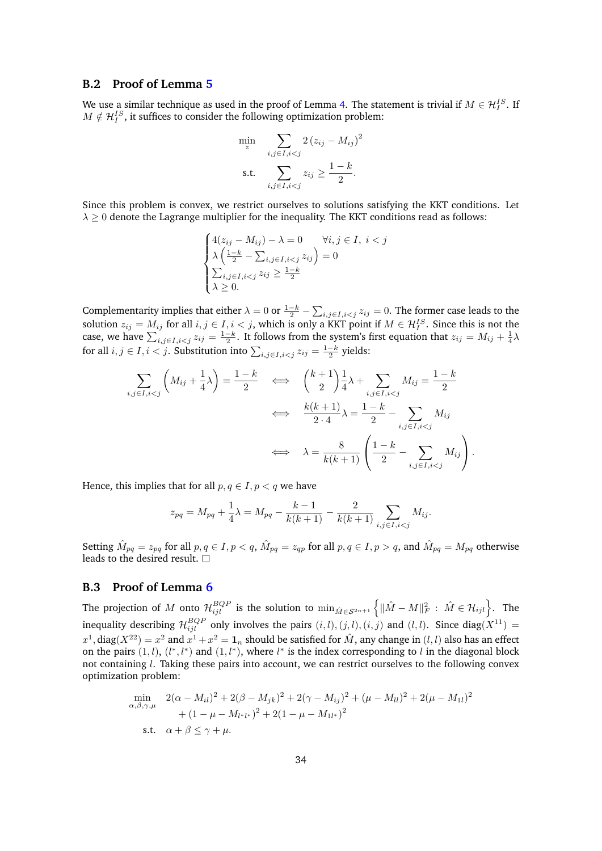#### <span id="page-33-0"></span>**B.2 Proof of Lemma [5](#page-16-2)**

We use a similar technique as used in the proof of Lemma [4.](#page-15-4) The statement is trivial if  $M \in \mathcal{H}_I^{IS}$ . If  $M \notin \mathcal{H}_I^{IS}$ , it suffices to consider the following optimization problem:

$$
\min_{z} \sum_{i,j \in I, i < j} 2\left(z_{ij} - M_{ij}\right)^2
$$
\n
$$
\text{s.t.} \sum_{i,j \in I, i < j} z_{ij} \ge \frac{1-k}{2}.
$$

Since this problem is convex, we restrict ourselves to solutions satisfying the KKT conditions. Let  $\lambda \geq 0$  denote the Lagrange multiplier for the inequality. The KKT conditions read as follows:

$$
\begin{cases}\n4(z_{ij} - M_{ij}) - \lambda = 0 & \forall i, j \in I, i < j \\
\lambda \left( \frac{1 - k}{2} - \sum_{i,j \in I, i < j} z_{ij} \right) = 0 \\
\sum_{i,j \in I, i < j} z_{ij} \ge \frac{1 - k}{2} \\
\lambda \ge 0.\n\end{cases}
$$

Complementarity implies that either  $\lambda = 0$  or  $\frac{1-k}{2} - \sum_{i,j \in I, i < j} z_{ij} = 0$ . The former case leads to the solution  $z_{ij} = M_{ij}$  for all  $i, j \in I, i < j$ , which is only a KKT point if  $M \in \mathcal{H}_I^{IS}$ . Since this is not the case, we have  $\sum_{i,j\in I, i. It follows from the system's first equation that  $z_{ij} = M_{ij} + \frac{1}{4}\lambda$$ for all  $i, j \in I, i < j$ . Substitution into  $\sum_{i,j \in I, i < j} z_{ij} = \frac{1-k}{2}$  yields:

$$
\sum_{i,j\in I,i\n
$$
\Longleftrightarrow \quad \frac{k(k+1)}{2\cdot 4}\lambda = \frac{1-k}{2} - \sum_{i,j\in I,i\n
$$
\Longleftrightarrow \quad \lambda = \frac{8}{k(k+1)} \left( \frac{1-k}{2} - \sum_{i,j\in I,i
$$
$$
$$

Hence, this implies that for all  $p, q \in I, p < q$  we have

$$
z_{pq} = M_{pq} + \frac{1}{4}\lambda = M_{pq} - \frac{k-1}{k(k+1)} - \frac{2}{k(k+1)} \sum_{i,j \in I, i < j} M_{ij}.
$$

Setting  $\hat{M}_{pq} = z_{pq}$  for all  $p, q \in I, p < q$ ,  $\hat{M}_{pq} = z_{qp}$  for all  $p, q \in I, p > q$ , and  $\hat{M}_{pq} = M_{pq}$  otherwise leads to the desired result.  $\square$ 

#### <span id="page-33-1"></span>**B.3 Proof of Lemma [6](#page-18-1)**

The projection of  $M$  onto  $\mathcal{H}_{ijl}^{BQP}$  is the solution to  $\min_{\hat{M}\in \mathcal{S}^{2n+1}}\left\{\|\hat{M} - M\|_F^2:\ \hat{M}\in \mathcal{H}_{ijl}\right\}.$  The inequality describing  $\mathcal{H}_{ijl}^{BQP}$  only involves the pairs  $(i, l), (j, l), (i, j)$  and  $(l, l)$ . Since diag $(X^{11})$  =  $x^1$ , diag $(X^{22}) = x^2$  and  $x^1 + x^2 = \mathbf{1}_n$  should be satisfied for  $\hat{M}$ , any change in  $(l,l)$  also has an effect on the pairs  $(1, l)$ ,  $(l^*, l^*)$  and  $(1, l^*)$ , where  $l^*$  is the index corresponding to *l* in the diagonal block not containing *l*. Taking these pairs into account, we can restrict ourselves to the following convex optimization problem:

$$
\min_{\alpha,\beta,\gamma,\mu} \quad 2(\alpha - M_{il})^2 + 2(\beta - M_{jk})^2 + 2(\gamma - M_{ij})^2 + (\mu - M_{ll})^2 + 2(\mu - M_{1l})^2
$$
\n
$$
+ (1 - \mu - M_{l^*l^*})^2 + 2(1 - \mu - M_{1l^*})^2
$$
\ns.t.

\n
$$
\alpha + \beta \le \gamma + \mu.
$$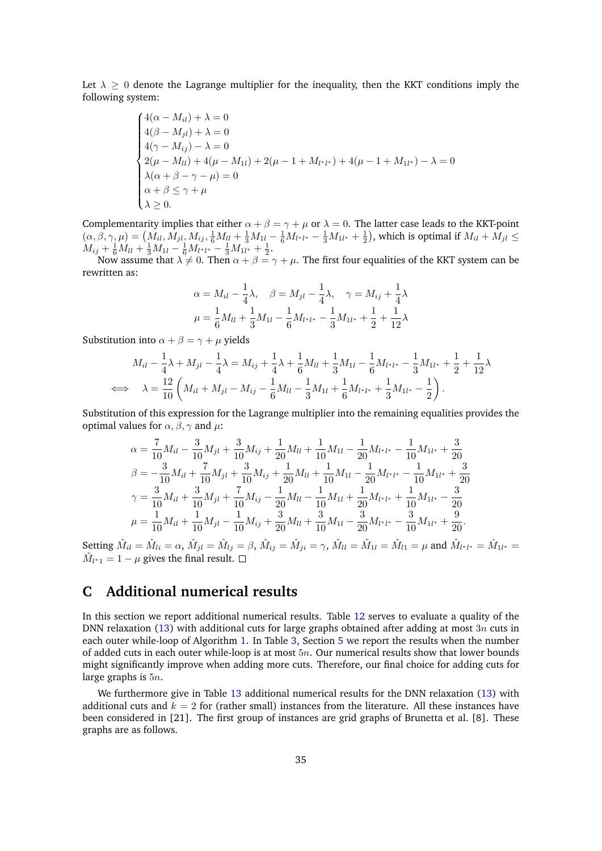Let  $\lambda \geq 0$  denote the Lagrange multiplier for the inequality, then the KKT conditions imply the following system:

$$
\begin{cases}\n4(\alpha - M_{il}) + \lambda = 0 \\
4(\beta - M_{jl}) + \lambda = 0 \\
4(\gamma - M_{ij}) - \lambda = 0 \\
2(\mu - M_{ll}) + 4(\mu - M_{1l}) + 2(\mu - 1 + M_{l^*l^*}) + 4(\mu - 1 + M_{1l^*}) - \lambda = 0 \\
\lambda(\alpha + \beta - \gamma - \mu) = 0 \\
\alpha + \beta \le \gamma + \mu \\
\lambda \ge 0.\n\end{cases}
$$

Complementarity implies that either  $\alpha + \beta = \gamma + \mu$  or  $\lambda = 0$ . The latter case leads to the KKT-point  $(\alpha, \beta, \gamma, \mu) = (M_{il}, M_{jl}, M_{ij}, \frac{1}{6}M_{ll} + \frac{1}{3}M_{1l} - \frac{1}{6}M_{l^*l^*} - \frac{1}{3}M_{1l^*} + \frac{1}{2})$ , which is optimal if  $M_{il} + M_{jl} \le$  $M_{ij} + \frac{1}{6}M_{ll} + \frac{1}{3}M_{1l} - \frac{1}{6}M_{l^*l^*} - \frac{1}{3}M_{1l^*} + \frac{1}{2}.$ 

Now assume that  $\lambda \neq 0$ . Then  $\alpha + \beta = \gamma + \mu$ . The first four equalities of the KKT system can be rewritten as:

$$
\alpha = M_{il} - \frac{1}{4}\lambda, \quad \beta = M_{jl} - \frac{1}{4}\lambda, \quad \gamma = M_{ij} + \frac{1}{4}\lambda
$$
  

$$
\mu = \frac{1}{6}M_{ll} + \frac{1}{3}M_{1l} - \frac{1}{6}M_{l^{*}l^{*}} - \frac{1}{3}M_{1l^{*}} + \frac{1}{2} + \frac{1}{12}\lambda
$$

Substitution into  $\alpha + \beta = \gamma + \mu$  yields

$$
M_{il} - \frac{1}{4}\lambda + M_{jl} - \frac{1}{4}\lambda = M_{ij} + \frac{1}{4}\lambda + \frac{1}{6}M_{ll} + \frac{1}{3}M_{1l} - \frac{1}{6}M_{l^*l^*} - \frac{1}{3}M_{1l^*} + \frac{1}{2} + \frac{1}{12}\lambda
$$
  

$$
\iff \lambda = \frac{12}{10}\left(M_{il} + M_{jl} - M_{ij} - \frac{1}{6}M_{ll} - \frac{1}{3}M_{1l} + \frac{1}{6}M_{l^*l^*} + \frac{1}{3}M_{1l^*} - \frac{1}{2}\right).
$$

Substitution of this expression for the Lagrange multiplier into the remaining equalities provides the optimal values for  $\alpha$ ,  $\beta$ ,  $\gamma$  and  $\mu$ :

$$
\alpha = \frac{7}{10}M_{il} - \frac{3}{10}M_{jl} + \frac{3}{10}M_{ij} + \frac{1}{20}M_{ll} + \frac{1}{10}M_{1l} - \frac{1}{20}M_{l^*l^*} - \frac{1}{10}M_{1l^*} + \frac{3}{20}
$$
  
\n
$$
\beta = -\frac{3}{10}M_{il} + \frac{7}{10}M_{jl} + \frac{3}{10}M_{ij} + \frac{1}{20}M_{ll} + \frac{1}{10}M_{1l} - \frac{1}{20}M_{l^*l^*} - \frac{1}{10}M_{1l^*} + \frac{3}{20}
$$
  
\n
$$
\gamma = \frac{3}{10}M_{il} + \frac{3}{10}M_{jl} + \frac{7}{10}M_{ij} - \frac{1}{20}M_{ll} - \frac{1}{10}M_{1l} + \frac{1}{20}M_{l^*l^*} + \frac{1}{10}M_{1l^*} - \frac{3}{20}
$$
  
\n
$$
\mu = \frac{1}{10}M_{il} + \frac{1}{10}M_{jl} - \frac{1}{10}M_{ij} + \frac{3}{20}M_{ll} + \frac{3}{10}M_{1l} - \frac{3}{20}M_{l^*l^*} - \frac{3}{10}M_{1l^*} + \frac{9}{20}.
$$

Setting  $\hat{M}_{il} = \hat{M}_{li} = \alpha$ ,  $\hat{M}_{jl} = \hat{M}_{lj} = \beta$ ,  $\hat{M}_{ij} = \hat{M}_{ji} = \gamma$ ,  $\hat{M}_{ll} = \hat{M}_{1l} = \hat{M}_{l1} = \mu$  and  $\hat{M}_{l^*l^*} = \hat{M}_{1l^*} = \mu$  $\hat{M}_{l^*1} = 1 - \mu$  gives the final result.

# <span id="page-34-0"></span>**C Additional numerical results**

In this section we report additional numerical results. Table [12](#page-36-1) serves to evaluate a quality of the DNN relaxation [\(13\)](#page-6-2) with additional cuts for large graphs obtained after adding at most 3*n* cuts in each outer while-loop of Algorithm [1.](#page-13-1) In Table [3,](#page-23-1) Section [5](#page-18-0) we report the results when the number of added cuts in each outer while-loop is at most 5*n*. Our numerical results show that lower bounds might significantly improve when adding more cuts. Therefore, our final choice for adding cuts for large graphs is 5*n*.

We furthermore give in Table [13](#page-36-0) additional numerical results for the DNN relaxation [\(13\)](#page-6-2) with additional cuts and  $k = 2$  for (rather small) instances from the literature. All these instances have been considered in [\[21\]](#page-29-5). The first group of instances are grid graphs of Brunetta et al. [\[8\]](#page-28-15). These graphs are as follows.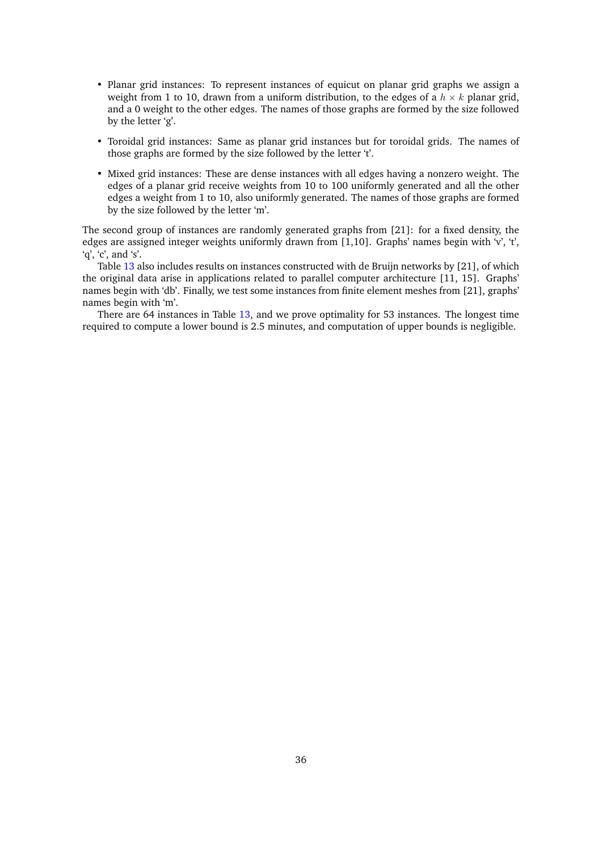- Planar grid instances: To represent instances of equicut on planar grid graphs we assign a weight from 1 to 10, drawn from a uniform distribution, to the edges of a  $h \times k$  planar grid, and a 0 weight to the other edges. The names of those graphs are formed by the size followed by the letter 'g'.
- Toroidal grid instances: Same as planar grid instances but for toroidal grids. The names of those graphs are formed by the size followed by the letter 't'.
- Mixed grid instances: These are dense instances with all edges having a nonzero weight. The edges of a planar grid receive weights from 10 to 100 uniformly generated and all the other edges a weight from 1 to 10, also uniformly generated. The names of those graphs are formed by the size followed by the letter 'm'.

The second group of instances are randomly generated graphs from [\[21\]](#page-29-5): for a fixed density, the edges are assigned integer weights uniformly drawn from [1,10]. Graphs' names begin with 'v', 't',  $q', 'c',$  and 's'.

Table [13](#page-36-0) also includes results on instances constructed with de Bruijn networks by [\[21\]](#page-29-5), of which the original data arise in applications related to parallel computer architecture [\[11,](#page-28-16) [15\]](#page-28-17). Graphs' names begin with 'db'. Finally, we test some instances from finite element meshes from [\[21\]](#page-29-5), graphs' names begin with 'm'.

There are 64 instances in Table [13,](#page-36-0) and we prove optimality for 53 instances. The longest time required to compute a lower bound is 2.5 minutes, and computation of upper bounds is negligible.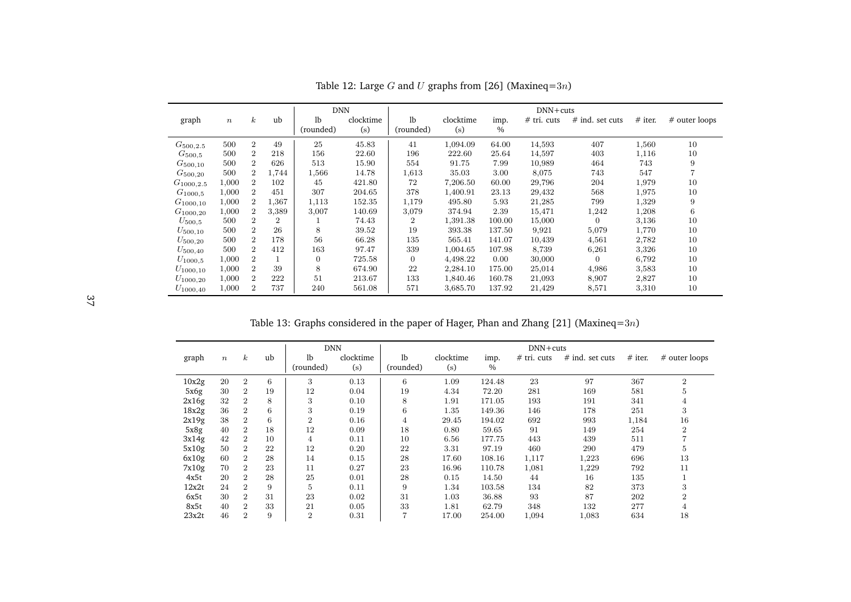|                | <b>DNN</b>       |                |                |                |           |                |           |        | $DNN + cuts$  |                 |           |               |
|----------------|------------------|----------------|----------------|----------------|-----------|----------------|-----------|--------|---------------|-----------------|-----------|---------------|
| graph          | $\boldsymbol{n}$ | $\kappa$       | ub             | lb             | clocktime | 1 <sub>b</sub> | clocktime | imp.   | $#$ tri. cuts | # ind. set cuts | $#$ iter. | # outer loops |
|                |                  |                |                | (rounded)      | (s)       | (rounded)      | (s)       | $\%$   |               |                 |           |               |
| $G_{500,2.5}$  | 500              | $\overline{2}$ | 49             | 25             | 45.83     | 41             | 1,094.09  | 64.00  | 14,593        | 407             | 1,560     | 10            |
| $G_{500,5}$    | 500              | $\overline{2}$ | 218            | 156            | 22.60     | 196            | 222.60    | 25.64  | 14,597        | 403             | 1,116     | 10            |
| $G_{500,10}$   | 500              | $\overline{2}$ | 626            | 513            | 15.90     | 554            | 91.75     | 7.99   | 10,989        | 464             | 743       | 9             |
| $G_{500,20}$   | 500              | $\overline{2}$ | 1,744          | 1,566          | 14.78     | 1,613          | 35.03     | 3.00   | 8,075         | 743             | 547       |               |
| $G_{1000.2.5}$ | 1,000            | $\overline{2}$ | 102            | 45             | 421.80    | 72             | 7,206.50  | 60.00  | 29,796        | 204             | 1,979     | 10            |
| $G_{1000.5}$   | 1,000            | $\overline{2}$ | 451            | 307            | 204.65    | 378            | 1,400.91  | 23.13  | 29,432        | 568             | 1,975     | 10            |
| $G_{1000,10}$  | 1,000            | $\overline{2}$ | 1,367          | 1,113          | 152.35    | 1,179          | 495.80    | 5.93   | 21,285        | 799             | 1,329     | 9             |
| $G_{1000,20}$  | 1,000            | $\overline{2}$ | 3,389          | 3,007          | 140.69    | 3,079          | 374.94    | 2.39   | 15,471        | 1,242           | 1,208     | 6             |
| $U_{500.5}$    | 500              | $\overline{2}$ | $\overline{2}$ |                | 74.43     | $\overline{2}$ | 1,391.38  | 100.00 | 15,000        | $\overline{0}$  | 3,136     | 10            |
| $U_{500,10}$   | 500              | $\overline{2}$ | 26             | 8              | 39.52     | 19             | 393.38    | 137.50 | 9,921         | 5,079           | 1,770     | 10            |
| $U_{500,20}$   | 500              | $\overline{2}$ | 178            | 56             | 66.28     | 135            | 565.41    | 141.07 | 10,439        | 4,561           | 2,782     | 10            |
| $U_{500,40}$   | 500              | $\overline{2}$ | 412            | 163            | 97.47     | 339            | 1,004.65  | 107.98 | 8,739         | 6,261           | 3,326     | 10            |
| $U_{1000,5}$   | 1,000            | $\overline{2}$ |                | $\overline{0}$ | 725.58    | $\overline{0}$ | 4,498.22  | 0.00   | 30,000        | $\overline{0}$  | 6,792     | 10            |
| $U_{1000,10}$  | 1,000            | $\overline{2}$ | 39             | 8              | 674.90    | 22             | 2,284.10  | 175.00 | 25,014        | 4,986           | 3,583     | 10            |
| $U_{1000,20}$  | 1,000            | $\overline{2}$ | 222            | 51             | 213.67    | 133            | 1,840.46  | 160.78 | 21,093        | 8,907           | 2,827     | 10            |
| $U_{1000.40}$  | 1,000            | $\overline{2}$ | 737            | 240            | 561.08    | 571            | 3,685.70  | 137.92 | 21,429        | 8,571           | 3,310     | 10            |

Table 12: Large *<sup>G</sup>* and *<sup>U</sup>* graphs from [\[26\]](#page-29-20) (Maxineq=3*n*)

Table 13: Graphs considered in the paper of Hager, Phan and Zhang [\[21\]](#page-29-19) (Maxineq=3*n*)

<span id="page-36-1"></span><span id="page-36-0"></span>

| <b>DNN</b> |                  |                  |    |                  |           | $DNN + cuts$   |           |        |               |                   |           |                |  |
|------------|------------------|------------------|----|------------------|-----------|----------------|-----------|--------|---------------|-------------------|-----------|----------------|--|
| graph      | $\boldsymbol{n}$ | $\boldsymbol{k}$ | ub | 1 <sub>b</sub>   | clocktime | 1 <sub>b</sub> | clocktime | imp.   | $#$ tri. cuts | $#$ ind. set cuts | $#$ iter. | # outer loops  |  |
|            |                  |                  |    | (rounded)        | (s)       | (rounded)      | (s)       | $\%$   |               |                   |           |                |  |
| 10x2g      | 20               | $\overline{2}$   | 6  | 3                | 0.13      | 6              | 1.09      | 124.48 | 23            | 97                | 367       | $\overline{2}$ |  |
| 5x6g       | 30               | $\overline{2}$   | 19 | 12               | 0.04      | 19             | 4.34      | 72.20  | 281           | 169               | 581       | 5              |  |
| 2x16g      | 32               | $\overline{2}$   | 8  | 3                | 0.10      | 8              | 1.91      | 171.05 | 193           | 191               | 341       | 4              |  |
| 18x2g      | 36               | $\overline{2}$   | 6  | 3                | 0.19      | 6              | 1.35      | 149.36 | 146           | 178               | 251       | 3              |  |
| 2x19g      | 38               | $\overline{2}$   | 6  | $\boldsymbol{2}$ | 0.16      | 4              | 29.45     | 194.02 | 692           | 993               | 1,184     | 16             |  |
| 5x8g       | 40               | $\overline{2}$   | 18 | 12               | 0.09      | 18             | 0.80      | 59.65  | 91            | 149               | 254       | $\overline{2}$ |  |
| 3x14g      | 42               | $\overline{2}$   | 10 | 4                | 0.11      | 10             | 6.56      | 177.75 | 443           | 439               | 511       |                |  |
| 5x10g      | 50               | $\overline{2}$   | 22 | 12               | 0.20      | 22             | 3.31      | 97.19  | 460           | 290               | 479       | 5              |  |
| 6x10g      | 60               | $\overline{2}$   | 28 | 14               | 0.15      | 28             | 17.60     | 108.16 | 1,117         | 1,223             | 696       | 13             |  |
| 7x10g      | 70               | $\overline{2}$   | 23 | 11               | 0.27      | 23             | 16.96     | 110.78 | 1,081         | 1,229             | 792       | 11             |  |
| 4x5t       | 20               | $\overline{2}$   | 28 | 25               | 0.01      | 28             | 0.15      | 14.50  | 44            | 16                | 135       |                |  |
| 12x2t      | 24               | $\overline{2}$   | 9  | 5                | 0.11      | 9              | 1.34      | 103.58 | 134           | 82                | 373       | 3              |  |
| 6x5t       | 30               | $\overline{2}$   | 31 | 23               | 0.02      | 31             | 1.03      | 36.88  | 93            | 87                | 202       | $\overline{2}$ |  |
| 8x5t       | 40               | $\overline{2}$   | 33 | 21               | 0.05      | 33             | 1.81      | 62.79  | 348           | 132               | 277       | 4              |  |
| 23x2t      | 46               | $\overline{2}$   | 9  | $\overline{2}$   | 0.31      | $\overline{7}$ | 17.00     | 254.00 | 1,094         | 1,083             | 634       | 18             |  |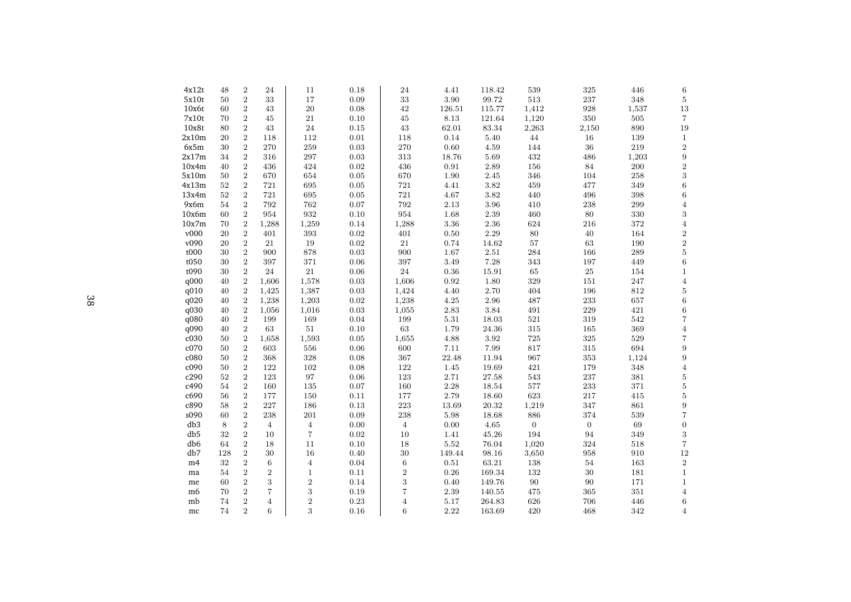| 4x12t           | 48  | $\boldsymbol{2}$ | 24               | 11             | 0.18       | 24             | 4.41     | 118.42    | 539          | 325              | 446     | 6                 |
|-----------------|-----|------------------|------------------|----------------|------------|----------------|----------|-----------|--------------|------------------|---------|-------------------|
| 5x10t           | 50  | $\sqrt{2}$       | 33               | 17             | 0.09       | 33             | 3.90     | 99.72     | 513          | 237              | 348     | $\bf 5$           |
| 10x6t           | 60  | $\overline{2}$   | 43               | 20             | 0.08       | 42             | 126.51   | 115.77    | 1,412        | 928              | 1,537   | $13\,$            |
| 7x10t           | 70  | $\sqrt{2}$       | 45               | 21             | 0.10       | 45             | 8.13     | 121.64    | 1,120        | 350              | 505     | $\overline{7}$    |
| 10x8t           | 80  | $\sqrt{2}$       | 43               | $\sqrt{24}$    | 0.15       | $43\,$         | 62.01    | $83.34\,$ | 2,263        | 2,150            | 890     | 19                |
| 2x10m           | 20  | $\,2$            | 118              | 112            | 0.01       | 118            | 0.14     | 5.40      | 44           | 16               | 139     | $\,1\,$           |
| 6x5m            | 30  | $\,2$            | 270              | 259            | 0.03       | 270            | 0.60     | 4.59      | 144          | 36               | 219     | $\,2$             |
| 2x17m           | 34  | $\,2$            | 316              | $\bf 297$      | 0.03       | 313            | 18.76    | 5.69      | 432          | 486              | 1,203   | $\boldsymbol{9}$  |
| 10x4m           | 40  | $\,2$            | 436              | 424            | 0.02       | 436            | 0.91     | 2.89      | 156          | 84               | 200     | $\,2$             |
| 5x10m           | 50  | $\sqrt{2}$       | 670              | 654            | 0.05       | 670            | 1.90     | 2.45      | 346          | 104              | 258     | $\,3$             |
| 4x13m           | 52  | $\sqrt{2}$       | 721              | 695            | 0.05       | 721            | 4.41     | 3.82      | 459          | 477              | 349     | $\,6$             |
| 13x4m           | 52  | $\,2$            | 721              | 695            | 0.05       | 721            | 4.67     | 3.82      | 440          | 496              | 398     | $\,6\,$           |
| 9x6m            | 54  | $\,2$            | 792              | 762            | $0.07\,$   | $792\,$        | 2.13     | 3.96      | 410          | 238              | 299     | $\overline{4}$    |
| 10x6m           | 60  | $\sqrt{2}$       | 954              | 932            | 0.10       | 954            | 1.68     | 2.39      | 460          | 80               | 330     | $\,3$             |
| 10x7m           | 70  | $\overline{2}$   | 1,288            | 1,259          | 0.14       | 1,288          | 3.36     | 2.36      | 624          | 216              | 372     | $\,4\,$           |
| v000            | 20  | $\sqrt{2}$       | 401              | 393            | $\rm 0.02$ | 401            | 0.50     | 2.29      | 80           | 40               | 164     | $\,2$             |
| v090            | 20  | $\sqrt{2}$       | 21               | 19             | $\rm 0.02$ | $21\,$         | 0.74     | 14.62     | $57\,$       | $63\,$           | 190     | $\,2$             |
| t000            | 30  | $\,2$            | 900              | 878            | $\rm 0.03$ | 900            | 1.67     | 2.51      | 284          | 166              | 289     | $\bf 5$           |
| t050            | 30  | $\,2$            | 397              | 371            | 0.06       | 397            | 3.49     | 7.28      | 343          | 197              | 449     | $\,6\,$           |
| t090            | 30  | $\overline{2}$   | 24               | $21\,$         | 0.06       | 24             | 0.36     | 15.91     | $\,65$       | $25\,$           | 154     | $\,1\,$           |
| q000            | 40  | $\sqrt{2}$       | 1,606            | 1,578          | 0.03       | 1,606          | 0.92     | 1.80      | 329          | 151              | 247     | $\overline{4}$    |
| q010            | 40  | $\sqrt{2}$       | 1,425            | 1,387          | $\rm 0.03$ | 1,424          | 4.40     | 2.70      | 404          | 196              | 812     | $\bf 5$           |
| q020            | 40  | $\sqrt{2}$       | 1,238            | 1,203          | $\rm 0.02$ | 1,238          | 4.25     | 2.96      | 487          | 233              | 657     | $\,6$             |
| q030            | 40  | $\,2$            | 1,056            | 1,016          | 0.03       | 1,055          | 2.83     | 3.84      | 491          | 229              | 421     | $\,6\,$           |
| q080            | 40  | $\sqrt{2}$       | 199              | 169            | $0.04\,$   | 199            | $5.31\,$ | 18.03     | $521\,$      | 319              | 542     | $\,7$             |
| q090            | 40  | $\sqrt{2}$       | 63               | 51             | 0.10       | 63             | 1.79     | 24.36     | 315          | 165              | 369     | $\sqrt{4}$        |
| c030            | 50  | $\sqrt{2}$       | 1,658            | 1,593          | 0.05       | 1,655          | 4.88     | 3.92      | 725          | $325\,$          | 529     | $\,7$             |
| c070            | 50  | $\sqrt{2}$       | 603              | 556            | $0.06\,$   | 600            | 7.11     | 7.99      | 817          | 315              | 694     | $\boldsymbol{9}$  |
| c080            | 50  | $\sqrt{2}$       | 368              | 328            | 0.08       | 367            | 22.48    | 11.94     | 967          | 353              | 1,124   | $\overline{9}$    |
| c090            | 50  | $\,2$            | 122              | $102\,$        | 0.08       | 122            | $1.45\,$ | 19.69     | 421          | 179              | 348     | $\,4\,$           |
| c290            | 52  | $\,2$            | 123              | $\rm 97$       | $0.06\,$   | 123            | 2.71     | 27.58     | 543          | 237              | 381     | $\bf 5$           |
| c490            | 54  | $\overline{2}$   | 160              | $135\,$        | 0.07       | 160            | 2.28     | 18.54     | 577          | 233              | 371     | $\bf 5$           |
| c690            | 56  | $\,2$            | 177              | 150            | 0.11       | 177            | 2.79     | $18.60\,$ | 623          | 217              | 415     | $\bf 5$           |
| c890            | 58  | $\,2$            | 227              | 186            | 0.13       | 223            | 13.69    | 20.32     | 1,219        | 347              | 861     | $\boldsymbol{9}$  |
| s090            | 60  | $\sqrt{2}$       | 238              | $201\,$        | 0.09       | 238            | 5.98     | 18.68     | 886          | 374              | 539     | $\scriptstyle{7}$ |
| db <sub>3</sub> | 8   | $\,2$            | $\overline{4}$   | $\overline{4}$ | 0.00       | $\overline{4}$ | 0.00     | 4.65      | $\mathbf{0}$ | $\boldsymbol{0}$ | $69\,$  | $\boldsymbol{0}$  |
| db5             | 32  | $\,2$            | 10               | $\overline{7}$ | 0.02       | 10             | 1.41     | $45.26\,$ | 194          | 94               | 349     | $\,3$             |
| db6             | 64  | $\,2$            | 18               | $11\,$         | 0.10       | 18             | 5.52     | 76.04     | 1,020        | 324              | 518     | $\,7$             |
| db7             | 128 | $\,2$            | 30               | 16             | 0.40       | 30             | 149.44   | 98.16     | 3,650        | 958              | 910     | 12                |
| m4              | 32  | $\,2$            | 6                | $\overline{4}$ | 0.04       | $\,6\,$        | 0.51     | 63.21     | 138          | 54               | 163     | $\,2$             |
| ma              | 54  | $\sqrt{2}$       | $\boldsymbol{2}$ | $\mathbf{1}$   | 0.11       | $\overline{2}$ | 0.26     | 169.34    | 132          | $30\,$           | 181     | $1\,$             |
| me              | 60  | $\,2$            | 3                | $\,2$          | 0.14       | $\,3$          | 0.40     | 149.76    | $90\,$       | 90               | 171     | $1\,$             |
| m6              | 70  | $\sqrt{2}$       | 7                | $\,3$          | 0.19       | 7              | 2.39     | 140.55    | 475          | 365              | $351\,$ | $\overline{4}$    |
| mb              | 74  | $\sqrt{2}$       | $\overline{4}$   | $\overline{2}$ | 0.23       | $\overline{4}$ | 5.17     | 264.83    | 626          | 706              | 446     | $\,6\,$           |
| mc              | 74  | $\overline{2}$   | 6                | 3              | 0.16       | 6              | 2.22     | 163.69    | 420          | 468              | 342     | $\overline{4}$    |